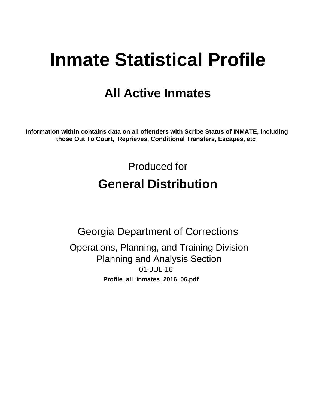# **Inmate Statistical Profile**

# **All Active Inmates**

Information within contains data on all offenders with Scribe Status of INMATE, including those Out To Court, Reprieves, Conditional Transfers, Escapes, etc

> Produced for **General Distribution**

**Georgia Department of Corrections** Operations, Planning, and Training Division **Planning and Analysis Section** 01-JUL-16 Profile\_all\_inmates\_2016\_06.pdf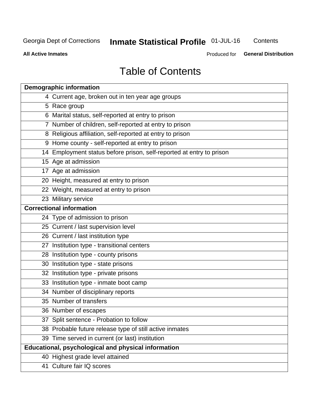# Inmate Statistical Profile 01-JUL-16

Contents

**All Active Inmates** 

Produced for General Distribution

# **Table of Contents**

| <b>Demographic information</b>                                       |
|----------------------------------------------------------------------|
| 4 Current age, broken out in ten year age groups                     |
| 5 Race group                                                         |
| 6 Marital status, self-reported at entry to prison                   |
| 7 Number of children, self-reported at entry to prison               |
| 8 Religious affiliation, self-reported at entry to prison            |
| 9 Home county - self-reported at entry to prison                     |
| 14 Employment status before prison, self-reported at entry to prison |
| 15 Age at admission                                                  |
| 17 Age at admission                                                  |
| 20 Height, measured at entry to prison                               |
| 22 Weight, measured at entry to prison                               |
| 23 Military service                                                  |
| <b>Correctional information</b>                                      |
| 24 Type of admission to prison                                       |
| 25 Current / last supervision level                                  |
| 26 Current / last institution type                                   |
| 27 Institution type - transitional centers                           |
| 28 Institution type - county prisons                                 |
| 30 Institution type - state prisons                                  |
| 32 Institution type - private prisons                                |
| 33 Institution type - inmate boot camp                               |
| 34 Number of disciplinary reports                                    |
| 35 Number of transfers                                               |
| 36 Number of escapes                                                 |
| 37 Split sentence - Probation to follow                              |
| 38 Probable future release type of still active inmates              |
| 39 Time served in current (or last) institution                      |
| Educational, psychological and physical information                  |
| 40 Highest grade level attained                                      |
| 41 Culture fair IQ scores                                            |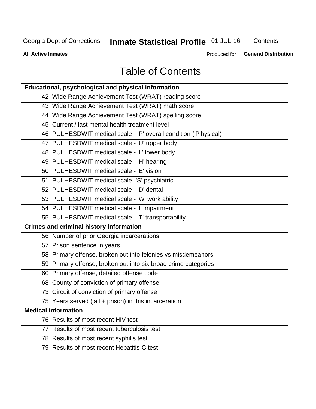# **Inmate Statistical Profile 01-JUL-16**

Contents

**All Active Inmates** 

Produced for **General Distribution** 

# **Table of Contents**

| Educational, psychological and physical information              |
|------------------------------------------------------------------|
| 42 Wide Range Achievement Test (WRAT) reading score              |
| 43 Wide Range Achievement Test (WRAT) math score                 |
| 44 Wide Range Achievement Test (WRAT) spelling score             |
| 45 Current / last mental health treatment level                  |
| 46 PULHESDWIT medical scale - 'P' overall condition ('P'hysical) |
| 47 PULHESDWIT medical scale - 'U' upper body                     |
| 48 PULHESDWIT medical scale - 'L' lower body                     |
| 49 PULHESDWIT medical scale - 'H' hearing                        |
| 50 PULHESDWIT medical scale - 'E' vision                         |
| 51 PULHESDWIT medical scale -'S' psychiatric                     |
| 52 PULHESDWIT medical scale - 'D' dental                         |
| 53 PULHESDWIT medical scale - 'W' work ability                   |
| 54 PULHESDWIT medical scale - 'I' impairment                     |
| 55 PULHESDWIT medical scale - 'T' transportability               |
| <b>Crimes and criminal history information</b>                   |
| 56 Number of prior Georgia incarcerations                        |
| 57 Prison sentence in years                                      |
| 58 Primary offense, broken out into felonies vs misdemeanors     |
| 59 Primary offense, broken out into six broad crime categories   |
| 60 Primary offense, detailed offense code                        |
| 68 County of conviction of primary offense                       |
| 73 Circuit of conviction of primary offense                      |
| 75 Years served (jail + prison) in this incarceration            |
| <b>Medical information</b>                                       |
| 76 Results of most recent HIV test                               |
| 77 Results of most recent tuberculosis test                      |
| 78 Results of most recent syphilis test                          |
| 79 Results of most recent Hepatitis-C test                       |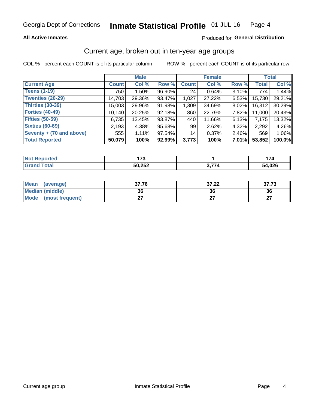### **All Active Inmates**

### Produced for General Distribution

# Current age, broken out in ten-year age groups

COL % - percent each COUNT is of its particular column

|                          |              | <b>Male</b> |        |              | <b>Female</b> | <b>Total</b> |              |        |
|--------------------------|--------------|-------------|--------|--------------|---------------|--------------|--------------|--------|
| <b>Current Age</b>       | <b>Count</b> | Col %       | Row %  | <b>Count</b> | Col %         | Row %        | <b>Total</b> | Col %  |
| <b>Teens (1-19)</b>      | 750          | $1.50\%$    | 96.90% | 24           | 0.64%         | 3.10%        | 774          | 1.44%  |
| <b>Twenties (20-29)</b>  | 14,703       | 29.36%      | 93.47% | 1,027        | 27.22%        | 6.53%        | 15,730       | 29.21% |
| <b>Thirties (30-39)</b>  | 15,003       | 29.96%      | 91.98% | 1,309        | 34.69%        | 8.02%        | 16,312       | 30.29% |
| <b>Forties (40-49)</b>   | 10,140       | 20.25%      | 92.18% | 860          | 22.79%        | 7.82%        | 11,000       | 20.43% |
| <b>Fifties (50-59)</b>   | 6,735        | 13.45%      | 93.87% | 440          | 11.66%        | 6.13%        | 7,175        | 13.32% |
| <b>Sixties (60-69)</b>   | 2,193        | 4.38%       | 95.68% | 99           | 2.62%         | 4.32%        | 2,292        | 4.26%  |
| Seventy + (70 and above) | 555          | $1.11\%$    | 97.54% | 14           | 0.37%         | $2.46\%$     | 569          | 1.06%  |
| <b>Total Reported</b>    | 50,079       | 100%        | 92.99% | 3,773        | 100%          | $7.01\%$     | 53,852       | 100.0% |

| <b>Not</b><br>.<br>τeα | ---<br>.         |               |        |
|------------------------|------------------|---------------|--------|
| $T \cap f \cap f$      | 50 252<br>ວບ,∠ວ∠ | $\rightarrow$ | 54,026 |

| <b>Mean</b><br>(average)       | 37.76     | 37.22 | ヘラ ラヘ<br>31.13 |
|--------------------------------|-----------|-------|----------------|
| <b>Median (middle)</b>         | 36        | 36    | 36             |
| <b>Mode</b><br>(most frequent) | ^-<br>. . |       | ^7<br>. .      |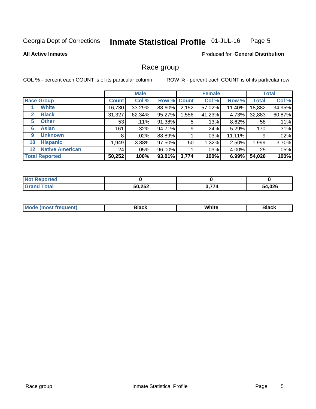#### Inmate Statistical Profile 01-JUL-16 Page 5

### **All Active Inmates**

### **Produced for General Distribution**

# Race group

COL % - percent each COUNT is of its particular column

|                                   |              | <b>Male</b> |        |              | <b>Female</b> |        |              | <b>Total</b> |  |
|-----------------------------------|--------------|-------------|--------|--------------|---------------|--------|--------------|--------------|--|
| <b>Race Group</b>                 | <b>Count</b> | Col %       | Row %  | <b>Count</b> | Col %         | Row %  | <b>Total</b> | Col %        |  |
| <b>White</b>                      | 16,730       | 33.29%      | 88.60% | 2,152        | 57.02%        | 11.40% | 18,882       | 34.95%       |  |
| <b>Black</b><br>2                 | 31,327       | 62.34%      | 95.27% | ,556         | 41.23%        | 4.73%  | 32,883       | 60.87%       |  |
| <b>Other</b><br>5.                | 53           | .11%        | 91.38% | 5            | .13%          | 8.62%  | 58           | .11%         |  |
| <b>Asian</b><br>6                 | 161          | $.32\%$     | 94.71% | 9            | .24%          | 5.29%  | 170          | .31%         |  |
| <b>Unknown</b><br>9               | 8            | $.02\%$     | 88.89% |              | .03%          | 11.11% | 9            | .02%         |  |
| <b>Hispanic</b><br>10             | 1,949        | 3.88%       | 97.50% | 50           | 1.32%         | 2.50%  | 1,999        | 3.70%        |  |
| <b>Native American</b><br>$12 \,$ | 24           | $.05\%$     | 96.00% |              | .03%          | 4.00%  | 25           | .05%         |  |
| <b>Total Reported</b>             | 50,252       | 100%        | 93.01% | 3,774        | 100%          | 6.99%  | 54,026       | 100%         |  |

| <b>ported</b><br>NO. |        |              |        |
|----------------------|--------|--------------|--------|
| `otal<br>'Grano      | 50,252 | 、--<br>3.774 | 54,026 |

| m | <br>w |  |
|---|-------|--|
|   |       |  |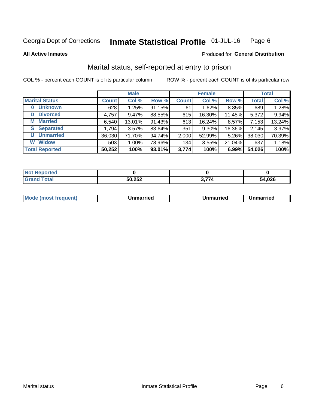#### Inmate Statistical Profile 01-JUL-16 Page 6

**All Active Inmates** 

### Produced for General Distribution

# Marital status, self-reported at entry to prison

COL % - percent each COUNT is of its particular column

|                            | <b>Male</b>  |        |        | <b>Female</b> |        |        | <b>Total</b> |        |
|----------------------------|--------------|--------|--------|---------------|--------|--------|--------------|--------|
| <b>Marital Status</b>      | <b>Count</b> | Col %  | Row %  | <b>Count</b>  | Col %  | Row %  | <b>Total</b> | Col %  |
| <b>Unknown</b><br>$\bf{0}$ | 628          | 1.25%  | 91.15% | 61            | 1.62%  | 8.85%  | 689          | 1.28%  |
| <b>Divorced</b><br>D       | 4,757        | 9.47%  | 88.55% | 615           | 16.30% | 11.45% | 5,372        | 9.94%  |
| <b>Married</b><br>М        | 6,540        | 13.01% | 91.43% | 613           | 16.24% | 8.57%  | 7,153        | 13.24% |
| <b>Separated</b><br>S      | 1,794        | 3.57%  | 83.64% | 351           | 9.30%  | 16.36% | 2,145        | 3.97%  |
| <b>Unmarried</b><br>U      | 36,030       | 71.70% | 94.74% | 2,000         | 52.99% | 5.26%  | 38,030       | 70.39% |
| <b>Widow</b><br>W          | 503          | 1.00%  | 78.96% | 134           | 3.55%  | 21.04% | 637          | 1.18%  |
| <b>Total Reported</b>      | 50,252       | 100%   | 93.01% | 3,774         | 100%   | 6.99%  | 54,026       | 100%   |

| NO<br>Tet. |                   |                                                  |        |
|------------|-------------------|--------------------------------------------------|--------|
|            | EN OED.<br>ວບ,∠ວ∠ | $\sim$ $\rightarrow$ $\rightarrow$ $\rightarrow$ | 54,026 |

|--|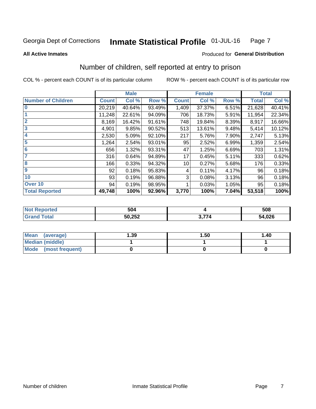#### **Inmate Statistical Profile 01-JUL-16** Page 7

**All Active Inmates** 

### **Produced for General Distribution**

# Number of children, self reported at entry to prison

COL % - percent each COUNT is of its particular column

|                           |              | <b>Male</b> |        |              | <b>Female</b> |       |              | <b>Total</b> |
|---------------------------|--------------|-------------|--------|--------------|---------------|-------|--------------|--------------|
| <b>Number of Children</b> | <b>Count</b> | Col %       | Row %  | <b>Count</b> | Col %         | Row % | <b>Total</b> | Col %        |
| $\bf{0}$                  | 20,219       | 40.64%      | 93.49% | 1,409        | 37.37%        | 6.51% | 21,628       | 40.41%       |
|                           | 11,248       | 22.61%      | 94.09% | 706          | 18.73%        | 5.91% | 11,954       | 22.34%       |
| $\overline{2}$            | 8,169        | 16.42%      | 91.61% | 748          | 19.84%        | 8.39% | 8,917        | 16.66%       |
| 3                         | 4,901        | 9.85%       | 90.52% | 513          | 13.61%        | 9.48% | 5,414        | 10.12%       |
| 4                         | 2,530        | 5.09%       | 92.10% | 217          | 5.76%         | 7.90% | 2,747        | 5.13%        |
| 5                         | 1,264        | 2.54%       | 93.01% | 95           | 2.52%         | 6.99% | 1,359        | 2.54%        |
| 6                         | 656          | 1.32%       | 93.31% | 47           | 1.25%         | 6.69% | 703          | 1.31%        |
| 7                         | 316          | 0.64%       | 94.89% | 17           | 0.45%         | 5.11% | 333          | 0.62%        |
| 8                         | 166          | 0.33%       | 94.32% | 10           | 0.27%         | 5.68% | 176          | 0.33%        |
| 9                         | 92           | 0.18%       | 95.83% | 4            | 0.11%         | 4.17% | 96           | 0.18%        |
| 10                        | 93           | 0.19%       | 96.88% | 3            | 0.08%         | 3.13% | 96           | 0.18%        |
| Over 10                   | 94           | 0.19%       | 98.95% |              | 0.03%         | 1.05% | 95           | 0.18%        |
| <b>Total Reported</b>     | 49,748       | 100%        | 92.96% | 3,770        | 100%          | 7.04% | 53,518       | 100%         |

| EN 1            | 508          |
|-----------------|--------------|
| らい つらつ<br>1,2JZ | 4,026ر<br>54 |

| Mean<br>(average)       | 1.39 | 1.50 | 1.40 |
|-------------------------|------|------|------|
| Median (middle)         |      |      |      |
| Mode<br>(most frequent) |      |      |      |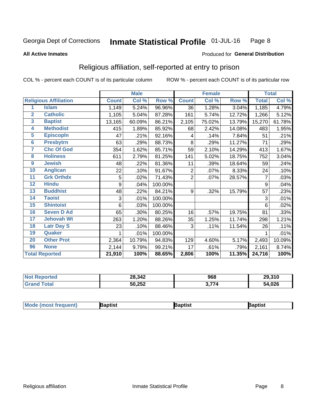#### **Inmate Statistical Profile 01-JUL-16** Page 8

### **All Active Inmates**

### Produced for General Distribution

# Religious affiliation, self-reported at entry to prison

COL % - percent each COUNT is of its particular column

|                |                              |              | <b>Male</b> |         |                  | <b>Female</b> |        |              | <b>Total</b> |
|----------------|------------------------------|--------------|-------------|---------|------------------|---------------|--------|--------------|--------------|
|                | <b>Religious Affiliation</b> | <b>Count</b> | Col %       | Row %   | <b>Count</b>     | Col %         | Row %  | <b>Total</b> | Col %        |
| 1              | <b>Islam</b>                 | 1,149        | 5.24%       | 96.96%  | 36               | 1.28%         | 3.04%  | 1,185        | 4.79%        |
| $\overline{2}$ | <b>Catholic</b>              | 1,105        | 5.04%       | 87.28%  | 161              | 5.74%         | 12.72% | 1,266        | 5.12%        |
| 3              | <b>Baptist</b>               | 13,165       | 60.09%      | 86.21%  | 2,105            | 75.02%        | 13.79% | 15,270       | 61.78%       |
| 4              | <b>Methodist</b>             | 415          | 1.89%       | 85.92%  | 68               | 2.42%         | 14.08% | 483          | 1.95%        |
| 5              | <b>EpiscopIn</b>             | 47           | .21%        | 92.16%  | 4                | .14%          | 7.84%  | 51           | .21%         |
| $6\phantom{a}$ | <b>Presbytrn</b>             | 63           | .29%        | 88.73%  | 8                | .29%          | 11.27% | 71           | .29%         |
| 7              | <b>Chc Of God</b>            | 354          | 1.62%       | 85.71%  | 59               | 2.10%         | 14.29% | 413          | 1.67%        |
| 8              | <b>Holiness</b>              | 611          | 2.79%       | 81.25%  | 141              | 5.02%         | 18.75% | 752          | 3.04%        |
| 9              | <b>Jewish</b>                | 48           | .22%        | 81.36%  | 11               | .39%          | 18.64% | 59           | .24%         |
| 10             | <b>Anglican</b>              | 22           | .10%        | 91.67%  | $\overline{2}$   | .07%          | 8.33%  | 24           | .10%         |
| 11             | <b>Grk Orthdx</b>            | 5            | .02%        | 71.43%  | $\overline{2}$   | .07%          | 28.57% | 7            | .03%         |
| 12             | <b>Hindu</b>                 | 9            | .04%        | 100.00% |                  |               |        | 9            | .04%         |
| 13             | <b>Buddhist</b>              | 48           | .22%        | 84.21%  | $\boldsymbol{9}$ | .32%          | 15.79% | 57           | .23%         |
| 14             | <b>Taoist</b>                | 3            | .01%        | 100.00% |                  |               |        | 3            | .01%         |
| 15             | <b>Shintoist</b>             | 6            | .03%        | 100.00% |                  |               |        | 6            | .02%         |
| 16             | <b>Seven D Ad</b>            | 65           | .30%        | 80.25%  | 16               | .57%          | 19.75% | 81           | .33%         |
| 17             | <b>Jehovah Wt</b>            | 263          | 1.20%       | 88.26%  | 35               | 1.25%         | 11.74% | 298          | 1.21%        |
| 18             | <b>Latr Day S</b>            | 23           | .10%        | 88.46%  | 3                | .11%          | 11.54% | 26           | .11%         |
| 19             | Quaker                       |              | .01%        | 100.00% |                  |               |        |              | .01%         |
| 20             | <b>Other Prot</b>            | 2,364        | 10.79%      | 94.83%  | 129              | 4.60%         | 5.17%  | 2,493        | 10.09%       |
| 96             | <b>None</b>                  | 2,144        | 9.79%       | 99.21%  | 17               | .61%          | .79%   | 2,161        | 8.74%        |
|                | <b>Total Reported</b>        | 21,910       | 100%        | 88.65%  | 2,806            | 100%          | 11.35% | 24,716       | 100%         |

| Reported<br>NO. | 28,342 | 968          | 29,310 |
|-----------------|--------|--------------|--------|
| <b>otal</b>     | 50,252 | י דד י<br>74 | 54,026 |

|  | $ $ Mod<br>de (most frequent) | aptist | <b>laptist</b> | 3aptist |
|--|-------------------------------|--------|----------------|---------|
|--|-------------------------------|--------|----------------|---------|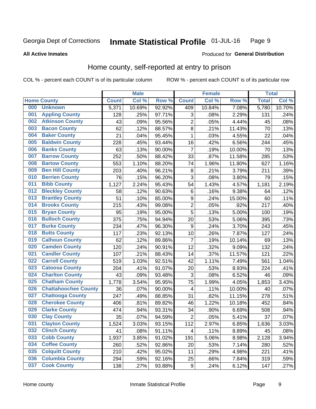#### Inmate Statistical Profile 01-JUL-16 Page 9

### **All Active Inmates**

### Produced for General Distribution

# Home county, self-reported at entry to prison

COL % - percent each COUNT is of its particular column

|     |                             |              | <b>Male</b> |        |                  | <b>Female</b> |        | <b>Total</b> |        |
|-----|-----------------------------|--------------|-------------|--------|------------------|---------------|--------|--------------|--------|
|     | <b>Home County</b>          | <b>Count</b> | Col %       | Row %  | <b>Count</b>     | Col %         | Row %  | <b>Total</b> | Col %  |
| 000 | <b>Unknown</b>              | 5,371        | 10.69%      | 92.92% | 409              | 10.84%        | 7.08%  | 5,780        | 10.70% |
| 001 | <b>Appling County</b>       | 128          | .25%        | 97.71% | 3                | .08%          | 2.29%  | 131          | .24%   |
| 002 | <b>Atkinson County</b>      | 43           | .09%        | 95.56% | $\overline{2}$   | .05%          | 4.44%  | 45           | .08%   |
| 003 | <b>Bacon County</b>         | 62           | .12%        | 88.57% | 8                | .21%          | 11.43% | 70           | .13%   |
| 004 | <b>Baker County</b>         | 21           | .04%        | 95.45% | $\mathbf 1$      | .03%          | 4.55%  | 22           | .04%   |
| 005 | <b>Baldwin County</b>       | 228          | .45%        | 93.44% | 16               | .42%          | 6.56%  | 244          | .45%   |
| 006 | <b>Banks County</b>         | 63           | .13%        | 90.00% | $\overline{7}$   | .19%          | 10.00% | 70           | .13%   |
| 007 | <b>Barrow County</b>        | 252          | .50%        | 88.42% | 33               | .87%          | 11.58% | 285          | .53%   |
| 008 | <b>Bartow County</b>        | 553          | 1.10%       | 88.20% | 74               | 1.96%         | 11.80% | 627          | 1.16%  |
| 009 | <b>Ben Hill County</b>      | 203          | .40%        | 96.21% | 8                | .21%          | 3.79%  | 211          | .39%   |
| 010 | <b>Berrien County</b>       | 76           | .15%        | 96.20% | 3                | .08%          | 3.80%  | 79           | .15%   |
| 011 | <b>Bibb County</b>          | 1,127        | 2.24%       | 95.43% | 54               | 1.43%         | 4.57%  | 1,181        | 2.19%  |
| 012 | <b>Bleckley County</b>      | 58           | .12%        | 90.63% | $\,6$            | .16%          | 9.38%  | 64           | .12%   |
| 013 | <b>Brantley County</b>      | 51           | .10%        | 85.00% | $\boldsymbol{9}$ | .24%          | 15.00% | 60           | .11%   |
| 014 | <b>Brooks County</b>        | 215          | .43%        | 99.08% | $\overline{2}$   | .05%          | .92%   | 217          | .40%   |
| 015 | <b>Bryan County</b>         | 95           | .19%        | 95.00% | 5                | .13%          | 5.00%  | 100          | .19%   |
| 016 | <b>Bulloch County</b>       | 375          | .75%        | 94.94% | 20               | .53%          | 5.06%  | 395          | .73%   |
| 017 | <b>Burke County</b>         | 234          | .47%        | 96.30% | 9                | .24%          | 3.70%  | 243          | .45%   |
| 018 | <b>Butts County</b>         | 117          | .23%        | 92.13% | 10               | .26%          | 7.87%  | 127          | .24%   |
| 019 | <b>Calhoun County</b>       | 62           | .12%        | 89.86% | $\overline{7}$   | .19%          | 10.14% | 69           | .13%   |
| 020 | <b>Camden County</b>        | 120          | .24%        | 90.91% | 12               | .32%          | 9.09%  | 132          | .24%   |
| 021 | <b>Candler County</b>       | 107          | .21%        | 88.43% | 14               | .37%          | 11.57% | 121          | .22%   |
| 022 | <b>Carroll County</b>       | 519          | 1.03%       | 92.51% | 42               | 1.11%         | 7.49%  | 561          | 1.04%  |
| 023 | <b>Catoosa County</b>       | 204          | .41%        | 91.07% | 20               | .53%          | 8.93%  | 224          | .41%   |
| 024 | <b>Charlton County</b>      | 43           | .09%        | 93.48% | 3                | .08%          | 6.52%  | 46           | .09%   |
| 025 | <b>Chatham County</b>       | 1,778        | 3.54%       | 95.95% | 75               | 1.99%         | 4.05%  | 1,853        | 3.43%  |
| 026 | <b>Chattahoochee County</b> | 36           | .07%        | 90.00% | 4                | .11%          | 10.00% | 40           | .07%   |
| 027 | <b>Chattooga County</b>     | 247          | .49%        | 88.85% | 31               | .82%          | 11.15% | 278          | .51%   |
| 028 | <b>Cherokee County</b>      | 406          | .81%        | 89.82% | 46               | 1.22%         | 10.18% | 452          | .84%   |
| 029 | <b>Clarke County</b>        | 474          | .94%        | 93.31% | 34               | .90%          | 6.69%  | 508          | .94%   |
| 030 | <b>Clay County</b>          | 35           | .07%        | 94.59% | $\overline{2}$   | .05%          | 5.41%  | 37           | .07%   |
| 031 | <b>Clayton County</b>       | 1,524        | 3.03%       | 93.15% | 112              | 2.97%         | 6.85%  | 1,636        | 3.03%  |
| 032 | <b>Clinch County</b>        | 41           | .08%        | 91.11% | 4                | .11%          | 8.89%  | 45           | .08%   |
| 033 | <b>Cobb County</b>          | 1,937        | 3.85%       | 91.02% | 191              | 5.06%         | 8.98%  | 2,128        | 3.94%  |
| 034 | <b>Coffee County</b>        | 260          | .52%        | 92.86% | 20               | .53%          | 7.14%  | 280          | .52%   |
| 035 | <b>Colquitt County</b>      | 210          | .42%        | 95.02% | 11               | .29%          | 4.98%  | 221          | .41%   |
| 036 | <b>Columbia County</b>      | 294          | .59%        | 92.16% | 25               | .66%          | 7.84%  | 319          | .59%   |
| 037 | <b>Cook County</b>          | 138          | .27%        | 93.88% | $\boldsymbol{9}$ | .24%          | 6.12%  | 147          | .27%   |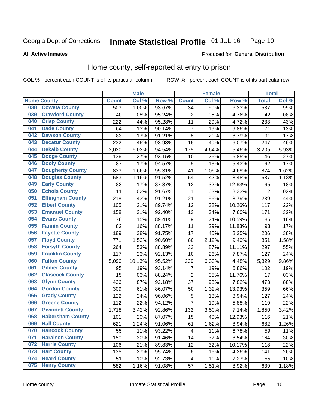#### Inmate Statistical Profile 01-JUL-16 Page 10

**All Active Inmates** 

### Produced for General Distribution

# Home county, self-reported at entry to prison

COL % - percent each COUNT is of its particular column

|     |                         |              | <b>Male</b> |                  |                         | <b>Female</b> |                  | <b>Total</b> |         |
|-----|-------------------------|--------------|-------------|------------------|-------------------------|---------------|------------------|--------------|---------|
|     | <b>Home County</b>      | <b>Count</b> | Col %       | Row <sup>%</sup> | <b>Count</b>            | Col %         | Row <sup>%</sup> | <b>Total</b> | Col %   |
| 038 | <b>Coweta County</b>    | 503          | 1.00%       | 93.67%           | 34                      | .90%          | 6.33%            | 537          | .99%    |
| 039 | <b>Crawford County</b>  | 40           | .08%        | 95.24%           | $\overline{2}$          | .05%          | 4.76%            | 42           | .08%    |
| 040 | <b>Crisp County</b>     | 222          | .44%        | 95.28%           | 11                      | .29%          | 4.72%            | 233          | .43%    |
| 041 | <b>Dade County</b>      | 64           | .13%        | 90.14%           | $\overline{7}$          | .19%          | 9.86%            | 71           | .13%    |
| 042 | <b>Dawson County</b>    | 83           | .17%        | 91.21%           | 8                       | .21%          | 8.79%            | 91           | .17%    |
| 043 | <b>Decatur County</b>   | 232          | .46%        | 93.93%           | 15                      | .40%          | 6.07%            | 247          | .46%    |
| 044 | <b>Dekalb County</b>    | 3,030        | 6.03%       | 94.54%           | 175                     | 4.64%         | 5.46%            | 3,205        | 5.93%   |
| 045 | <b>Dodge County</b>     | 136          | .27%        | 93.15%           | 10                      | .26%          | 6.85%            | 146          | .27%    |
| 046 | <b>Dooly County</b>     | 87           | .17%        | 94.57%           | 5                       | .13%          | 5.43%            | 92           | .17%    |
| 047 | <b>Dougherty County</b> | 833          | 1.66%       | 95.31%           | 41                      | 1.09%         | 4.69%            | 874          | 1.62%   |
| 048 | <b>Douglas County</b>   | 583          | 1.16%       | 91.52%           | 54                      | 1.43%         | 8.48%            | 637          | 1.18%   |
| 049 | <b>Early County</b>     | 83           | .17%        | 87.37%           | 12                      | .32%          | 12.63%           | 95           | .18%    |
| 050 | <b>Echols County</b>    | 11           | .02%        | 91.67%           | 1                       | .03%          | 8.33%            | 12           | .02%    |
| 051 | <b>Effingham County</b> | 218          | .43%        | 91.21%           | 21                      | .56%          | 8.79%            | 239          | .44%    |
| 052 | <b>Elbert County</b>    | 105          | .21%        | 89.74%           | 12                      | .32%          | 10.26%           | 117          | .22%    |
| 053 | <b>Emanuel County</b>   | 158          | .31%        | 92.40%           | 13                      | .34%          | 7.60%            | 171          | .32%    |
| 054 | <b>Evans County</b>     | 76           | .15%        | 89.41%           | 9                       | .24%          | 10.59%           | 85           | .16%    |
| 055 | <b>Fannin County</b>    | 82           | .16%        | 88.17%           | 11                      | .29%          | 11.83%           | 93           | .17%    |
| 056 | <b>Fayette County</b>   | 189          | .38%        | 91.75%           | 17                      | .45%          | 8.25%            | 206          | .38%    |
| 057 | <b>Floyd County</b>     | 771          | 1.53%       | 90.60%           | 80                      | 2.12%         | 9.40%            | 851          | 1.58%   |
| 058 | <b>Forsyth County</b>   | 264          | .53%        | 88.89%           | 33                      | .87%          | 11.11%           | 297          | .55%    |
| 059 | <b>Franklin County</b>  | 117          | .23%        | 92.13%           | 10                      | .26%          | 7.87%            | 127          | .24%    |
| 060 | <b>Fulton County</b>    | 5,090        | 10.13%      | 95.52%           | 239                     | 6.33%         | 4.48%            | 5,329        | 9.86%   |
| 061 | <b>Gilmer County</b>    | 95           | .19%        | 93.14%           | 7                       | .19%          | 6.86%            | 102          | .19%    |
| 062 | <b>Glascock County</b>  | 15           | .03%        | 88.24%           | $\overline{2}$          | .05%          | 11.76%           | 17           | .03%    |
| 063 | <b>Glynn County</b>     | 436          | .87%        | 92.18%           | 37                      | .98%          | 7.82%            | 473          | .88%    |
| 064 | <b>Gordon County</b>    | 309          | .61%        | 86.07%           | 50                      | 1.32%         | 13.93%           | 359          | .66%    |
| 065 | <b>Grady County</b>     | 122          | .24%        | 96.06%           | 5                       | .13%          | 3.94%            | 127          | .24%    |
| 066 | <b>Greene County</b>    | 112          | .22%        | 94.12%           | $\overline{7}$          | .19%          | 5.88%            | 119          | .22%    |
| 067 | <b>Gwinnett County</b>  | 1,718        | 3.42%       | 92.86%           | 132                     | 3.50%         | 7.14%            | 1,850        | 3.42%   |
| 068 | <b>Habersham County</b> | 101          | .20%        | 87.07%           | 15                      | .40%          | 12.93%           | 116          | .21%    |
| 069 | <b>Hall County</b>      | 621          | 1.24%       | 91.06%           | 61                      | 1.62%         | 8.94%            | 682          | 1.26%   |
| 070 | <b>Hancock County</b>   | 55           | .11%        | 93.22%           | 4                       | .11%          | 6.78%            | 59           | .11%    |
| 071 | <b>Haralson County</b>  | 150          | .30%        | 91.46%           | 14                      | .37%          | 8.54%            | 164          | $.30\%$ |
| 072 | <b>Harris County</b>    | 106          | .21%        | 89.83%           | 12                      | .32%          | 10.17%           | 118          | .22%    |
| 073 | <b>Hart County</b>      | 135          | .27%        | 95.74%           | 6                       | .16%          | 4.26%            | 141          | .26%    |
| 074 | <b>Heard County</b>     | 51           | .10%        | 92.73%           | $\overline{\mathbf{4}}$ | .11%          | 7.27%            | 55           | .10%    |
| 075 | <b>Henry County</b>     | 582          | 1.16%       | 91.08%           | 57                      | 1.51%         | 8.92%            | 639          | 1.18%   |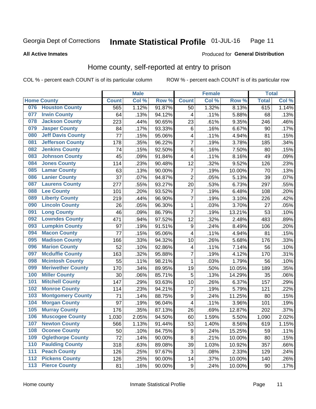#### Inmate Statistical Profile 01-JUL-16 Page 11

**All Active Inmates** 

### Produced for General Distribution

# Home county, self-reported at entry to prison

COL % - percent each COUNT is of its particular column

|                  |                          |              | <b>Male</b> |           |                  | <b>Female</b> |                  | <b>Total</b> |         |
|------------------|--------------------------|--------------|-------------|-----------|------------------|---------------|------------------|--------------|---------|
|                  | <b>Home County</b>       | <b>Count</b> | Col %       | Row %     | <b>Count</b>     | Col %         | Row <sup>%</sup> | <b>Total</b> | Col %   |
| 076              | <b>Houston County</b>    | 565          | 1.12%       | 91.87%    | 50               | 1.32%         | 8.13%            | 615          | 1.14%   |
| 077              | <b>Irwin County</b>      | 64           | .13%        | 94.12%    | 4                | .11%          | 5.88%            | 68           | .13%    |
| 078              | <b>Jackson County</b>    | 223          | .44%        | 90.65%    | 23               | .61%          | 9.35%            | 246          | .46%    |
| 079              | <b>Jasper County</b>     | 84           | .17%        | 93.33%    | 6                | .16%          | 6.67%            | 90           | .17%    |
| 080              | <b>Jeff Davis County</b> | 77           | .15%        | 95.06%    | 4                | .11%          | 4.94%            | 81           | .15%    |
| 081              | <b>Jefferson County</b>  | 178          | .35%        | 96.22%    | $\overline{7}$   | .19%          | 3.78%            | 185          | .34%    |
| 082              | <b>Jenkins County</b>    | 74           | .15%        | 92.50%    | $\,6$            | .16%          | 7.50%            | 80           | .15%    |
| 083              | <b>Johnson County</b>    | 45           | .09%        | 91.84%    | 4                | .11%          | 8.16%            | 49           | .09%    |
| 084              | <b>Jones County</b>      | 114          | .23%        | 90.48%    | 12               | .32%          | 9.52%            | 126          | .23%    |
| 085              | <b>Lamar County</b>      | 63           | .13%        | 90.00%    | $\overline{7}$   | .19%          | 10.00%           | 70           | .13%    |
| 086              | <b>Lanier County</b>     | 37           | .07%        | 94.87%    | $\overline{2}$   | .05%          | 5.13%            | 39           | .07%    |
| 087              | <b>Laurens County</b>    | 277          | .55%        | 93.27%    | 20               | .53%          | 6.73%            | 297          | .55%    |
| 088              | <b>Lee County</b>        | 101          | .20%        | 93.52%    | 7                | .19%          | 6.48%            | 108          | .20%    |
| 089              | <b>Liberty County</b>    | 219          | .44%        | 96.90%    | $\overline{7}$   | .19%          | 3.10%            | 226          | .42%    |
| 090              | <b>Lincoln County</b>    | 26           | .05%        | 96.30%    | $\mathbf 1$      | .03%          | 3.70%            | 27           | .05%    |
| 091              | <b>Long County</b>       | 46           | .09%        | 86.79%    | $\overline{7}$   | .19%          | 13.21%           | 53           | .10%    |
| 092              | <b>Lowndes County</b>    | 471          | .94%        | 97.52%    | 12               | .32%          | 2.48%            | 483          | .89%    |
| 093              | <b>Lumpkin County</b>    | 97           | .19%        | 91.51%    | $\boldsymbol{9}$ | .24%          | 8.49%            | 106          | .20%    |
| 094              | <b>Macon County</b>      | 77           | .15%        | 95.06%    | 4                | .11%          | 4.94%            | 81           | .15%    |
| 095              | <b>Madison County</b>    | 166          | .33%        | 94.32%    | 10               | .26%          | 5.68%            | 176          | .33%    |
| 096              | <b>Marion County</b>     | 52           | .10%        | 92.86%    | 4                | .11%          | 7.14%            | 56           | .10%    |
| 097              | <b>Mcduffie County</b>   | 163          | .32%        | 95.88%    | $\overline{7}$   | .19%          | 4.12%            | 170          | .31%    |
| 098              | <b>Mcintosh County</b>   | 55           | .11%        | 98.21%    | $\mathbf{1}$     | .03%          | 1.79%            | 56           | .10%    |
| 099              | <b>Meriwether County</b> | 170          | .34%        | 89.95%    | 19               | .50%          | 10.05%           | 189          | .35%    |
| 100              | <b>Miller County</b>     | 30           | .06%        | 85.71%    | 5                | .13%          | 14.29%           | 35           | .06%    |
| 101              | <b>Mitchell County</b>   | 147          | .29%        | 93.63%    | 10               | .26%          | 6.37%            | 157          | .29%    |
| 102              | <b>Monroe County</b>     | 114          | .23%        | 94.21%    | $\overline{7}$   | .19%          | 5.79%            | 121          | .22%    |
| 103              | <b>Montgomery County</b> | 71           | .14%        | 88.75%    | 9                | .24%          | 11.25%           | 80           | .15%    |
| 104              | <b>Morgan County</b>     | 97           | .19%        | 96.04%    | 4                | .11%          | 3.96%            | 101          | .19%    |
| 105              | <b>Murray County</b>     | 176          | .35%        | 87.13%    | 26               | .69%          | 12.87%           | 202          | .37%    |
| 106              | <b>Muscogee County</b>   | 1,030        | 2.05%       | 94.50%    | 60               | 1.59%         | 5.50%            | 1,090        | 2.02%   |
| 107              | <b>Newton County</b>     | 566          | 1.13%       | $91.44\%$ | 53               | 1.40%         | 8.56%            | 619          | 1.15%   |
| 108              | <b>Oconee County</b>     | 50           | .10%        | 84.75%    | 9                | .24%          | 15.25%           | 59           | .11%    |
| 109              | <b>Oglethorpe County</b> | 72           | .14%        | 90.00%    | 8                | .21%          | 10.00%           | 80           | .15%    |
| 110              | <b>Paulding County</b>   | 318          | .63%        | 89.08%    | 39               | 1.03%         | 10.92%           | 357          | .66%    |
| 111              | <b>Peach County</b>      | 126          | .25%        | 97.67%    | 3                | .08%          | 2.33%            | 129          | .24%    |
| $\overline{112}$ | <b>Pickens County</b>    | 126          | .25%        | 90.00%    | 14               | .37%          | 10.00%           | 140          | $.26\%$ |
| 113              | <b>Pierce County</b>     | 81           | .16%        | 90.00%    | $\boldsymbol{9}$ | .24%          | 10.00%           | 90           | .17%    |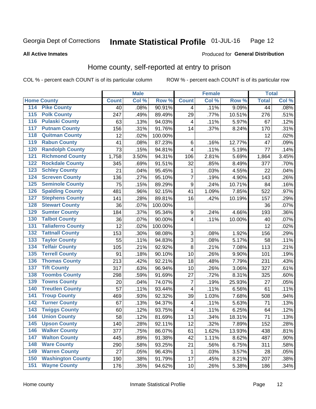#### Inmate Statistical Profile 01-JUL-16 Page 12

**All Active Inmates** 

### Produced for General Distribution

# Home county, self-reported at entry to prison

COL % - percent each COUNT is of its particular column

|                    |                          |              | <b>Male</b> |                  |                | <b>Female</b> |        | <b>Total</b> |       |
|--------------------|--------------------------|--------------|-------------|------------------|----------------|---------------|--------|--------------|-------|
| <b>Home County</b> |                          | <b>Count</b> | Col %       | Row <sup>%</sup> | <b>Count</b>   | Col %         | Row %  | <b>Total</b> | Col % |
| 114                | <b>Pike County</b>       | 40           | .08%        | 90.91%           | 4              | .11%          | 9.09%  | 44           | .08%  |
| 115                | <b>Polk County</b>       | 247          | .49%        | 89.49%           | 29             | .77%          | 10.51% | 276          | .51%  |
| 116                | <b>Pulaski County</b>    | 63           | .13%        | 94.03%           | 4              | .11%          | 5.97%  | 67           | .12%  |
| 117                | <b>Putnam County</b>     | 156          | .31%        | 91.76%           | 14             | .37%          | 8.24%  | 170          | .31%  |
| 118                | <b>Quitman County</b>    | 12           | .02%        | 100.00%          |                |               |        | 12           | .02%  |
| 119                | <b>Rabun County</b>      | 41           | .08%        | 87.23%           | $\,6$          | .16%          | 12.77% | 47           | .09%  |
| 120                | <b>Randolph County</b>   | 73           | .15%        | 94.81%           | 4              | .11%          | 5.19%  | 77           | .14%  |
| 121                | <b>Richmond County</b>   | 1,758        | 3.50%       | 94.31%           | 106            | 2.81%         | 5.69%  | 1,864        | 3.45% |
| 122                | <b>Rockdale County</b>   | 345          | .69%        | 91.51%           | 32             | .85%          | 8.49%  | 377          | .70%  |
| 123                | <b>Schley County</b>     | 21           | .04%        | 95.45%           | 1              | .03%          | 4.55%  | 22           | .04%  |
| 124                | <b>Screven County</b>    | 136          | .27%        | 95.10%           | $\overline{7}$ | .19%          | 4.90%  | 143          | .26%  |
| 125                | <b>Seminole County</b>   | 75           | .15%        | 89.29%           | 9              | .24%          | 10.71% | 84           | .16%  |
| 126                | <b>Spalding County</b>   | 481          | .96%        | 92.15%           | 41             | 1.09%         | 7.85%  | 522          | .97%  |
| 127                | <b>Stephens County</b>   | 141          | .28%        | 89.81%           | 16             | .42%          | 10.19% | 157          | .29%  |
| 128                | <b>Stewart County</b>    | 36           | .07%        | 100.00%          |                |               |        | 36           | .07%  |
| 129                | <b>Sumter County</b>     | 184          | .37%        | 95.34%           | 9              | .24%          | 4.66%  | 193          | .36%  |
| 130                | <b>Talbot County</b>     | 36           | .07%        | 90.00%           | 4              | .11%          | 10.00% | 40           | .07%  |
| 131                | <b>Taliaferro County</b> | 12           | .02%        | 100.00%          |                |               |        | 12           | .02%  |
| 132                | <b>Tattnall County</b>   | 153          | .30%        | 98.08%           | $\sqrt{3}$     | .08%          | 1.92%  | 156          | .29%  |
| 133                | <b>Taylor County</b>     | 55           | .11%        | 94.83%           | 3              | .08%          | 5.17%  | 58           | .11%  |
| 134                | <b>Telfair County</b>    | 105          | .21%        | 92.92%           | 8              | .21%          | 7.08%  | 113          | .21%  |
| 135                | <b>Terrell County</b>    | 91           | .18%        | 90.10%           | 10             | .26%          | 9.90%  | 101          | .19%  |
| 136                | <b>Thomas County</b>     | 213          | .42%        | 92.21%           | 18             | .48%          | 7.79%  | 231          | .43%  |
| 137                | <b>Tift County</b>       | 317          | .63%        | 96.94%           | 10             | .26%          | 3.06%  | 327          | .61%  |
| 138                | <b>Toombs County</b>     | 298          | .59%        | 91.69%           | 27             | .72%          | 8.31%  | 325          | .60%  |
| 139                | <b>Towns County</b>      | 20           | .04%        | 74.07%           | 7              | .19%          | 25.93% | 27           | .05%  |
| 140                | <b>Treutlen County</b>   | 57           | .11%        | 93.44%           | $\overline{4}$ | .11%          | 6.56%  | 61           | .11%  |
| 141                | <b>Troup County</b>      | 469          | .93%        | 92.32%           | 39             | 1.03%         | 7.68%  | 508          | .94%  |
| $\overline{142}$   | <b>Turner County</b>     | 67           | .13%        | 94.37%           | 4              | .11%          | 5.63%  | 71           | .13%  |
| 143                | <b>Twiggs County</b>     | 60           | .12%        | 93.75%           | 4              | .11%          | 6.25%  | 64           | .12%  |
| 144                | <b>Union County</b>      | 58           | .12%        | 81.69%           | 13             | .34%          | 18.31% | 71           | .13%  |
| 145                | <b>Upson County</b>      | 140          | .28%        | 92.11%           | 12             | .32%          | 7.89%  | 152          | .28%  |
| 146                | <b>Walker County</b>     | 377          | .75%        | 86.07%           | 61             | 1.62%         | 13.93% | 438          | .81%  |
| 147                | <b>Walton County</b>     | 445          | .89%        | 91.38%           | 42             | 1.11%         | 8.62%  | 487          | .90%  |
| 148                | <b>Ware County</b>       | 290          | .58%        | 93.25%           | 21             | .56%          | 6.75%  | 311          | .58%  |
| 149                | <b>Warren County</b>     | 27           | .05%        | 96.43%           | 1              | .03%          | 3.57%  | 28           | .05%  |
| 150                | <b>Washington County</b> | 190          | .38%        | 91.79%           | 17             | .45%          | 8.21%  | 207          | .38%  |
| 151                | <b>Wayne County</b>      | 176          | .35%        | 94.62%           | 10             | .26%          | 5.38%  | 186          | .34%  |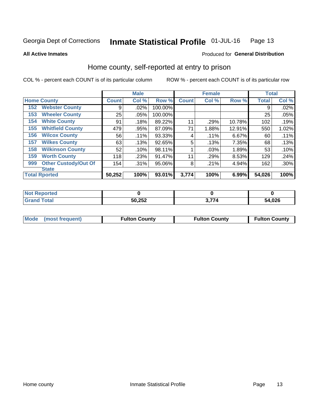#### Inmate Statistical Profile 01-JUL-16 Page 13

Produced for General Distribution

### **All Active Inmates**

# Home county, self-reported at entry to prison

COL % - percent each COUNT is of its particular column

|     |                             |              | <b>Male</b> |         |              | <b>Female</b> |        | <b>Total</b> |         |
|-----|-----------------------------|--------------|-------------|---------|--------------|---------------|--------|--------------|---------|
|     | <b>Home County</b>          | <b>Count</b> | Col %       | Row %   | <b>Count</b> | Col %         | Row %  | <b>Total</b> | Col %   |
| 152 | <b>Webster County</b>       | 9            | .02%        | 100.00% |              |               |        | 9            | .02%    |
| 153 | <b>Wheeler County</b>       | 25           | .05%        | 100.00% |              |               |        | 25           | .05%    |
| 154 | <b>White County</b>         | 91           | .18%        | 89.22%  | 11           | .29%          | 10.78% | 102          | .19%    |
| 155 | <b>Whitfield County</b>     | 479          | .95%        | 87.09%  | 71           | 1.88%         | 12.91% | 550          | 1.02%   |
| 156 | <b>Wilcox County</b>        | 56           | .11%        | 93.33%  | 4            | .11%          | 6.67%  | 60           | .11%    |
| 157 | <b>Wilkes County</b>        | 63           | .13%        | 92.65%  | 5            | .13%          | 7.35%  | 68           | .13%    |
| 158 | <b>Wilkinson County</b>     | 52           | .10%        | 98.11%  |              | .03%          | 1.89%  | 53           | .10%    |
| 159 | <b>Worth County</b>         | 118          | .23%        | 91.47%  | 11           | .29%          | 8.53%  | 129          | .24%    |
| 999 | <b>Other Custody/Out Of</b> | 154          | .31%        | 95.06%  | 8            | .21%          | 4.94%  | 162          | $.30\%$ |
|     | <b>State</b>                |              |             |         |              |               |        |              |         |
|     | <b>Total Rported</b>        | 50,252       | 100%        | 93.01%  | 3,774        | 100%          | 6.99%  | 54,026       | 100%    |

| τeα |        |        |
|-----|--------|--------|
|     | 50,252 | 54,026 |

| Mode (most frequent)<br><b>Fulton County</b><br><b>Fulton County</b><br><b>Fulton County</b> |
|----------------------------------------------------------------------------------------------|
|----------------------------------------------------------------------------------------------|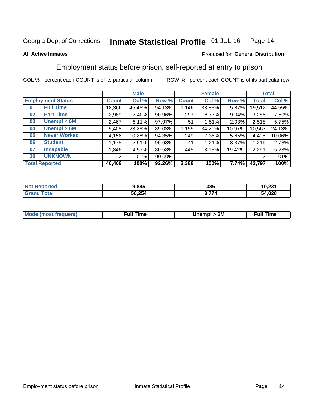#### Inmate Statistical Profile 01-JUL-16 Page 14

### **All Active Inmates**

### Produced for General Distribution

# Employment status before prison, self-reported at entry to prison

COL % - percent each COUNT is of its particular column

|                           | <b>Male</b>  |        |         | <b>Female</b> |        |        | <b>Total</b> |        |
|---------------------------|--------------|--------|---------|---------------|--------|--------|--------------|--------|
| <b>Employment Status</b>  | <b>Count</b> | Col %  | Row %   | <b>Count</b>  | Col %  | Row %  | Total        | Col %  |
| <b>Full Time</b><br>01    | 18,366       | 45.45% | 94.13%  | 1,146         | 33.83% | 5.87%  | 19,512       | 44.55% |
| <b>Part Time</b><br>02    | 2,989        | 7.40%  | 90.96%  | 297           | 8.77%  | 9.04%  | 3,286        | 7.50%  |
| Unempl $<$ 6M<br>03       | 2,467        | 6.11%  | 97.97%  | 51            | 1.51%  | 2.03%  | 2,518        | 5.75%  |
| Unempl > 6M<br>04         | 9,408        | 23.28% | 89.03%  | 1,159         | 34.21% | 10.97% | 10,567       | 24.13% |
| <b>Never Worked</b><br>05 | 4,156        | 10.28% | 94.35%  | 249           | 7.35%  | 5.65%  | 4,405        | 10.06% |
| <b>Student</b><br>06      | .175         | 2.91%  | 96.63%  | 41            | 1.21%  | 3.37%  | 1,216        | 2.78%  |
| <b>Incapable</b><br>07    | ,846         | 4.57%  | 80.58%  | 445           | 13.13% | 19.42% | 2,291        | 5.23%  |
| <b>UNKNOWN</b><br>20      | 2            | .01%   | 100.00% |               |        |        | 2            | .01%   |
| <b>Total Reported</b>     | 40,409       | 100%   | 92.26%  | 3,388         | 100%   | 7.74%  | 43,797       | 100%   |

| <b>Not Reported</b> | 9,845  | 386   | 10,231 |
|---------------------|--------|-------|--------|
| <b>Grand Total</b>  | 50,254 | 3,774 | 54,028 |

| <b>Mode (most frequent)</b> | Unempl > 6M | <b>Full Time</b> |
|-----------------------------|-------------|------------------|
|                             |             |                  |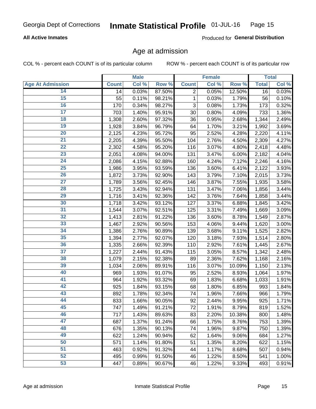### **All Active Inmates**

Produced for General Distribution

# Age at admission

COL % - percent each COUNT is of its particular column

|                         |              | <b>Male</b> |        |              | <b>Female</b> |        |              | <b>Total</b>        |
|-------------------------|--------------|-------------|--------|--------------|---------------|--------|--------------|---------------------|
| <b>Age At Admission</b> | <b>Count</b> | Col %       | Row %  | <b>Count</b> | Col %         | Row %  | <b>Total</b> | Col %               |
| 14                      | 14           | 0.03%       | 87.50% | 2            | 0.05%         | 12.50% | 16           | 0.03%               |
| 15                      | 55           | 0.11%       | 98.21% | 1            | 0.03%         | 1.79%  | 56           | 0.10%               |
| 16                      | 170          | 0.34%       | 98.27% | 3            | 0.08%         | 1.73%  | 173          | 0.32%               |
| $\overline{17}$         | 703          | 1.40%       | 95.91% | 30           | 0.80%         | 4.09%  | 733          | 1.36%               |
| $\overline{18}$         | 1,308        | 2.60%       | 97.32% | 36           | 0.95%         | 2.68%  | 1,344        | 2.49%               |
| 19                      | 1,928        | 3.84%       | 96.79% | 64           | 1.70%         | 3.21%  | 1,992        | 3.69%               |
| 20                      | 2,125        | 4.23%       | 95.72% | 95           | 2.52%         | 4.28%  | 2,220        | 4.11%               |
| $\overline{21}$         | 2,205        | 4.39%       | 95.50% | 104          | 2.76%         | 4.50%  | 2,309        | 4.27%               |
| $\overline{22}$         | 2,302        | 4.58%       | 95.20% | 116          | 3.07%         | 4.80%  | 2,418        | 4.48%               |
| 23                      | 2,051        | 4.08%       | 94.00% | 131          | 3.47%         | 6.00%  | 2,182        | 4.04%               |
| 24                      | 2,086        | 4.15%       | 92.88% | 160          | 4.24%         | 7.12%  | 2,246        | 4.16%               |
| $\overline{25}$         | 1,986        | 3.95%       | 93.59% | 136          | 3.60%         | 6.41%  | 2,122        | 3.93%               |
| $\overline{26}$         | 1,872        | 3.73%       | 92.90% | 143          | 3.79%         | 7.10%  | 2,015        | 3.73%               |
| $\overline{27}$         | 1,789        | 3.56%       | 92.45% | 146          | 3.87%         | 7.55%  | 1,935        | 3.58%               |
| 28                      | 1,725        | 3.43%       | 92.94% | 131          | 3.47%         | 7.06%  | 1,856        | 3.44%               |
| 29                      | 1,716        | 3.41%       | 92.36% | 142          | 3.76%         | 7.64%  | 1,858        | 3.44%               |
| 30                      | 1,718        | 3.42%       | 93.12% | 127          | 3.37%         | 6.88%  | 1,845        | 3.42%               |
| 31                      | 1,544        | 3.07%       | 92.51% | 125          | 3.31%         | 7.49%  | 1,669        | 3.09%               |
| 32                      | 1,413        | 2.81%       | 91.22% | 136          | 3.60%         | 8.78%  | 1,549        | 2.87%               |
| 33                      | 1,467        | 2.92%       | 90.56% | 153          | 4.06%         | 9.44%  | 1,620        | 3.00%               |
| 34                      | 1,386        | 2.76%       | 90.89% | 139          | 3.68%         | 9.11%  | 1,525        | 2.82%               |
| 35                      | 1,394        | 2.77%       | 92.07% | 120          | 3.18%         | 7.93%  | 1,514        | 2.80%               |
| 36                      | 1,335        | 2.66%       | 92.39% | 110          | 2.92%         | 7.61%  | 1,445        | 2.67%               |
| 37                      | 1,227        | 2.44%       | 91.43% | 115          | 3.05%         | 8.57%  | 1,342        | 2.48%               |
| 38                      | 1,079        | 2.15%       | 92.38% | 89           | 2.36%         | 7.62%  | 1,168        | 2.16%               |
| 39                      | 1,034        | 2.06%       | 89.91% | 116          | 3.07%         | 10.09% | 1,150        | 2.13%               |
| 40                      | 969          | 1.93%       | 91.07% | 95           | 2.52%         | 8.93%  | 1,064        | 1.97%               |
| 41                      | 964          | 1.92%       | 93.32% | 69           | 1.83%         | 6.68%  | 1,033        | 1.91%               |
| 42                      | 925          | 1.84%       | 93.15% | 68           | 1.80%         | 6.85%  | 993          | 1.84%               |
| 43                      | 892          | 1.78%       | 92.34% | 74           | 1.96%         | 7.66%  | 966          | 1.79%               |
| 44                      | 833          | 1.66%       | 90.05% | 92           | 2.44%         | 9.95%  | 925          | 1.71%               |
| 45                      | 747          | 1.49%       | 91.21% | 72           | 1.91%         | 8.79%  | 819          | 1.52%               |
| 46                      | 717          | 1.43%       | 89.63% | 83           | 2.20%         | 10.38% | 800          | $\overline{1.48\%}$ |
| 47                      | 687          | 1.37%       | 91.24% | 66           | 1.75%         | 8.76%  | 753          | 1.39%               |
| 48                      | 676          | 1.35%       | 90.13% | 74           | 1.96%         | 9.87%  | 750          | 1.39%               |
| 49                      | 622          | 1.24%       | 90.94% | 62           | 1.64%         | 9.06%  | 684          | 1.27%               |
| 50                      | 571          | 1.14%       | 91.80% | 51           | 1.35%         | 8.20%  | 622          | 1.15%               |
| 51                      | 463          | 0.92%       | 91.32% | 44           | 1.17%         | 8.68%  | 507          | 0.94%               |
| 52                      | 495          | 0.99%       | 91.50% | 46           | 1.22%         | 8.50%  | 541          | 1.00%               |
| 53                      | 447          | 0.89%       | 90.67% | 46           | 1.22%         | 9.33%  | 493          | 0.91%               |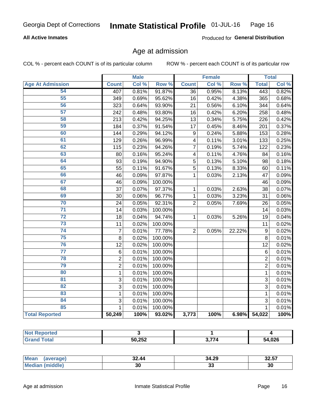### **All Active Inmates**

Produced for General Distribution

# Age at admission

COL % - percent each COUNT is of its particular column

|                         |                | <b>Male</b> |                  |                  | <b>Female</b> |        |                | <b>Total</b>        |
|-------------------------|----------------|-------------|------------------|------------------|---------------|--------|----------------|---------------------|
| <b>Age At Admission</b> | <b>Count</b>   | Col %       | Row <sup>%</sup> | <b>Count</b>     | Col %         | Row %  | <b>Total</b>   | Col %               |
| 54                      | 407            | 0.81%       | 91.87%           | 36               | 0.95%         | 8.13%  | 443            | 0.82%               |
| 55                      | 349            | 0.69%       | 95.62%           | 16               | 0.42%         | 4.38%  | 365            | 0.68%               |
| 56                      | 323            | 0.64%       | 93.90%           | 21               | 0.56%         | 6.10%  | 344            | 0.64%               |
| $\overline{57}$         | 242            | 0.48%       | 93.80%           | 16               | 0.42%         | 6.20%  | 258            | 0.48%               |
| 58                      | 213            | 0.42%       | 94.25%           | 13               | 0.34%         | 5.75%  | 226            | 0.42%               |
| 59                      | 184            | 0.37%       | 91.54%           | 17               | 0.45%         | 8.46%  | 201            | 0.37%               |
| 60                      | 144            | 0.29%       | 94.12%           | $\boldsymbol{9}$ | 0.24%         | 5.88%  | 153            | 0.28%               |
| 61                      | 129            | 0.26%       | 96.99%           | 4                | 0.11%         | 3.01%  | 133            | 0.25%               |
| 62                      | 115            | 0.23%       | 94.26%           | $\overline{7}$   | 0.19%         | 5.74%  | 122            | 0.23%               |
| 63                      | 80             | 0.16%       | 95.24%           | 4                | 0.11%         | 4.76%  | 84             | 0.16%               |
| 64                      | 93             | 0.19%       | 94.90%           | 5                | 0.13%         | 5.10%  | 98             | 0.18%               |
| 65                      | 55             | 0.11%       | 91.67%           | $\overline{5}$   | 0.13%         | 8.33%  | 60             | 0.11%               |
| 66                      | 46             | 0.09%       | 97.87%           | $\mathbf 1$      | 0.03%         | 2.13%  | 47             | 0.09%               |
| 67                      | 46             | 0.09%       | 100.00%          |                  |               |        | 46             | 0.09%               |
| 68                      | 37             | 0.07%       | 97.37%           | 1                | 0.03%         | 2.63%  | 38             | 0.07%               |
| 69                      | 30             | 0.06%       | 96.77%           | 1                | 0.03%         | 3.23%  | 31             | 0.06%               |
| 70                      | 24             | 0.05%       | 92.31%           | $\overline{2}$   | 0.05%         | 7.69%  | 26             | 0.05%               |
| $\overline{71}$         | 14             | 0.03%       | 100.00%          |                  |               |        | 14             | 0.03%               |
| $\overline{72}$         | 18             | 0.04%       | 94.74%           | 1                | 0.03%         | 5.26%  | 19             | 0.04%               |
| $\overline{73}$         | 11             | 0.02%       | 100.00%          |                  |               |        | 11             | 0.02%               |
| $\overline{74}$         | $\overline{7}$ | 0.01%       | 77.78%           | $\overline{2}$   | 0.05%         | 22.22% | 9              | 0.02%               |
| $\overline{75}$         | 8              | 0.02%       | 100.00%          |                  |               |        | 8              | 0.01%               |
| 76                      | 12             | 0.02%       | 100.00%          |                  |               |        | 12             | 0.02%               |
| $\overline{77}$         | 6              | 0.01%       | 100.00%          |                  |               |        | 6              | 0.01%               |
| 78                      | $\overline{2}$ | 0.01%       | 100.00%          |                  |               |        | $\overline{2}$ | 0.01%               |
| 79                      | $\overline{2}$ | 0.01%       | 100.00%          |                  |               |        | $\overline{2}$ | 0.01%               |
| 80                      | 1              | 0.01%       | 100.00%          |                  |               |        | $\mathbf{1}$   | 0.01%               |
| $\overline{81}$         | 3              | 0.01%       | 100.00%          |                  |               |        | $\overline{3}$ | 0.01%               |
| $\overline{82}$         | $\overline{3}$ | 0.01%       | 100.00%          |                  |               |        | $\overline{3}$ | 0.01%               |
| 83                      | $\mathbf{1}$   | 0.01%       | 100.00%          |                  |               |        | $\mathbf{1}$   | 0.01%               |
| 84                      | 3              | 0.01%       | 100.00%          |                  |               |        | 3              | 0.01%               |
| 85                      | $\mathbf{1}$   | 0.01%       | 100.00%          |                  |               |        | 1              | $\overline{0.01\%}$ |
| <b>Total Reported</b>   | 50,249         | 100%        | 93.02%           | 3,773            | 100%          | 6.98%  | 54,022         | 100%                |

| <b>Not Reported</b> |        |         |             |
|---------------------|--------|---------|-------------|
| Total'              | 50,252 | .<br>74 | 4,026<br>ΔД |

| <b>Mean</b><br>$\sim$ and the result | 32.44 | 34.29     | 34.J7 |
|--------------------------------------|-------|-----------|-------|
| tdle,<br>Me                          | 30    | . .<br>JJ | 30    |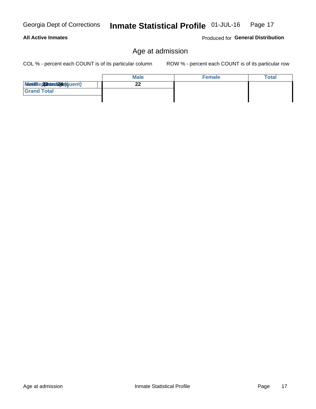# Georgia Dept of Corrections **All Active Inmates**

#### Inmate Statistical Profile 01-JUL-16 Page 17

Produced for General Distribution

# Age at admission

COL % - percent each COUNT is of its particular column

|                            | <b>Male</b> | <b>Female</b> | <b>Total</b> |
|----------------------------|-------------|---------------|--------------|
| Modiae 22 Mest2(4e) quent) | ົ           |               |              |
| <b>Grand Total</b>         |             |               |              |
|                            |             |               |              |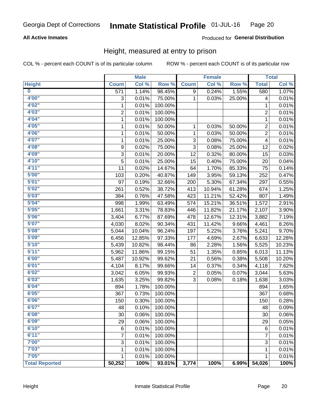### **All Active Inmates**

### **Produced for General Distribution**

# Height, measured at entry to prison

COL % - percent each COUNT is of its particular column

|                         |                  | <b>Male</b> |         |              | <b>Female</b> |        |                | <b>Total</b> |
|-------------------------|------------------|-------------|---------|--------------|---------------|--------|----------------|--------------|
| <b>Height</b>           | <b>Count</b>     | Col %       | Row %   | <b>Count</b> | Col %         | Row %  | <b>Total</b>   | Col %        |
| $\overline{\mathbf{0}}$ | $\overline{571}$ | 1.14%       | 98.45%  | 9            | 0.24%         | 1.55%  | 580            | 1.07%        |
| 4'00"                   | 3                | 0.01%       | 75.00%  | 1            | 0.03%         | 25.00% | 4              | 0.01%        |
| 4'02"                   | $\mathbf{1}$     | 0.01%       | 100.00% |              |               |        | 1              | 0.01%        |
| 4'03''                  | $\overline{c}$   | 0.01%       | 100.00% |              |               |        | 2              | 0.01%        |
| 4'04"                   | $\mathbf{1}$     | 0.01%       | 100.00% |              |               |        | 1              | 0.01%        |
| 4'05"                   | $\mathbf{1}$     | 0.01%       | 50.00%  | 1            | 0.03%         | 50.00% | $\overline{c}$ | 0.01%        |
| 4'06"                   | $\mathbf{1}$     | 0.01%       | 50.00%  | 1            | 0.03%         | 50.00% | $\overline{2}$ | 0.01%        |
| 4'07"                   | 1                | 0.01%       | 25.00%  | 3            | 0.08%         | 75.00% | 4              | 0.01%        |
| 4'08"                   | 9                | 0.02%       | 75.00%  | 3            | 0.08%         | 25.00% | 12             | 0.02%        |
| 4'09"                   | 3                | 0.01%       | 20.00%  | 12           | 0.32%         | 80.00% | 15             | 0.03%        |
| 4'10"                   | 5                | 0.01%       | 25.00%  | 15           | 0.40%         | 75.00% | 20             | 0.04%        |
| 4'11''                  | 11               | 0.02%       | 14.67%  | 64           | 1.70%         | 85.33% | 75             | 0.14%        |
| 5'00''                  | 103              | 0.20%       | 40.87%  | 149          | 3.95%         | 59.13% | 252            | 0.47%        |
| 5'01"                   | 97               | 0.19%       | 32.66%  | 200          | 5.30%         | 67.34% | 297            | 0.55%        |
| 5'02"                   | 261              | 0.52%       | 38.72%  | 413          | 10.94%        | 61.28% | 674            | 1.25%        |
| 5'03"                   | 384              | 0.76%       | 47.58%  | 423          | 11.21%        | 52.42% | 807            | 1.49%        |
| 5'04"                   | 998              | 1.99%       | 63.49%  | 574          | 15.21%        | 36.51% | 1,572          | 2.91%        |
| 5'05"                   | 1,661            | 3.31%       | 78.83%  | 446          | 11.82%        | 21.17% | 2,107          | 3.90%        |
| 5'06''                  | 3,404            | 6.77%       | 87.69%  | 478          | 12.67%        | 12.31% | 3,882          | 7.19%        |
| 5'07''                  | 4,030            | 8.02%       | 90.34%  | 431          | 11.42%        | 9.66%  | 4,461          | 8.26%        |
| 5'08''                  | 5,044            | 10.04%      | 96.24%  | 197          | 5.22%         | 3.76%  | 5,241          | 9.70%        |
| 5'09''                  | 6,456            | 12.85%      | 97.33%  | 177          | 4.69%         | 2.67%  | 6,633          | 12.28%       |
| 5'10''                  | 5,439            | 10.82%      | 98.44%  | 86           | 2.28%         | 1.56%  | 5,525          | 10.23%       |
| 5'11"                   | 5,962            | 11.86%      | 99.15%  | 51           | 1.35%         | 0.85%  | 6,013          | 11.13%       |
| 6'00''                  | 5,487            | 10.92%      | 99.62%  | 21           | 0.56%         | 0.38%  | 5,508          | 10.20%       |
| 6'01''                  | 4,104            | 8.17%       | 99.66%  | 14           | 0.37%         | 0.34%  | 4,118          | 7.62%        |
| 6'02"                   | 3,042            | 6.05%       | 99.93%  | 2            | 0.05%         | 0.07%  | 3,044          | 5.63%        |
| 6'03''                  | 1,635            | 3.25%       | 99.82%  | 3            | 0.08%         | 0.18%  | 1,638          | 3.03%        |
| 6'04"                   | 894              | 1.78%       | 100.00% |              |               |        | 894            | 1.65%        |
| 6'05"                   | 367              | 0.73%       | 100.00% |              |               |        | 367            | 0.68%        |
| 6'06"                   | 150              | 0.30%       | 100.00% |              |               |        | 150            | 0.28%        |
| 6'07"                   | 48               | 0.10%       | 100.00% |              |               |        | 48             | 0.09%        |
| 6'08''                  | 30               | 0.06%       | 100.00% |              |               |        | 30             | 0.06%        |
| 6'09''                  | 29               | 0.06%       | 100.00% |              |               |        | 29             | 0.05%        |
| 6'10''                  | 6                | 0.01%       | 100.00% |              |               |        | 6              | 0.01%        |
| 6'11''                  | 7                | 0.01%       | 100.00% |              |               |        | 7              | 0.01%        |
| 7'00''                  | 3                | 0.01%       | 100.00% |              |               |        | 3              | 0.01%        |
| 7'03''                  | 1                | 0.01%       | 100.00% |              |               |        | 1              | 0.01%        |
| 7'05''                  | 1                | 0.01%       | 100.00% |              |               |        | $\mathbf{1}$   | 0.01%        |
| <b>Total Reported</b>   | 50,252           | 100%        | 93.01%  | 3,774        | 100%          | 6.99%  | 54,026         | 100%         |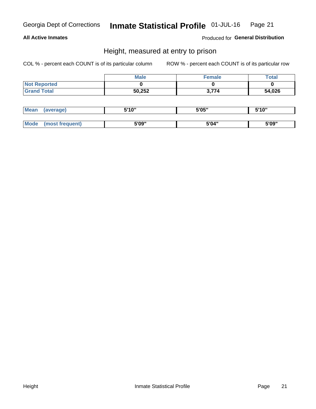### **All Active Inmates**

Produced for General Distribution

# Height, measured at entry to prison

COL % - percent each COUNT is of its particular column

|                     | <b>Male</b> | Female | $\tau$ otal |
|---------------------|-------------|--------|-------------|
| <b>Not Reported</b> |             |        |             |
| <b>Grand Total</b>  | 50,252      | 3,774  | 54,026      |

| <b>Mean</b> | erage) | 5'10" | 5'05" | <b>CIA AIL</b><br>. . |
|-------------|--------|-------|-------|-----------------------|
|             |        |       |       |                       |
| <b>Mode</b> |        | 5'09" | 5'04" | 5'09"                 |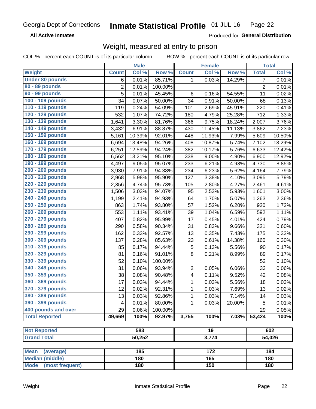**All Active Inmates** 

Produced for General Distribution

# Weight, measured at entry to prison

COL % - percent each COUNT is of its particular column

|                                                    |                | <b>Male</b> |         |                         | <b>Female</b> |        |                | <b>Total</b> |
|----------------------------------------------------|----------------|-------------|---------|-------------------------|---------------|--------|----------------|--------------|
| Weight                                             | <b>Count</b>   | Col %       | Row %   | <b>Count</b>            | Col %         | Row %  | <b>Total</b>   | Col %        |
| <b>Under 80 pounds</b>                             | 6              | 0.01%       | 85.71%  | 1                       | 0.03%         | 14.29% | $\overline{7}$ | 0.01%        |
| 80 - 89 pounds                                     | $\overline{c}$ | 0.01%       | 100.00% |                         |               |        | $\overline{2}$ | 0.01%        |
| 90 - 99 pounds                                     | 5              | 0.01%       | 45.45%  | 6                       | 0.16%         | 54.55% | 11             | 0.02%        |
| 100 - 109 pounds                                   | 34             | 0.07%       | 50.00%  | 34                      | 0.91%         | 50.00% | 68             | 0.13%        |
| 110 - 119 pounds                                   | 119            | 0.24%       | 54.09%  | 101                     | 2.69%         | 45.91% | 220            | 0.41%        |
| 120 - 129 pounds                                   | 532            | 1.07%       | 74.72%  | 180                     | 4.79%         | 25.28% | 712            | 1.33%        |
| 130 - 139 pounds                                   | 1,641          | 3.30%       | 81.76%  | 366                     | 9.75%         | 18.24% | 2,007          | 3.76%        |
| 140 - 149 pounds                                   | 3,432          | 6.91%       | 88.87%  | 430                     | 11.45%        | 11.13% | 3,862          | 7.23%        |
| 150 - 159 pounds                                   | 5,161          | 10.39%      | 92.01%  | 448                     | 11.93%        | 7.99%  | 5,609          | 10.50%       |
| 160 - 169 pounds                                   | 6,694          | 13.48%      | 94.26%  | 408                     | 10.87%        | 5.74%  | 7,102          | 13.29%       |
| 170 - 179 pounds                                   | 6,251          | 12.59%      | 94.24%  | 382                     | 10.17%        | 5.76%  | 6,633          | 12.42%       |
| 180 - 189 pounds                                   | 6,562          | 13.21%      | 95.10%  | 338                     | 9.00%         | 4.90%  | 6,900          | 12.92%       |
| 190 - 199 pounds                                   | 4,497          | 9.05%       | 95.07%  | 233                     | 6.21%         | 4.93%  | 4,730          | 8.85%        |
| 200 - 209 pounds                                   | 3,930          | 7.91%       | 94.38%  | 234                     | 6.23%         | 5.62%  | 4,164          | 7.79%        |
| 210 - 219 pounds                                   | 2,968          | 5.98%       | 95.90%  | 127                     | 3.38%         | 4.10%  | 3,095          | 5.79%        |
| 220 - 229 pounds                                   | 2,356          | 4.74%       | 95.73%  | 105                     | 2.80%         | 4.27%  | 2,461          | 4.61%        |
| 230 - 239 pounds                                   | 1,506          | 3.03%       | 94.07%  | 95                      | 2.53%         | 5.93%  | 1,601          | 3.00%        |
| 240 - 249 pounds                                   | 1,199          | 2.41%       | 94.93%  | 64                      | 1.70%         | 5.07%  | 1,263          | 2.36%        |
| 250 - 259 pounds                                   | 863            | 1.74%       | 93.80%  | 57                      | 1.52%         | 6.20%  | 920            | 1.72%        |
| 260 - 269 pounds                                   | 553            | 1.11%       | 93.41%  | 39                      | 1.04%         | 6.59%  | 592            | 1.11%        |
| 270 - 279 pounds                                   | 407            | 0.82%       | 95.99%  | 17                      | 0.45%         | 4.01%  | 424            | 0.79%        |
| 280 - 289 pounds                                   | 290            | 0.58%       | 90.34%  | 31                      | 0.83%         | 9.66%  | 321            | 0.60%        |
| 290 - 299 pounds                                   | 162            | 0.33%       | 92.57%  | 13                      | 0.35%         | 7.43%  | 175            | 0.33%        |
| 300 - 309 pounds                                   | 137            | 0.28%       | 85.63%  | 23                      | 0.61%         | 14.38% | 160            | 0.30%        |
| 310 - 319 pounds                                   | 85             | 0.17%       | 94.44%  | 5                       | 0.13%         | 5.56%  | 90             | 0.17%        |
| 320 - 329 pounds                                   | 81             | 0.16%       | 91.01%  | 8                       | 0.21%         | 8.99%  | 89             | 0.17%        |
| 330 - 339 pounds                                   | 52             | 0.10%       | 100.00% |                         |               |        | 52             | 0.10%        |
| 340 - 349 pounds                                   | 31             | 0.06%       | 93.94%  | $\overline{2}$          | 0.05%         | 6.06%  | 33             | 0.06%        |
| 350 - 359 pounds                                   | 38             | 0.08%       | 90.48%  | $\overline{\mathbf{4}}$ | 0.11%         | 9.52%  | 42             | 0.08%        |
| 360 - 369 pounds                                   | 17             | 0.03%       | 94.44%  | 1                       | 0.03%         | 5.56%  | 18             | 0.03%        |
| 370 - 379 pounds                                   | 12             | 0.02%       | 92.31%  | 1                       | 0.03%         | 7.69%  | 13             | 0.02%        |
| 380 - 389 pounds                                   | 13             | 0.03%       | 92.86%  | 1                       | 0.03%         | 7.14%  | 14             | 0.03%        |
| 390 - 399 pounds                                   | 4              | 0.01%       | 80.00%  | 1                       | 0.03%         | 20.00% | 5              | 0.01%        |
| 400 pounds and over                                | 29             | 0.06%       | 100.00% |                         |               |        | 29             | 0.05%        |
| <b>Total Reported</b>                              | 49,669         | 100%        | 92.97%  | 3,755                   | 100%          | 7.03%  | 53,424         | 100%         |
|                                                    |                |             |         |                         |               |        |                |              |
| <b>Not Reported</b>                                |                | 583         |         | 19                      |               |        |                | 602          |
| <b>Grand Total</b>                                 |                | 50,252      |         |                         | 3,774         |        |                | 54,026       |
|                                                    |                |             |         |                         |               |        |                |              |
| <b>Mean</b><br>(average)<br><b>Median (middle)</b> |                | 185<br>180  |         |                         | 172<br>165    |        |                | 184<br>180   |
| <b>Mode</b><br>(most frequent)                     |                | 180         |         |                         | 150           |        |                | 180          |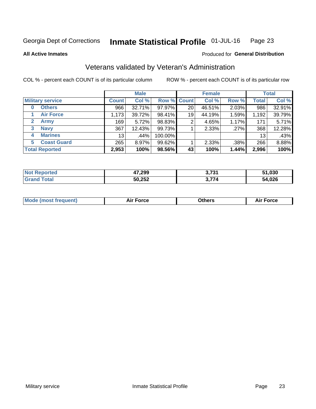#### Inmate Statistical Profile 01-JUL-16 Page 23

**All Active Inmates** 

### Produced for General Distribution

# Veterans validated by Veteran's Administration

COL % - percent each COUNT is of its particular column

|                             |                 | <b>Male</b> |                    |    | <b>Female</b> |       |              | <b>Total</b> |
|-----------------------------|-----------------|-------------|--------------------|----|---------------|-------|--------------|--------------|
| <b>Military service</b>     | <b>Count</b>    | Col %       | <b>Row % Count</b> |    | Col %         | Row % | <b>Total</b> | Col %        |
| <b>Others</b><br>0          | 966             | 32.71%      | 97.97%             | 20 | 46.51%        | 2.03% | 986          | 32.91%       |
| <b>Air Force</b>            | 1,173           | 39.72%      | 98.41%             | 19 | 44.19%        | 1.59% | 1,192        | 39.79%       |
| $\mathbf{2}$<br><b>Army</b> | 169             | 5.72%       | 98.83%             | 2  | 4.65%         | 1.17% | 171          | 5.71%        |
| <b>Navy</b><br>3            | 367             | 12.43%      | 99.73%             |    | 2.33%         | .27%  | 368          | 12.28%       |
| <b>Marines</b><br>4         | 13 <sub>1</sub> | $.44\%$     | 100.00%            |    |               |       | 13           | .43%         |
| <b>Coast Guard</b><br>5.    | 265             | 8.97%       | 99.62%             |    | 2.33%         | .38%  | 266          | 8.88%        |
| <b>Total Reported</b>       | 2,953           | 100%        | 98.56%             | 43 | 100%          | 1.44% | 2,996        | 100%         |

| rteo<br>N | 47,299 | 2721                                             | 51,030 |
|-----------|--------|--------------------------------------------------|--------|
|           | 50,252 | $\sim$ $\rightarrow$ $\rightarrow$ $\rightarrow$ | 1,026  |

|  |  | <b>Mode (most frequent)</b> | <b>Force</b><br>Aır | วthers | orce |
|--|--|-----------------------------|---------------------|--------|------|
|--|--|-----------------------------|---------------------|--------|------|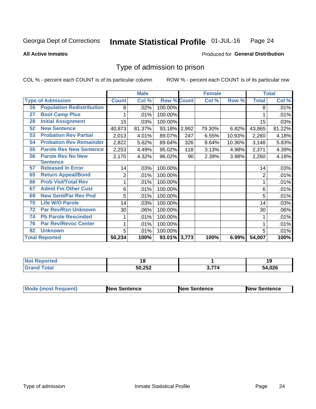#### Inmate Statistical Profile 01-JUL-16 Page 24

**All Active Inmates** 

### Produced for General Distribution

# Type of admission to prison

COL % - percent each COUNT is of its particular column

|    |                                  |                | <b>Male</b> |                    |     | <b>Female</b> |        |              | <b>Total</b> |
|----|----------------------------------|----------------|-------------|--------------------|-----|---------------|--------|--------------|--------------|
|    | <b>Type of Admission</b>         | <b>Count</b>   | Col %       | <b>Row % Count</b> |     | Col %         | Row %  | <b>Total</b> | Col %        |
| 16 | <b>Population Redistribution</b> | 8              | $.02\%$     | 100.00%            |     |               |        | 8            | .01%         |
| 27 | <b>Boot Camp Plus</b>            | 1              | .01%        | 100.00%            |     |               |        |              | .01%         |
| 28 | <b>Initial Assignment</b>        | 15             | .03%        | 100.00%            |     |               |        | 15           | .03%         |
| 52 | <b>New Sentence</b>              | 40,873         | 81.37%      | 93.18% 2,992       |     | 79.30%        | 6.82%  | 43,865       | 81.22%       |
| 53 | <b>Probation Rev Partial</b>     | 2,013          | 4.01%       | 89.07%             | 247 | 6.55%         | 10.93% | 2,260        | 4.18%        |
| 54 | <b>Probation Rev Remainder</b>   | 2,822          | 5.62%       | 89.64%             | 326 | 8.64%         | 10.36% | 3,148        | 5.83%        |
| 55 | <b>Parole Rev New Sentence</b>   | 2,253          | 4.49%       | 95.02%             | 118 | 3.13%         | 4.98%  | 2,371        | 4.39%        |
| 56 | <b>Parole Rev No New</b>         | 2,170          | 4.32%       | 96.02%             | 90  | 2.39%         | 3.98%  | 2,260        | 4.18%        |
|    | <b>Sentence</b>                  |                |             |                    |     |               |        |              |              |
| 57 | <b>Released In Error</b>         | 14             | .03%        | 100.00%            |     |               |        | 14           | .03%         |
| 65 | <b>Return Appeal/Bond</b>        | $\overline{c}$ | .01%        | 100.00%            |     |               |        | 2            | .01%         |
| 66 | <b>Prob Viol/Total Rev</b>       | 1              | .01%        | 100.00%            |     |               |        |              | .01%         |
| 67 | <b>Admit Fm Other Cust</b>       | 6              | .01%        | 100.00%            |     |               |        | 6            | .01%         |
| 69 | <b>New Sent/Par Rev Pnd</b>      | 5              | .01%        | 100.00%            |     |               |        | 5            | .01%         |
| 70 | <b>Life W/O Parole</b>           | 14             | .03%        | 100.00%            |     |               |        | 14           | .03%         |
| 72 | <b>Par Rev/Rsn Unknown</b>       | 30             | .06%        | 100.00%            |     |               |        | 30           | .06%         |
| 74 | <b>Pb Parole Rescinded</b>       | 1              | .01%        | 100.00%            |     |               |        |              | .01%         |
| 76 | <b>Par Rev/Revoc Center</b>      | 1              | .01%        | 100.00%            |     |               |        |              | .01%         |
| 82 | <b>Unknown</b>                   | 5              | .01%        | 100.00%            |     |               |        | 5            | .01%         |
|    | <b>Total Reported</b>            | 50,234         | 100%        | 93.01% 3,773       |     | 100%          | 6.99%  | 54,007       | 100%         |

| <b>Not Reported</b>  |        |      | -10<br>       |
|----------------------|--------|------|---------------|
| <b>Total</b><br>Cror | 50,252 | 27.5 | 4,026<br>-54. |

| Mode (most frequent) | <b>New Sentence</b> | <b>New Sentence</b> | <b>New Sentence</b> |
|----------------------|---------------------|---------------------|---------------------|
|                      |                     |                     |                     |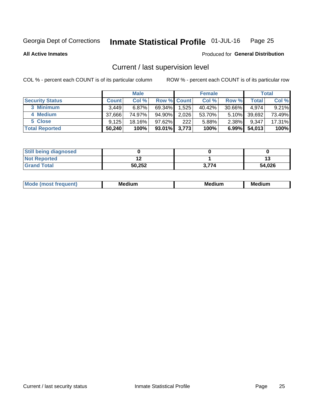#### Inmate Statistical Profile 01-JUL-16 Page 25

**All Active Inmates** 

### Produced for General Distribution

# Current / last supervision level

COL % - percent each COUNT is of its particular column

|                        |              | <b>Male</b> |                    |       | <b>Female</b> |           |        | <b>Total</b> |
|------------------------|--------------|-------------|--------------------|-------|---------------|-----------|--------|--------------|
| <b>Security Status</b> | <b>Count</b> | Col %       | <b>Row % Count</b> |       | Col %         | Row %     | Total  | Col %        |
| 3 Minimum              | 3.449        | $6.87\%$    | 69.34%             | 1,525 | 40.42%        | $30.66\%$ | 4.974  | 9.21%        |
| 4 Medium               | 37.666       | 74.97%      | 94.90%             | 2,026 | 53.70%        | $5.10\%$  | 39,692 | 73.49%       |
| 5 Close                | 9.125        | 18.16%      | $97.62\%$          | 222   | 5.88%         | 2.38%     | 9.347  | 17.31%       |
| <b>Total Reported</b>  | 50,240       | 100%        | $93.01\%$ 3,773    |       | 100%          | $6.99\%$  | 54,013 | 100%         |

| <b>Still being diagnosed</b> |        |       |        |
|------------------------------|--------|-------|--------|
| <b>Not Reported</b>          |        |       |        |
| <b>Grand Total</b>           | 50,252 | 3.774 | 54,026 |

| M | . | -- |
|---|---|----|
|   |   |    |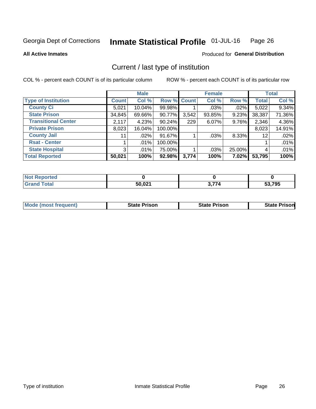#### Inmate Statistical Profile 01-JUL-16 Page 26

**All Active Inmates** 

## Produced for General Distribution

# Current / last type of institution

COL % - percent each COUNT is of its particular column

|                            |                | <b>Male</b> |             |       | <b>Female</b> |        |              | <b>Total</b> |
|----------------------------|----------------|-------------|-------------|-------|---------------|--------|--------------|--------------|
| <b>Type of Institution</b> | <b>Count</b>   | Col %       | Row % Count |       | Col %         | Row %  | <b>Total</b> | Col %        |
| <b>County Ci</b>           | 5,021          | 10.04%      | 99.98%      |       | $.03\%$       | .02%   | 5,022        | 9.34%        |
| <b>State Prison</b>        | 34,845         | 69.66%      | 90.77%      | 3,542 | 93.85%        | 9.23%  | 38,387       | 71.36%       |
| <b>Transitional Center</b> | 2,117          | 4.23%       | 90.24%      | 229   | $6.07\%$      | 9.76%  | 2,346        | 4.36%        |
| <b>Private Prison</b>      | 8,023          | 16.04%      | 100.00%     |       |               |        | 8,023        | 14.91%       |
| <b>County Jail</b>         | 11             | $.02\%$     | 91.67%      |       | .03%          | 8.33%  | 12           | .02%         |
| <b>Rsat - Center</b>       |                | $.01\%$     | 100.00%     |       |               |        |              | .01%         |
| <b>State Hospital</b>      | 3 <sup>1</sup> | $.01\%$     | 75.00%      |       | .03%          | 25.00% | 4            | .01%         |
| <b>Total Reported</b>      | 50,021         | 100%        | 92.98%      | 3,774 | 100%          | 7.02%  | 53,795       | 100%         |

| Reported<br>NO<br> |                         |       |                        |
|--------------------|-------------------------|-------|------------------------|
| <b>Tota</b>        | 50,021<br>$\sim$ $\sim$ | \ 774 | 53,795<br>$\mathbf{L}$ |

| <b>Mode (most frequent)</b> | State Prison | <b>State Prison</b> | <b>State Prisonl</b> |
|-----------------------------|--------------|---------------------|----------------------|
|                             |              |                     |                      |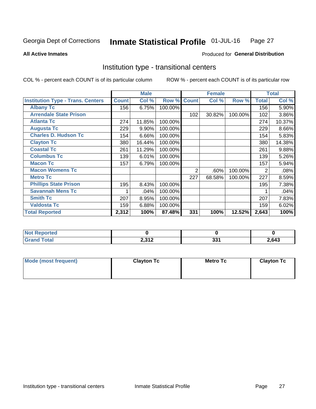#### Inmate Statistical Profile 01-JUL-16 Page 27

**All Active Inmates** 

### Produced for General Distribution

# Institution type - transitional centers

COL % - percent each COUNT is of its particular column

|                                          |              | <b>Male</b> |         |              | <b>Female</b> |         |              | <b>Total</b> |
|------------------------------------------|--------------|-------------|---------|--------------|---------------|---------|--------------|--------------|
| <b>Institution Type - Trans. Centers</b> | <b>Count</b> | Col %       | Row %   | <b>Count</b> | Col %         | Row %   | <b>Total</b> | Col %        |
| <b>Albany Tc</b>                         | 156          | 6.75%       | 100.00% |              |               |         | 156          | 5.90%        |
| <b>Arrendale State Prison</b>            |              |             |         | 102          | 30.82%        | 100.00% | 102          | 3.86%        |
| <b>Atlanta Tc</b>                        | 274          | 11.85%      | 100.00% |              |               |         | 274          | 10.37%       |
| <b>Augusta Tc</b>                        | 229          | 9.90%       | 100.00% |              |               |         | 229          | 8.66%        |
| <b>Charles D. Hudson Tc</b>              | 154          | 6.66%       | 100.00% |              |               |         | 154          | 5.83%        |
| <b>Clayton Tc</b>                        | 380          | 16.44%      | 100.00% |              |               |         | 380          | 14.38%       |
| <b>Coastal Tc</b>                        | 261          | 11.29%      | 100.00% |              |               |         | 261          | 9.88%        |
| <b>Columbus Tc</b>                       | 139          | 6.01%       | 100.00% |              |               |         | 139          | 5.26%        |
| <b>Macon Tc</b>                          | 157          | 6.79%       | 100.00% |              |               |         | 157          | 5.94%        |
| <b>Macon Womens Tc</b>                   |              |             |         | 2            | .60%          | 100.00% | 2            | .08%         |
| <b>Metro Tc</b>                          |              |             |         | 227          | 68.58%        | 100.00% | 227          | 8.59%        |
| <b>Phillips State Prison</b>             | 195          | 8.43%       | 100.00% |              |               |         | 195          | 7.38%        |
| <b>Savannah Mens Tc</b>                  |              | .04%        | 100.00% |              |               |         |              | .04%         |
| <b>Smith Tc</b>                          | 207          | 8.95%       | 100.00% |              |               |         | 207          | 7.83%        |
| <b>Valdosta Tc</b>                       | 159          | 6.88%       | 100.00% |              |               |         | 159          | 6.02%        |
| <b>Total Reported</b>                    | 2,312        | 100%        | 87.48%  | 331          | 100%          | 12.52%  | 2,643        | 100%         |

| τeα |                      |             |       |
|-----|----------------------|-------------|-------|
| .   | <b>2212</b><br>4,014 | oo.<br>JJ I | 2,643 |

| Mode (most frequent) | <b>Clayton Tc</b> | <b>Metro Tc</b> | <b>Clayton Tc</b> |
|----------------------|-------------------|-----------------|-------------------|
|                      |                   |                 |                   |
|                      |                   |                 |                   |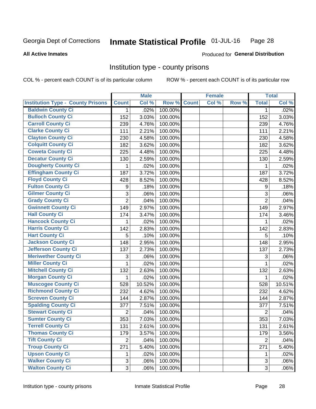#### Inmate Statistical Profile 01-JUL-16 Page 28

### **All Active Inmates**

### Produced for General Distribution

## Institution type - county prisons

COL % - percent each COUNT is of its particular column

|                                          |                | <b>Male</b> |         |              | <b>Female</b> |       |                | <b>Total</b> |
|------------------------------------------|----------------|-------------|---------|--------------|---------------|-------|----------------|--------------|
| <b>Institution Type - County Prisons</b> | <b>Count</b>   | Col %       | Row %   | <b>Count</b> | Col %         | Row % | <b>Total</b>   | Col %        |
| <b>Baldwin County Ci</b>                 | $\mathbf{1}$   | .02%        | 100.00% |              |               |       | $\mathbf{1}$   | .02%         |
| <b>Bulloch County Ci</b>                 | 152            | 3.03%       | 100.00% |              |               |       | 152            | 3.03%        |
| <b>Carroll County Ci</b>                 | 239            | 4.76%       | 100.00% |              |               |       | 239            | 4.76%        |
| <b>Clarke County Ci</b>                  | 111            | 2.21%       | 100.00% |              |               |       | 111            | 2.21%        |
| <b>Clayton County Ci</b>                 | 230            | 4.58%       | 100.00% |              |               |       | 230            | 4.58%        |
| <b>Colquitt County Ci</b>                | 182            | 3.62%       | 100.00% |              |               |       | 182            | 3.62%        |
| <b>Coweta County Ci</b>                  | 225            | 4.48%       | 100.00% |              |               |       | 225            | 4.48%        |
| <b>Decatur County Ci</b>                 | 130            | 2.59%       | 100.00% |              |               |       | 130            | 2.59%        |
| <b>Dougherty County Ci</b>               | 1              | .02%        | 100.00% |              |               |       | 1              | .02%         |
| <b>Effingham County Ci</b>               | 187            | 3.72%       | 100.00% |              |               |       | 187            | 3.72%        |
| <b>Floyd County Ci</b>                   | 428            | 8.52%       | 100.00% |              |               |       | 428            | 8.52%        |
| <b>Fulton County Ci</b>                  | 9              | .18%        | 100.00% |              |               |       | 9              | .18%         |
| <b>Gilmer County Ci</b>                  | 3              | .06%        | 100.00% |              |               |       | 3              | .06%         |
| <b>Grady County Ci</b>                   | $\overline{2}$ | .04%        | 100.00% |              |               |       | $\overline{2}$ | .04%         |
| <b>Gwinnett County Ci</b>                | 149            | 2.97%       | 100.00% |              |               |       | 149            | 2.97%        |
| <b>Hall County Ci</b>                    | 174            | 3.47%       | 100.00% |              |               |       | 174            | 3.46%        |
| <b>Hancock County Ci</b>                 | 1              | .02%        | 100.00% |              |               |       | 1              | .02%         |
| <b>Harris County Ci</b>                  | 142            | 2.83%       | 100.00% |              |               |       | 142            | 2.83%        |
| <b>Hart County Ci</b>                    | 5              | .10%        | 100.00% |              |               |       | 5              | .10%         |
| <b>Jackson County Ci</b>                 | 148            | 2.95%       | 100.00% |              |               |       | 148            | 2.95%        |
| <b>Jefferson County Ci</b>               | 137            | 2.73%       | 100.00% |              |               |       | 137            | 2.73%        |
| <b>Meriwether County Ci</b>              | 3              | .06%        | 100.00% |              |               |       | 3              | .06%         |
| <b>Miller County Ci</b>                  | 1              | .02%        | 100.00% |              |               |       | $\mathbf{1}$   | .02%         |
| <b>Mitchell County Ci</b>                | 132            | 2.63%       | 100.00% |              |               |       | 132            | 2.63%        |
| <b>Morgan County Ci</b>                  | 1              | .02%        | 100.00% |              |               |       | 1              | .02%         |
| <b>Muscogee County Ci</b>                | 528            | 10.52%      | 100.00% |              |               |       | 528            | 10.51%       |
| <b>Richmond County Ci</b>                | 232            | 4.62%       | 100.00% |              |               |       | 232            | 4.62%        |
| <b>Screven County Ci</b>                 | 144            | 2.87%       | 100.00% |              |               |       | 144            | 2.87%        |
| <b>Spalding County Ci</b>                | 377            | 7.51%       | 100.00% |              |               |       | 377            | 7.51%        |
| <b>Stewart County Ci</b>                 | $\overline{2}$ | .04%        | 100.00% |              |               |       | $\overline{2}$ | .04%         |
| <b>Sumter County Ci</b>                  | 353            | 7.03%       | 100.00% |              |               |       | 353            | 7.03%        |
| <b>Terrell County Ci</b>                 | 131            | 2.61%       | 100.00% |              |               |       | 131            | 2.61%        |
| <b>Thomas County Ci</b>                  | 179            | 3.57%       | 100.00% |              |               |       | 179            | 3.56%        |
| <b>Tift County Ci</b>                    | $\overline{2}$ | .04%        | 100.00% |              |               |       | $\overline{2}$ | .04%         |
| <b>Troup County Ci</b>                   | 271            | 5.40%       | 100.00% |              |               |       | 271            | 5.40%        |
| <b>Upson County Ci</b>                   | 1              | .02%        | 100.00% |              |               |       | 1              | .02%         |
| <b>Walker County Ci</b>                  | 3              | .06%        | 100.00% |              |               |       | 3              | .06%         |
| <b>Walton County Ci</b>                  | 3              | .06%        | 100.00% |              |               |       | 3 <sup>1</sup> | .06%         |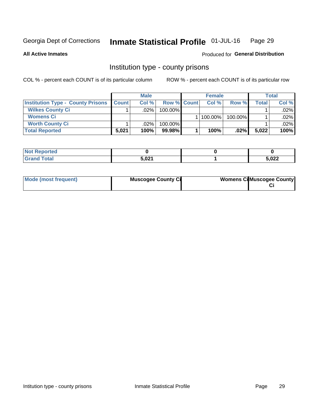#### Inmate Statistical Profile 01-JUL-16 Page 29

**All Active Inmates** 

## Produced for General Distribution

# Institution type - county prisons

COL % - percent each COUNT is of its particular column

|                                          |              | <b>Male</b> |                    | <b>Female</b> |         |         | <b>Total</b> |
|------------------------------------------|--------------|-------------|--------------------|---------------|---------|---------|--------------|
| <b>Institution Type - County Prisons</b> | <b>Count</b> | Col%        | <b>Row % Count</b> | Col%          | Row %   | Total i | Col %        |
| <b>Wilkes County Ci</b>                  |              | .02%        | $100.00\%$         |               |         |         | $.02\%$      |
| <b>Womens Ci</b>                         |              |             |                    | 100.00%       | 100.00% |         | $.02\%$      |
| <b>Worth County Ci</b>                   |              | $.02\%$     | 100.00%            |               |         |         | $.02\%$      |
| <b>Total Reported</b>                    | 5,021        | $100\%$     | 99.98%             | 100%          | $.02\%$ | 5,022   | 100%         |

| lcu                                |             |              |
|------------------------------------|-------------|--------------|
| $\sim$ $\sim$ $\sim$ $\sim$ $\sim$ | E 004<br>., | רמה:<br>12 L |

| Mode (most frequent) | <b>Muscogee County Ci</b> | <b>Womens Cil Muscogee County</b> |
|----------------------|---------------------------|-----------------------------------|
|                      |                           |                                   |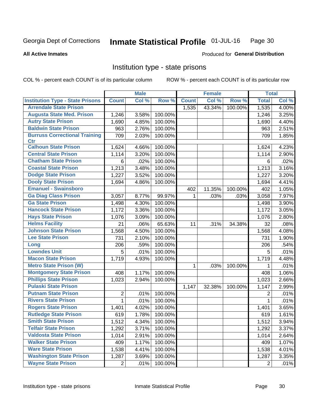#### Inmate Statistical Profile 01-JUL-16 Page 30

### **All Active Inmates**

# Produced for General Distribution

# Institution type - state prisons

COL % - percent each COUNT is of its particular column

|                                         |                | <b>Male</b> |         |              | <b>Female</b> |         | <b>Total</b> |       |
|-----------------------------------------|----------------|-------------|---------|--------------|---------------|---------|--------------|-------|
| <b>Institution Type - State Prisons</b> | <b>Count</b>   | Col %       | Row %   | <b>Count</b> | Col %         | Row %   | <b>Total</b> | Col % |
| <b>Arrendale State Prison</b>           |                |             |         | 1,535        | 43.34%        | 100.00% | 1,535        | 4.00% |
| <b>Augusta State Med. Prison</b>        | 1,246          | 3.58%       | 100.00% |              |               |         | 1,246        | 3.25% |
| <b>Autry State Prison</b>               | 1,690          | 4.85%       | 100.00% |              |               |         | 1,690        | 4.40% |
| <b>Baldwin State Prison</b>             | 963            | 2.76%       | 100.00% |              |               |         | 963          | 2.51% |
| <b>Burruss Correctional Training</b>    | 709            | 2.03%       | 100.00% |              |               |         | 709          | 1.85% |
| <b>Ctr</b>                              |                |             |         |              |               |         |              |       |
| <b>Calhoun State Prison</b>             | 1,624          | 4.66%       | 100.00% |              |               |         | 1,624        | 4.23% |
| <b>Central State Prison</b>             | 1,114          | 3.20%       | 100.00% |              |               |         | 1,114        | 2.90% |
| <b>Chatham State Prison</b>             | 6              | .02%        | 100.00% |              |               |         | 6            | .02%  |
| <b>Coastal State Prison</b>             | 1,213          | 3.48%       | 100.00% |              |               |         | 1,213        | 3.16% |
| <b>Dodge State Prison</b>               | 1,227          | 3.52%       | 100.00% |              |               |         | 1,227        | 3.20% |
| <b>Dooly State Prison</b>               | 1,694          | 4.86%       | 100.00% |              |               |         | 1,694        | 4.41% |
| <b>Emanuel - Swainsboro</b>             |                |             |         | 402          | 11.35%        | 100.00% | 402          | 1.05% |
| <b>Ga Diag Class Prison</b>             | 3,057          | 8.77%       | 99.97%  | 1            | .03%          | .03%    | 3,058        | 7.97% |
| <b>Ga State Prison</b>                  | 1,498          | 4.30%       | 100.00% |              |               |         | 1,498        | 3.90% |
| <b>Hancock State Prison</b>             | 1,172          | 3.36%       | 100.00% |              |               |         | 1,172        | 3.05% |
| <b>Hays State Prison</b>                | 1,076          | 3.09%       | 100.00% |              |               |         | 1,076        | 2.80% |
| <b>Helms Facility</b>                   | 21             | .06%        | 65.63%  | 11           | .31%          | 34.38%  | 32           | .08%  |
| <b>Johnson State Prison</b>             | 1,568          | 4.50%       | 100.00% |              |               |         | 1,568        | 4.08% |
| <b>Lee State Prison</b>                 | 731            | 2.10%       | 100.00% |              |               |         | 731          | 1.90% |
| Long                                    | 206            | .59%        | 100.00% |              |               |         | 206          | .54%  |
| <b>Lowndes Unit</b>                     | 5              | .01%        | 100.00% |              |               |         | 5            | .01%  |
| <b>Macon State Prison</b>               | 1,719          | 4.93%       | 100.00% |              |               |         | 1,719        | 4.48% |
| <b>Metro State Prison (W)</b>           |                |             |         | 1            | .03%          | 100.00% | 1            | .01%  |
| <b>Montgomery State Prison</b>          | 408            | 1.17%       | 100.00% |              |               |         | 408          | 1.06% |
| <b>Phillips State Prison</b>            | 1,023          | 2.94%       | 100.00% |              |               |         | 1,023        | 2.66% |
| <b>Pulaski State Prison</b>             |                |             |         | 1,147        | 32.38%        | 100.00% | 1,147        | 2.99% |
| <b>Putnam State Prison</b>              | 2              | .01%        | 100.00% |              |               |         | 2            | .01%  |
| <b>Rivers State Prison</b>              | 1              | .01%        | 100.00% |              |               |         | 1            | .01%  |
| <b>Rogers State Prison</b>              | 1,401          | 4.02%       | 100.00% |              |               |         | 1,401        | 3.65% |
| <b>Rutledge State Prison</b>            | 619            | 1.78%       | 100.00% |              |               |         | 619          | 1.61% |
| <b>Smith State Prison</b>               | 1,512          | 4.34%       | 100.00% |              |               |         | 1,512        | 3.94% |
| <b>Telfair State Prison</b>             | 1,292          | 3.71%       | 100.00% |              |               |         | 1,292        | 3.37% |
| <b>Valdosta State Prison</b>            | 1,014          | 2.91%       | 100.00% |              |               |         | 1,014        | 2.64% |
| <b>Walker State Prison</b>              | 409            | 1.17%       | 100.00% |              |               |         | 409          | 1.07% |
| <b>Ware State Prison</b>                | 1,538          | 4.41%       | 100.00% |              |               |         | 1,538        | 4.01% |
| <b>Washington State Prison</b>          | 1,287          | 3.69%       | 100.00% |              |               |         | 1,287        | 3.35% |
| <b>Wayne State Prison</b>               | $\overline{2}$ | .01%        | 100.00% |              |               |         | 2            | .01%  |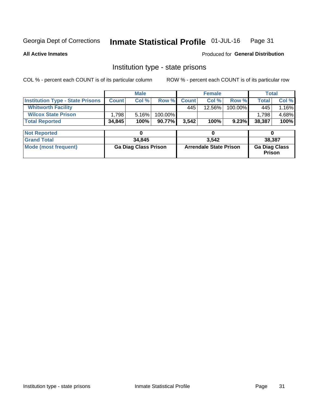#### Inmate Statistical Profile 01-JUL-16 Page 31

### **All Active Inmates**

## Produced for General Distribution

# Institution type - state prisons

COL % - percent each COUNT is of its particular column

|                                         |                             | <b>Male</b> |                               | <b>Female</b> |        |                                | <b>Total</b> |       |
|-----------------------------------------|-----------------------------|-------------|-------------------------------|---------------|--------|--------------------------------|--------------|-------|
| <b>Institution Type - State Prisons</b> | <b>Count</b>                | Col %       | Row %                         | <b>Count</b>  | Col %  | Row %                          | <b>Total</b> | Col % |
| <b>Whitworth Facility</b>               |                             |             |                               | 445           | 12.56% | 100.00%                        | 445          | 1.16% |
| <b>Wilcox State Prison</b>              | 1,798                       | 5.16%       | 100.00%                       |               |        |                                | 1,798        | 4.68% |
| <b>Total Reported</b>                   | 34,845                      | 100%        | 90.77%                        | 3,542         | 100%   | 9.23%                          | 38,387       | 100%  |
|                                         |                             |             |                               |               |        |                                |              |       |
| <b>Not Reported</b>                     |                             |             |                               |               | 0      |                                | 0            |       |
| <b>Grand Total</b>                      |                             | 34,845      |                               |               | 3,542  |                                | 38,387       |       |
| <b>Mode (most frequent)</b>             | <b>Ga Diag Class Prison</b> |             | <b>Arrendale State Prison</b> |               |        | <b>Ga Diag Class</b><br>Prison |              |       |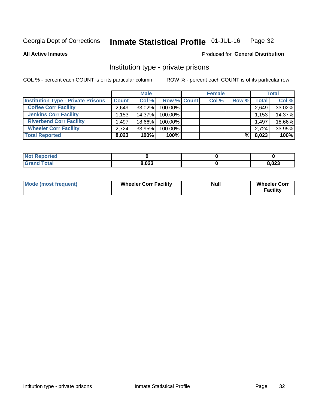#### Inmate Statistical Profile 01-JUL-16 Page 32

**All Active Inmates** 

### Produced for General Distribution

# Institution type - private prisons

COL % - percent each COUNT is of its particular column

|                                           |              | <b>Male</b> |                    | <b>Female</b> |       |                    | <b>Total</b> |
|-------------------------------------------|--------------|-------------|--------------------|---------------|-------|--------------------|--------------|
| <b>Institution Type - Private Prisons</b> | <b>Count</b> | Col %       | <b>Row % Count</b> | Col %         | Row % | Total <sub>1</sub> | Col %        |
| <b>Coffee Corr Facility</b>               | 2.649        | $33.02\%$   | 100.00%            |               |       | 2,649              | 33.02%       |
| <b>Jenkins Corr Facility</b>              | 1,153        | 14.37%      | $100.00\%$         |               |       | 1,153              | 14.37%       |
| <b>Riverbend Corr Facility</b>            | 1.497        | 18.66%      | 100.00%            |               |       | 1,497              | 18.66%       |
| <b>Wheeler Corr Facility</b>              | 2,724        | 33.95%      | 100.00%            |               |       | 2,724              | 33.95%       |
| <b>Total Reported</b>                     | 8,023        | 100%        | 100%               |               | %     | 8,023              | 100%         |

| <b>Not Reported</b> |       |       |
|---------------------|-------|-------|
| <b>Total</b>        | 8,023 | 8,023 |

| <b>Mode (most frequent)</b> | <b>Wheeler Corr Facility</b> | <b>Null</b> | <b>Wheeler Corr</b><br><b>Facility</b> |
|-----------------------------|------------------------------|-------------|----------------------------------------|
|-----------------------------|------------------------------|-------------|----------------------------------------|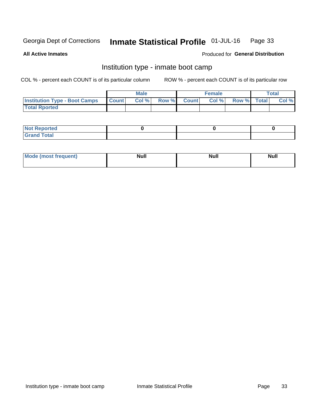#### Inmate Statistical Profile 01-JUL-16 Page 33

**All Active Inmates** 

### Produced for General Distribution

# Institution type - inmate boot camp

COL % - percent each COUNT is of its particular column

|                                      |              | <b>Male</b> |               |              | <b>Female</b> |             | <b>Total</b> |
|--------------------------------------|--------------|-------------|---------------|--------------|---------------|-------------|--------------|
| <b>Institution Type - Boot Camps</b> | <b>Count</b> | Col %       | <b>Row %I</b> | <b>Count</b> | Col %         | Row % Total | Col %        |
| <b>Total Rported</b>                 |              |             |               |              |               |             |              |

| <b>Not Reported</b>            |  |  |
|--------------------------------|--|--|
| <b>Total</b><br>C <sub>r</sub> |  |  |

| <b>AhoM</b><br>st frequent)<br>TIMOS | <b>Null</b> | <b>Null</b> | <b>Null</b> |
|--------------------------------------|-------------|-------------|-------------|
|                                      |             |             |             |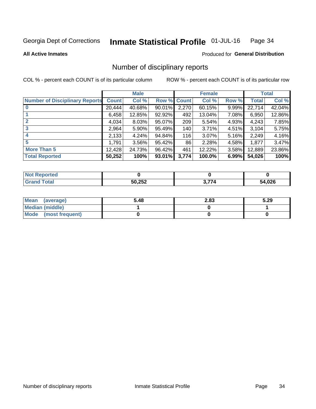#### Inmate Statistical Profile 01-JUL-16 Page 34

**All Active Inmates** 

### Produced for General Distribution

# Number of disciplinary reports

COL % - percent each COUNT is of its particular column

|                                       |              | <b>Male</b> |                    |       | <b>Female</b> |       |              | <b>Total</b> |
|---------------------------------------|--------------|-------------|--------------------|-------|---------------|-------|--------------|--------------|
| <b>Number of Disciplinary Reports</b> | <b>Count</b> | Col %       | <b>Row % Count</b> |       | Col %         | Row % | <b>Total</b> | Col %        |
|                                       | 20,444       | 40.68%      | $90.01\%$          | 2,270 | 60.15%        | 9.99% | 22,714       | 42.04%       |
|                                       | 6,458        | 12.85%      | 92.92%             | 492   | 13.04%        | 7.08% | 6,950        | 12.86%       |
|                                       | 4,034        | 8.03%       | 95.07%             | 209   | 5.54%         | 4.93% | 4,243        | 7.85%        |
| 3                                     | 2.964        | 5.90%       | 95.49%             | 140   | 3.71%         | 4.51% | 3,104        | 5.75%        |
|                                       | 2,133        | 4.24%       | 94.84%             | 116   | 3.07%         | 5.16% | 2,249        | 4.16%        |
| 5                                     | 1,791        | 3.56%       | 95.42%             | 86    | 2.28%         | 4.58% | 1,877        | 3.47%        |
| <b>More Than 5</b>                    | 12,428       | 24.73%      | 96.42%             | 461   | 12.22%        | 3.58% | 12,889       | 23.86%       |
| <b>Total Reported</b>                 | 50,252       | 100%        | 93.01%             | 3,774 | 100.0%        | 6.99% | 54,026       | 100%         |

| orted<br><b>NOT</b> |        |    |             |
|---------------------|--------|----|-------------|
| <b>Total</b>        | 50,252 | —— | 4,026<br>54 |

| Mean (average)       | 5.48 | 2.83 | 5.29 |
|----------------------|------|------|------|
| Median (middle)      |      |      |      |
| Mode (most frequent) |      |      |      |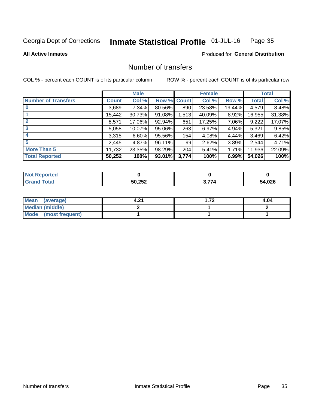#### Inmate Statistical Profile 01-JUL-16 Page 35

**All Active Inmates** 

### **Produced for General Distribution**

# Number of transfers

COL % - percent each COUNT is of its particular column

|                            |              | <b>Male</b> |                    |       | <b>Female</b> |          |              | <b>Total</b> |
|----------------------------|--------------|-------------|--------------------|-------|---------------|----------|--------------|--------------|
| <b>Number of Transfers</b> | <b>Count</b> | Col %       | <b>Row % Count</b> |       | Col %         | Row %    | <b>Total</b> | Col %        |
|                            | 3,689        | $7.34\%$    | 80.56%             | 890   | 23.58%        | 19.44%   | 4,579        | 8.48%        |
|                            | 15,442       | 30.73%      | $91.08\%$          | 1,513 | 40.09%        | 8.92%    | 16,955       | 31.38%       |
| $\mathbf{2}$               | 8,571        | 17.06%      | 92.94%             | 651   | 17.25%        | 7.06%    | 9,222        | 17.07%       |
| 3                          | 5,058        | 10.07%      | $95.06\%$          | 263   | 6.97%         | $4.94\%$ | 5,321        | 9.85%        |
|                            | 3,315        | 6.60%       | 95.56%             | 154   | 4.08%         | 4.44%    | 3,469        | 6.42%        |
| 5                          | 2,445        | 4.87%       | 96.11%             | 99    | 2.62%         | 3.89%    | 2,544        | 4.71%        |
| <b>More Than 5</b>         | 11,732       | 23.35%      | 98.29%             | 204   | 5.41%         | 1.71%    | 11,936       | 22.09%       |
| <b>Total Reported</b>      | 50,252       | 100%        | 93.01%             | 3,774 | 100%          | 6.99%    | 54,026       | 100%         |

| <b>Not Reported</b> |        |            |        |
|---------------------|--------|------------|--------|
| ™otal               | 50,252 | <u>тт.</u> | 54,026 |

| Mean (average)         | . റ≁ | - 70<br>. <i>.</i> | 4.04 |
|------------------------|------|--------------------|------|
| <b>Median (middle)</b> |      |                    |      |
| Mode (most frequent)   |      |                    |      |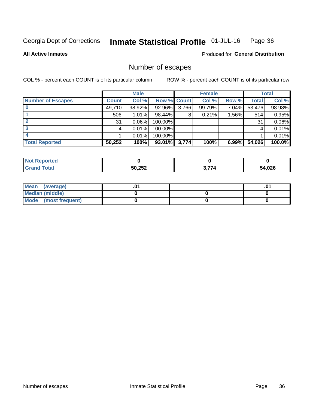#### Inmate Statistical Profile 01-JUL-16 Page 36

### **All Active Inmates**

**Produced for General Distribution** 

# Number of escapes

COL % - percent each COUNT is of its particular column

|                          |              | <b>Male</b> |             |       | <b>Female</b> |       |        | <b>Total</b> |
|--------------------------|--------------|-------------|-------------|-------|---------------|-------|--------|--------------|
| <b>Number of Escapes</b> | <b>Count</b> | Col %       | Row % Count |       | Col %         | Row % | Total  | Col %        |
|                          | 49,710       | 98.92%      | 92.96%      | 3,766 | 99.79%        | 7.04% | 53,476 | 98.98%       |
|                          | 506          | 1.01%       | 98.44%      | 8     | 0.21%         | 1.56% | 514    | 0.95%        |
|                          | 31           | 0.06%       | 100.00%     |       |               |       | 31     | 0.06%        |
|                          |              | 0.01%       | 100.00%     |       |               |       |        | 0.01%        |
|                          |              | 0.01%       | 100.00%     |       |               |       |        | 0.01%        |
| <b>Total Reported</b>    | 50,252       | 100%        | $93.01\%$   | 3,774 | 100%          | 6.99% | 54,026 | 100.0%       |

| . .<br>prted |                 |      |      |
|--------------|-----------------|------|------|
| <b>Total</b> | 50.252<br>ےں ے, | $-7$ | ,026 |

| Mean (average)       |  | .0 <sup>1</sup> |
|----------------------|--|-----------------|
| Median (middle)      |  |                 |
| Mode (most frequent) |  |                 |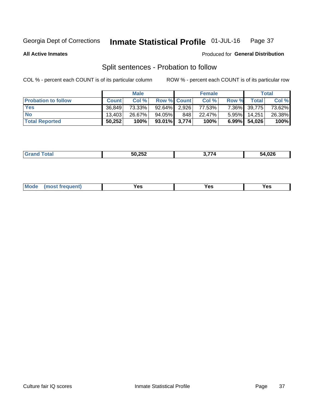#### Inmate Statistical Profile 01-JUL-16 Page 37

**All Active Inmates** 

### Produced for General Distribution

# Split sentences - Probation to follow

COL % - percent each COUNT is of its particular column

|                            |              | <b>Male</b> |                    |     | <b>Female</b> |       |              | <b>Total</b> |
|----------------------------|--------------|-------------|--------------------|-----|---------------|-------|--------------|--------------|
| <b>Probation to follow</b> | <b>Count</b> | Col%        | <b>Row % Count</b> |     | Col %         | Row % | Total        | Col %        |
| <b>Yes</b>                 | 36.849       | 73.33%      | 92.64% 2.926       |     | 77.53%        |       | 7.36% 39,775 | 73.62%       |
| <b>No</b>                  | 13.403       | 26.67%      | 94.05%             | 848 | 22.47%        |       | 5.95% 14,251 | 26.38%       |
| <b>Total Reported</b>      | 50,252       | 100%        | $93.01\%$ 3,774    |     | 100%          |       | 6.99% 54,026 | 100%         |

| ________ | $F^{\prime}$ $F^{\prime}$<br>ືີ<br>___ | $\sim$ $\sim$ $\sim$<br>,, | $\sqrt{2}$<br>,v∠v |
|----------|----------------------------------------|----------------------------|--------------------|
|          |                                        |                            |                    |

| $Moo$<br>requent<br>′es<br>Yes<br><b>YAC</b><br>. |
|---------------------------------------------------|
|---------------------------------------------------|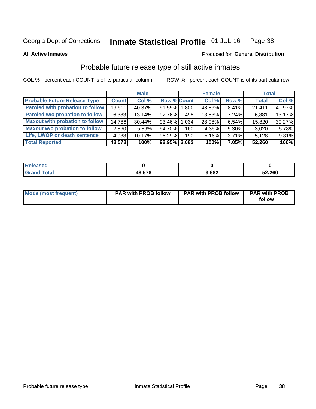#### Inmate Statistical Profile 01-JUL-16 Page 38

**All Active Inmates** 

### Produced for General Distribution

# Probable future release type of still active inmates

COL % - percent each COUNT is of its particular column

|                                         |              | <b>Male</b> |                    |                  | <b>Female</b> |       | <b>Total</b> |        |
|-----------------------------------------|--------------|-------------|--------------------|------------------|---------------|-------|--------------|--------|
| <b>Probable Future Release Type</b>     | <b>Count</b> | Col%        | <b>Row % Count</b> |                  | Col %         | Row % | <b>Total</b> | Col %  |
| <b>Paroled with probation to follow</b> | 19,611       | 40.37%      | 91.59% 1.800       |                  | 48.89%        | 8.41% | 21,411       | 40.97% |
| Paroled w/o probation to follow         | 6,383        | 13.14%      | 92.76%             | 498              | 13.53%        | 7.24% | 6,881        | 13.17% |
| <b>Maxout with probation to follow</b>  | 14,786       | 30.44%      | 93.46% 1.034       |                  | 28.08%        | 6.54% | 15,820       | 30.27% |
| <b>Maxout w/o probation to follow</b>   | 2,860        | 5.89%       | 94.70%             | 160              | 4.35%         | 5.30% | 3,020        | 5.78%  |
| Life, LWOP or death sentence            | 4,938        | 10.17%      | 96.29%             | 190 <sub>l</sub> | 5.16%         | 3.71% | 5,128        | 9.81%  |
| <b>Total Reported</b>                   | 48,578       | 100%        | $92.95\%$ 3,682    |                  | 100%          | 7.05% | 52,260       | 100%   |

| eleased |               |       |        |
|---------|---------------|-------|--------|
| otal    | <b>AR 578</b> | 3,682 | 52,260 |

| Mode (most frequent) | <b>PAR with PROB follow</b> | <b>PAR with PROB follow</b> | <b>PAR with PROB</b><br>follow |
|----------------------|-----------------------------|-----------------------------|--------------------------------|
|                      |                             |                             |                                |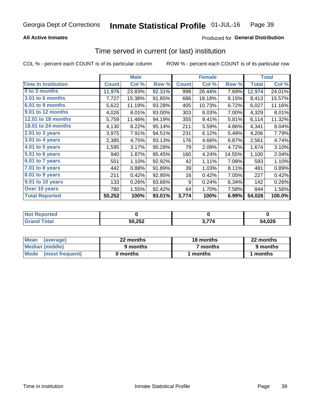### **All Active Inmates**

### Produced for General Distribution

# Time served in current (or last) institution

COL % - percent each COUNT is of its particular column

|                            |              | <b>Male</b> |        |              | <b>Female</b> |        |              | <b>Total</b> |
|----------------------------|--------------|-------------|--------|--------------|---------------|--------|--------------|--------------|
| <b>Time In Institution</b> | <b>Count</b> | Col %       | Row %  | <b>Count</b> | Col %         | Row %  | <b>Total</b> | Col $%$      |
| 0 to 3 months              | 11,976       | 23.83%      | 92.31% | 998          | 26.44%        | 7.69%  | 12,974       | 24.01%       |
| <b>3.01 to 6 months</b>    | 7,727        | 15.38%      | 91.85% | 686          | 18.18%        | 8.15%  | 8,413        | 15.57%       |
| 6.01 to 9 months           | 5,622        | 11.19%      | 93.28% | 405          | 10.73%        | 6.72%  | 6,027        | 11.16%       |
| 9.01 to 12 months          | 4,026        | 8.01%       | 93.00% | 303          | 8.03%         | 7.00%  | 4,329        | 8.01%        |
| <b>12.01 to 18 months</b>  | 5,759        | 11.46%      | 94.19% | 355          | 9.41%         | 5.81%  | 6,114        | 11.32%       |
| <b>18.01 to 24 months</b>  | 4,130        | 8.22%       | 95.14% | 211          | 5.59%         | 4.86%  | 4,341        | 8.04%        |
| 2.01 to 3 years            | 3,975        | 7.91%       | 94.51% | 231          | 6.12%         | 5.49%  | 4,206        | 7.79%        |
| $3.01$ to 4 years          | 2,385        | 4.75%       | 93.13% | 176          | 4.66%         | 6.87%  | 2,561        | 4.74%        |
| 4.01 to 5 years            | 1,595        | 3.17%       | 95.28% | 79           | 2.09%         | 4.72%  | 1,674        | 3.10%        |
| 5.01 to 6 years            | 940          | 1.87%       | 85.45% | 160          | 4.24%         | 14.55% | 1,100        | 2.04%        |
| $6.01$ to 7 years          | 551          | 1.10%       | 92.92% | 42           | 1.11%         | 7.08%  | 593          | 1.10%        |
| $7.01$ to 8 years          | 442          | 0.88%       | 91.89% | 39           | 1.03%         | 8.11%  | 481          | 0.89%        |
| $8.01$ to 9 years          | 211          | 0.42%       | 92.95% | 16           | 0.42%         | 7.05%  | 227          | 0.42%        |
| 9.01 to 10 years           | 133          | 0.26%       | 93.66% | 9            | 0.24%         | 6.34%  | 142          | 0.26%        |
| Over 10 years              | 780          | 1.55%       | 92.42% | 64           | 1.70%         | 7.58%  | 844          | 1.56%        |
| <b>Total Reported</b>      | 50,252       | 100%        | 93.01% | 3,774        | 100%          | 6.99%  | 54,026       | 100.0%       |

| <b>Renorted</b><br><b>Not</b> |        |                         |
|-------------------------------|--------|-------------------------|
| rotal.                        | 50,252 | $^{\bullet}$ .026<br>54 |

| <b>Mean</b><br>(average) | 22 months | 18 months | 22 months |
|--------------------------|-----------|-----------|-----------|
| Median (middle)          | 9 months  | 7 months  | 9 months  |
| Mode (most frequent)     | 0 months  | months    | l months  |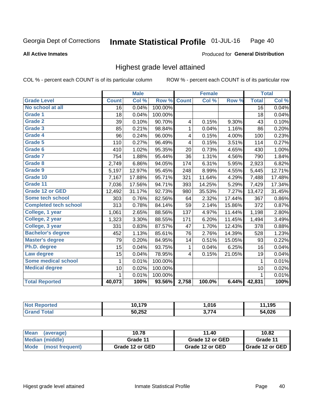**All Active Inmates** 

### Produced for General Distribution

## Highest grade level attained

COL % - percent each COUNT is of its particular column

|                              |                 | <b>Male</b> |         |                         | <b>Female</b> |        |                 | <b>Total</b> |
|------------------------------|-----------------|-------------|---------|-------------------------|---------------|--------|-----------------|--------------|
| <b>Grade Level</b>           | <b>Count</b>    | Col %       | Row %   | <b>Count</b>            | Col%          | Row %  | <b>Total</b>    | Col %        |
| No school at all             | $\overline{16}$ | 0.04%       | 100.00% |                         |               |        | $\overline{16}$ | 0.04%        |
| <b>Grade 1</b>               | 18              | 0.04%       | 100.00% |                         |               |        | 18              | 0.04%        |
| <b>Grade 2</b>               | 39              | 0.10%       | 90.70%  | $\overline{\mathbf{4}}$ | 0.15%         | 9.30%  | 43              | 0.10%        |
| Grade 3                      | 85              | 0.21%       | 98.84%  | $\mathbf{1}$            | 0.04%         | 1.16%  | 86              | 0.20%        |
| Grade 4                      | 96              | 0.24%       | 96.00%  | 4                       | 0.15%         | 4.00%  | 100             | 0.23%        |
| Grade 5                      | 110             | 0.27%       | 96.49%  | 4                       | 0.15%         | 3.51%  | 114             | 0.27%        |
| Grade 6                      | 410             | 1.02%       | 95.35%  | 20                      | 0.73%         | 4.65%  | 430             | 1.00%        |
| <b>Grade 7</b>               | 754             | 1.88%       | 95.44%  | 36                      | 1.31%         | 4.56%  | 790             | 1.84%        |
| Grade 8                      | 2,749           | 6.86%       | 94.05%  | 174                     | 6.31%         | 5.95%  | 2,923           | 6.82%        |
| Grade 9                      | 5,197           | 12.97%      | 95.45%  | 248                     | 8.99%         | 4.55%  | 5,445           | 12.71%       |
| Grade 10                     | 7,167           | 17.88%      | 95.71%  | 321                     | 11.64%        | 4.29%  | 7,488           | 17.48%       |
| Grade 11                     | 7,036           | 17.56%      | 94.71%  | 393                     | 14.25%        | 5.29%  | 7,429           | 17.34%       |
| <b>Grade 12 or GED</b>       | 12,492          | 31.17%      | 92.73%  | 980                     | 35.53%        | 7.27%  | 13,472          | 31.45%       |
| <b>Some tech school</b>      | 303             | 0.76%       | 82.56%  | 64                      | 2.32%         | 17.44% | 367             | 0.86%        |
| <b>Completed tech school</b> | 313             | 0.78%       | 84.14%  | 59                      | 2.14%         | 15.86% | 372             | 0.87%        |
| College, 1 year              | 1,061           | 2.65%       | 88.56%  | 137                     | 4.97%         | 11.44% | 1,198           | 2.80%        |
| College, 2 year              | 1,323           | 3.30%       | 88.55%  | 171                     | 6.20%         | 11.45% | 1,494           | 3.49%        |
| College, 3 year              | 331             | 0.83%       | 87.57%  | 47                      | 1.70%         | 12.43% | 378             | 0.88%        |
| <b>Bachelor's degree</b>     | 452             | 1.13%       | 85.61%  | 76                      | 2.76%         | 14.39% | 528             | 1.23%        |
| <b>Master's degree</b>       | 79              | 0.20%       | 84.95%  | 14                      | 0.51%         | 15.05% | 93              | 0.22%        |
| Ph.D. degree                 | 15              | 0.04%       | 93.75%  | 1                       | 0.04%         | 6.25%  | 16              | 0.04%        |
| Law degree                   | 15              | 0.04%       | 78.95%  | 4                       | 0.15%         | 21.05% | 19              | 0.04%        |
| <b>Some medical school</b>   | 1               | 0.01%       | 100.00% |                         |               |        | 1               | 0.01%        |
| <b>Medical degree</b>        | 10              | 0.02%       | 100.00% |                         |               |        | 10              | 0.02%        |
|                              | 1               | 0.01%       | 100.00% |                         |               |        | 1               | 0.01%        |
| <b>Total Reported</b>        | 40,073          | 100%        | 93.56%  | 2,758                   | 100.0%        | 6.44%  | 42,831          | 100%         |

| 170<br>- 1    | .016 | 195  |
|---------------|------|------|
| 50,252<br>∠ن∠ | 77.  | .026 |

| <b>Mean</b><br>(average) | 10.78           | 11.40           | 10.82           |
|--------------------------|-----------------|-----------------|-----------------|
| Median (middle)          | Grade 11        | Grade 12 or GED | Grade 11        |
| Mode<br>(most frequent)  | Grade 12 or GED | Grade 12 or GED | Grade 12 or GED |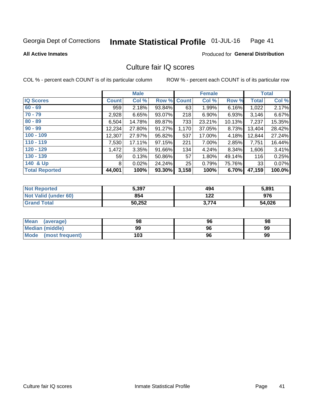#### Inmate Statistical Profile 01-JUL-16 Page 41

**All Active Inmates** 

### **Produced for General Distribution**

## Culture fair IQ scores

COL % - percent each COUNT is of its particular column

|                       |                 | <b>Male</b> |             |       | <b>Female</b> |        |                 | <b>Total</b> |
|-----------------------|-----------------|-------------|-------------|-------|---------------|--------|-----------------|--------------|
| <b>IQ Scores</b>      | <b>Count</b>    | Col %       | Row % Count |       | Col %         | Row %  | <b>Total</b>    | Col %        |
| $60 - 69$             | 959             | 2.18%       | 93.84%      | 63    | 1.99%         | 6.16%  | 1,022           | 2.17%        |
| $70 - 79$             | 2,928           | 6.65%       | 93.07%      | 218   | 6.90%         | 6.93%  | 3,146           | 6.67%        |
| $80 - 89$             | 6,504           | 14.78%      | 89.87%      | 733   | 23.21%        | 10.13% | 7,237           | 15.35%       |
| $90 - 99$             | 12,234          | 27.80%      | 91.27%      | 1,170 | 37.05%        | 8.73%  | 13,404          | 28.42%       |
| $100 - 109$           | 12,307          | 27.97%      | $95.82\%$   | 537   | 17.00%        | 4.18%  | 12,844          | 27.24%       |
| $110 - 119$           | 7,530           | 17.11%      | $97.15\%$   | 221   | $7.00\%$      | 2.85%  | 7,751           | 16.44%       |
| $120 - 129$           | 1,472           | 3.35%       | 91.66%      | 134   | 4.24%         | 8.34%  | 1,606           | 3.41%        |
| $130 - 139$           | 59 <sub>l</sub> | 0.13%       | 50.86%      | 57    | 1.80%         | 49.14% | 116             | 0.25%        |
| 140 & Up              | 8               | 0.02%       | 24.24%      | 25    | 0.79%         | 75.76% | 33 <sup>1</sup> | 0.07%        |
| <b>Total Reported</b> | 44,001          | 100%        | 93.30%      | 3,158 | 100%          | 6.70%  | 47,159          | 100.0%       |

| <b>Not Reported</b>  | 5,397  | 494   | 5,891  |
|----------------------|--------|-------|--------|
| Not Valid (under 60) | 854    | 122   | 976    |
| <b>Grand Total</b>   | 50,252 | 3,774 | 54,026 |

| <b>Mean</b><br>(average)       | 98  | 96 | 98 |
|--------------------------------|-----|----|----|
| Median (middle)                | 99  | 96 | 99 |
| <b>Mode</b><br>(most frequent) | 103 | 96 | 99 |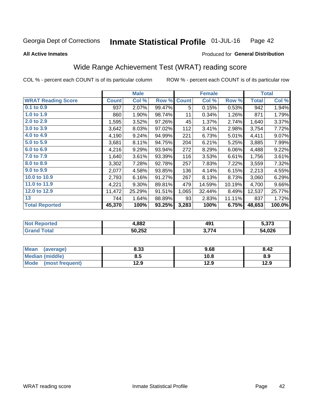#### Inmate Statistical Profile 01-JUL-16 Page 42

**All Active Inmates** 

### Produced for General Distribution

## Wide Range Achievement Test (WRAT) reading score

COL % - percent each COUNT is of its particular column

|                           |              | <b>Male</b> |        |              | <b>Female</b> |        |              | <b>Total</b> |
|---------------------------|--------------|-------------|--------|--------------|---------------|--------|--------------|--------------|
| <b>WRAT Reading Score</b> | <b>Count</b> | Col %       | Row %  | <b>Count</b> | Col %         | Row %  | <b>Total</b> | Col %        |
| 0.1 to 0.9                | 937          | 2.07%       | 99.47% | 5            | 0.15%         | 0.53%  | 942          | 1.94%        |
| 1.0 to 1.9                | 860          | 1.90%       | 98.74% | 11           | 0.34%         | 1.26%  | 871          | 1.79%        |
| 2.0 to 2.9                | 1,595        | 3.52%       | 97.26% | 45           | 1.37%         | 2.74%  | 1,640        | 3.37%        |
| 3.0 to 3.9                | 3,642        | 8.03%       | 97.02% | 112          | 3.41%         | 2.98%  | 3,754        | 7.72%        |
| 4.0 to 4.9                | 4,190        | 9.24%       | 94.99% | 221          | 6.73%         | 5.01%  | 4,411        | 9.07%        |
| 5.0 to 5.9                | 3,681        | 8.11%       | 94.75% | 204          | 6.21%         | 5.25%  | 3,885        | 7.99%        |
| 6.0 to 6.9                | 4,216        | 9.29%       | 93.94% | 272          | 8.29%         | 6.06%  | 4,488        | 9.22%        |
| 7.0 to 7.9                | 1,640        | 3.61%       | 93.39% | 116          | 3.53%         | 6.61%  | 1,756        | 3.61%        |
| 8.0 to 8.9                | 3,302        | 7.28%       | 92.78% | 257          | 7.83%         | 7.22%  | 3,559        | 7.32%        |
| 9.0 to 9.9                | 2,077        | 4.58%       | 93.85% | 136          | 4.14%         | 6.15%  | 2,213        | 4.55%        |
| 10.0 to 10.9              | 2,793        | 6.16%       | 91.27% | 267          | 8.13%         | 8.73%  | 3,060        | 6.29%        |
| 11.0 to 11.9              | 4,221        | 9.30%       | 89.81% | 479          | 14.59%        | 10.19% | 4,700        | 9.66%        |
| 12.0 to 12.9              | 11,472       | 25.29%      | 91.51% | 1,065        | 32.44%        | 8.49%  | 12,537       | 25.77%       |
| 13                        | 744          | 1.64%       | 88.89% | 93           | 2.83%         | 11.11% | 837          | 1.72%        |
| <b>Total Reported</b>     | 45,370       | 100%        | 93.25% | 3,283        | 100%          | 6.75%  | 48,653       | 100.0%       |

| onceo       | 4,882  | 49' | ^ ~~<br>J.J I J |
|-------------|--------|-----|-----------------|
| <b>otal</b> | 50,252 | 77/ | 54,026          |

| <b>Mean</b><br>(average) | 8.33 | 9.68 | 8.42 |
|--------------------------|------|------|------|
| <b>Median (middle)</b>   | 8.5  | 10.8 | 8.9  |
| Mode (most frequent)     | 12.9 | 12.9 | 12.9 |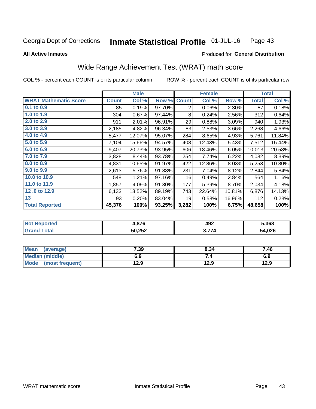#### Inmate Statistical Profile 01-JUL-16 Page 43

**All Active Inmates** 

#### Produced for General Distribution

## Wide Range Achievement Test (WRAT) math score

COL % - percent each COUNT is of its particular column

|                              |              | <b>Male</b> |        |                | <b>Female</b> |        |              | <b>Total</b> |
|------------------------------|--------------|-------------|--------|----------------|---------------|--------|--------------|--------------|
| <b>WRAT Mathematic Score</b> | <b>Count</b> | Col %       | Row %  | <b>Count</b>   | Col %         | Row %  | <b>Total</b> | Col %        |
| 0.1 to 0.9                   | 85           | 0.19%       | 97.70% | $\overline{2}$ | 0.06%         | 2.30%  | 87           | 0.18%        |
| 1.0 to 1.9                   | 304          | 0.67%       | 97.44% | 8              | 0.24%         | 2.56%  | 312          | 0.64%        |
| 2.0 to 2.9                   | 911          | 2.01%       | 96.91% | 29             | 0.88%         | 3.09%  | 940          | 1.93%        |
| 3.0 to 3.9                   | 2,185        | 4.82%       | 96.34% | 83             | 2.53%         | 3.66%  | 2,268        | 4.66%        |
| 4.0 to 4.9                   | 5,477        | 12.07%      | 95.07% | 284            | 8.65%         | 4.93%  | 5,761        | 11.84%       |
| 5.0 to 5.9                   | 7,104        | 15.66%      | 94.57% | 408            | 12.43%        | 5.43%  | 7,512        | 15.44%       |
| 6.0 to 6.9                   | 9,407        | 20.73%      | 93.95% | 606            | 18.46%        | 6.05%  | 10,013       | 20.58%       |
| 7.0 to 7.9                   | 3,828        | 8.44%       | 93.78% | 254            | 7.74%         | 6.22%  | 4,082        | 8.39%        |
| 8.0 to 8.9                   | 4,831        | 10.65%      | 91.97% | 422            | 12.86%        | 8.03%  | 5,253        | 10.80%       |
| 9.0 to 9.9                   | 2,613        | 5.76%       | 91.88% | 231            | 7.04%         | 8.12%  | 2,844        | 5.84%        |
| 10.0 to 10.9                 | 548          | 1.21%       | 97.16% | 16             | 0.49%         | 2.84%  | 564          | 1.16%        |
| 11.0 to 11.9                 | 1,857        | 4.09%       | 91.30% | 177            | 5.39%         | 8.70%  | 2,034        | 4.18%        |
| 12.0 to 12.9                 | 6,133        | 13.52%      | 89.19% | 743            | 22.64%        | 10.81% | 6,876        | 14.13%       |
| 13                           | 93           | 0.20%       | 83.04% | 19             | 0.58%         | 16.96% | 112          | 0.23%        |
| <b>Total Reported</b>        | 45,376       | 100%        | 93.25% | 3,282          | 100%          | 6.75%  | 48,658       | 100%         |

| <b>NOT</b><br>≺eported | .876   | 492         | 5,368  |
|------------------------|--------|-------------|--------|
| <b>cotal</b>           | 50,252 | <b>2 77</b> | 54,026 |

| <b>Mean</b><br>(average) | 7.39 | 8.34 | 7.46 |
|--------------------------|------|------|------|
| Median (middle)          | 6.9  | ۰.,  | 6.9  |
| Mode<br>(most frequent)  | 12.9 | 12.9 | 12.9 |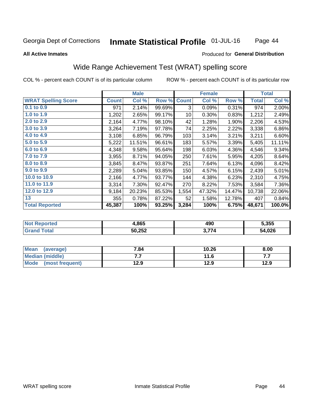#### **Inmate Statistical Profile 01-JUL-16** Page 44

#### **All Active Inmates**

### Produced for General Distribution

## Wide Range Achievement Test (WRAT) spelling score

COL % - percent each COUNT is of its particular column

|                            |              | <b>Male</b> |        |              | <b>Female</b> |        |              | <b>Total</b> |
|----------------------------|--------------|-------------|--------|--------------|---------------|--------|--------------|--------------|
| <b>WRAT Spelling Score</b> | <b>Count</b> | Col %       | Row %  | <b>Count</b> | Col %         | Row %  | <b>Total</b> | Col %        |
| $0.1$ to $0.9$             | 971          | 2.14%       | 99.69% | 3            | 0.09%         | 0.31%  | 974          | 2.00%        |
| 1.0 to 1.9                 | 1,202        | 2.65%       | 99.17% | 10           | 0.30%         | 0.83%  | 1,212        | 2.49%        |
| 2.0 to 2.9                 | 2,164        | 4.77%       | 98.10% | 42           | 1.28%         | 1.90%  | 2,206        | 4.53%        |
| 3.0 to 3.9                 | 3,264        | 7.19%       | 97.78% | 74           | 2.25%         | 2.22%  | 3,338        | 6.86%        |
| 4.0 to 4.9                 | 3,108        | 6.85%       | 96.79% | 103          | 3.14%         | 3.21%  | 3,211        | 6.60%        |
| 5.0 to 5.9                 | 5,222        | 11.51%      | 96.61% | 183          | 5.57%         | 3.39%  | 5,405        | 11.11%       |
| 6.0 to 6.9                 | 4,348        | 9.58%       | 95.64% | 198          | 6.03%         | 4.36%  | 4,546        | 9.34%        |
| 7.0 to 7.9                 | 3,955        | 8.71%       | 94.05% | 250          | 7.61%         | 5.95%  | 4,205        | 8.64%        |
| 8.0 to 8.9                 | 3,845        | 8.47%       | 93.87% | 251          | 7.64%         | 6.13%  | 4,096        | 8.42%        |
| 9.0 to 9.9                 | 2,289        | 5.04%       | 93.85% | 150          | 4.57%         | 6.15%  | 2,439        | 5.01%        |
| 10.0 to 10.9               | 2,166        | 4.77%       | 93.77% | 144          | 4.38%         | 6.23%  | 2,310        | 4.75%        |
| 11.0 to 11.9               | 3,314        | 7.30%       | 92.47% | 270          | 8.22%         | 7.53%  | 3,584        | 7.36%        |
| 12.0 to 12.9               | 9,184        | 20.23%      | 85.53% | 1,554        | 47.32%        | 14.47% | 10,738       | 22.06%       |
| 13                         | 355          | 0.78%       | 87.22% | 52           | 1.58%         | 12.78% | 407          | 0.84%        |
| <b>Total Reported</b>      | 45,387       | 100%        | 93.25% | 3,284        | 100%          | 6.75%  | 48,671       | 100.0%       |

| NO | 4,865  | 490   | 5,355  |
|----|--------|-------|--------|
|    | 50,252 | つ フフィ | 54,026 |

| Mean<br>(average)       | 7.84 | 10.26 | 8.00 |
|-------------------------|------|-------|------|
| Median (middle)         | .    | 11.6  | .    |
| Mode<br>(most frequent) | 12.9 | 12.9  | 12.9 |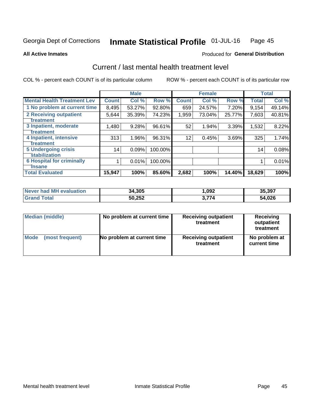#### Inmate Statistical Profile 01-JUL-16 Page 45

**All Active Inmates** 

### **Produced for General Distribution**

## Current / last mental health treatment level

COL % - percent each COUNT is of its particular column

|                                    |              | <b>Male</b> |         |              | <b>Female</b> |        |              | <b>Total</b> |
|------------------------------------|--------------|-------------|---------|--------------|---------------|--------|--------------|--------------|
| <b>Mental Health Treatment Lev</b> | <b>Count</b> | Col %       | Row %   | <b>Count</b> | Col %         | Row %  | <b>Total</b> | Col %        |
| 1 No problem at current time       | 8,495        | 53.27%      | 92.80%  | 659          | 24.57%        | 7.20%  | 9,154        | 49.14%       |
| 2 Receiving outpatient             | 5,644        | 35.39%      | 74.23%  | 1,959        | 73.04%        | 25.77% | 7,603        | 40.81%       |
| <b>Treatment</b>                   |              |             |         |              |               |        |              |              |
| 3 Inpatient, moderate              | 1,480        | 9.28%       | 96.61%  | 52           | 1.94%         | 3.39%  | 1,532        | 8.22%        |
| <b>Treatment</b>                   |              |             |         |              |               |        |              |              |
| 4 Inpatient, intensive             | 313          | 1.96%       | 96.31%  | 12           | 0.45%         | 3.69%  | 325          | 1.74%        |
| Treatment                          |              |             |         |              |               |        |              |              |
| <b>5 Undergoing crisis</b>         | 14           | 0.09%       | 100.00% |              |               |        | 14           | 0.08%        |
| <b>stabilization</b>               |              |             |         |              |               |        |              |              |
| <b>6 Hospital for criminally</b>   |              | 0.01%       | 100.00% |              |               |        |              | 0.01%        |
| <b>Tinsane</b>                     |              |             |         |              |               |        |              |              |
| <b>Total Evaluated</b>             | 15,947       | 100%        | 85.60%  | 2,682        | 100%          | 14.40% | 18,629       | 100%         |

| <b>Never had MH evaluation</b> | 34,305 | ,092                 | 35,397 |
|--------------------------------|--------|----------------------|--------|
| $\mathsf{Total}$               | 50,252 | —— <i>—</i><br>3.774 | 54,026 |

| Median (middle) | No problem at current time | <b>Receiving outpatient</b><br>treatment | <b>Receiving</b><br>outpatient<br>treatment |
|-----------------|----------------------------|------------------------------------------|---------------------------------------------|
| <b>Mode</b>     | No problem at current time | <b>Receiving outpatient</b>              | No problem at                               |
| (most frequent) |                            | treatment                                | current time                                |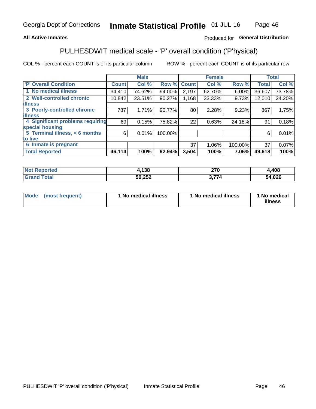### **All Active Inmates**

### Produced for General Distribution

## PULHESDWIT medical scale - 'P' overall condition ('P'hysical)

COL % - percent each COUNT is of its particular column

|                                  |              | <b>Male</b> |         |              | <b>Female</b> |         |              | <b>Total</b> |
|----------------------------------|--------------|-------------|---------|--------------|---------------|---------|--------------|--------------|
| 'P' Overall Condition            | <b>Count</b> | Col %       | Row %   | <b>Count</b> | Col %         | Row %   | <b>Total</b> | Col %        |
| 1 No medical illness             | 34,410       | 74.62%      | 94.00%  | 2,197        | 62.70%        | 6.00%   | 36,607       | 73.78%       |
| 2 Well-controlled chronic        | 10,842       | 23.51%      | 90.27%  | 1,168        | 33.33%        | 9.73%   | 12,010       | 24.20%       |
| <b>illness</b>                   |              |             |         |              |               |         |              |              |
| 3 Poorly-controlled chronic      | 787          | 1.71%       | 90.77%  | 80           | 2.28%         | 9.23%   | 867          | 1.75%        |
| <b>illness</b>                   |              |             |         |              |               |         |              |              |
| 4 Significant problems requiring | 69           | 0.15%       | 75.82%  | 22           | 0.63%         | 24.18%  | 91           | 0.18%        |
| special housing                  |              |             |         |              |               |         |              |              |
| 5 Terminal illness, < 6 months   | 6            | 0.01%       | 100.00% |              |               |         | 6            | 0.01%        |
| to live                          |              |             |         |              |               |         |              |              |
| 6 Inmate is pregnant             |              |             |         | 37           | 1.06%         | 100.00% | 37           | 0.07%        |
| <b>Total Reported</b>            | 46,114       | 100%        | 92.94%  | 3,504        | 100%          | 7.06%   | 49,618       | 100%         |

| 'N<br>m | .138   | 270 | ,408       |
|---------|--------|-----|------------|
|         | 50,252 | __  | <b>noc</b> |

| Mode | (most frequent) | 1 No medical illness | 1 No medical illness | 1 No medical<br>illness |
|------|-----------------|----------------------|----------------------|-------------------------|
|------|-----------------|----------------------|----------------------|-------------------------|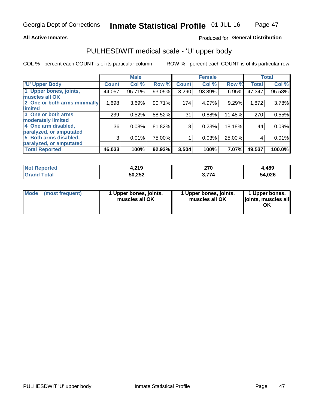### **All Active Inmates**

### Produced for General Distribution

# PULHESDWIT medical scale - 'U' upper body

COL % - percent each COUNT is of its particular column

|                                                  |              | <b>Male</b> |        |              | <b>Female</b> |        |              | <b>Total</b> |
|--------------------------------------------------|--------------|-------------|--------|--------------|---------------|--------|--------------|--------------|
| <b>'U' Upper Body</b>                            | <b>Count</b> | Col %       | Row %  | <b>Count</b> | Col %         | Row %  | <b>Total</b> | Col %        |
| 1 Upper bones, joints,<br>muscles all OK         | 44,057       | 95.71%      | 93.05% | 3,290        | 93.89%        | 6.95%  | 47,347       | 95.58%       |
| 2 One or both arms minimally<br>limited          | 1,698        | 3.69%       | 90.71% | 174          | 4.97%         | 9.29%  | 1,872        | 3.78%        |
| 3 One or both arms<br><b>moderately limited</b>  | 239          | 0.52%       | 88.52% | 31           | 0.88%         | 11.48% | 270          | 0.55%        |
| 4 One arm disabled,<br>paralyzed, or amputated   | 36           | 0.08%       | 81.82% | 8            | 0.23%         | 18.18% | 44           | 0.09%        |
| 5 Both arms disabled,<br>paralyzed, or amputated | 3            | 0.01%       | 75.00% |              | 0.03%         | 25.00% | 4            | 0.01%        |
| <b>Total Reported</b>                            | 46,033       | 100%        | 92.93% | 3,504        | 100%          | 7.07%  | 49,537       | 100.0%       |

| <b>Not Reported</b>          | 4,219  | 270   | ,489   |
|------------------------------|--------|-------|--------|
| <b>Total</b><br><b>Grand</b> | 50,252 | 3,774 | 54,026 |

|  | Mode (most frequent) | 1 Upper bones, joints,<br>muscles all OK | 1 Upper bones, joints,<br>muscles all OK | 1 Upper bones,<br>ljoints, muscles all<br>ΟK |
|--|----------------------|------------------------------------------|------------------------------------------|----------------------------------------------|
|--|----------------------|------------------------------------------|------------------------------------------|----------------------------------------------|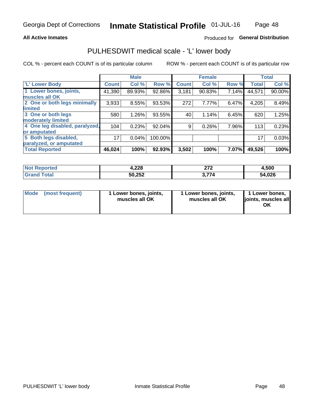### **All Active Inmates**

### Produced for General Distribution

## PULHESDWIT medical scale - 'L' lower body

COL % - percent each COUNT is of its particular column

|                                |              | <b>Male</b> |         |              | <b>Female</b> |       |              | <b>Total</b> |
|--------------------------------|--------------|-------------|---------|--------------|---------------|-------|--------------|--------------|
| 'L' Lower Body                 | <b>Count</b> | Col %       | Row %   | <b>Count</b> | Col %         | Row % | <b>Total</b> | Col %        |
| 1 Lower bones, joints,         | 41,390       | 89.93%      | 92.86%  | 3,181        | 90.83%        | 7.14% | 44,571       | 90.00%       |
| muscles all OK                 |              |             |         |              |               |       |              |              |
| 2 One or both legs minimally   | 3,933        | 8.55%       | 93.53%  | 272          | 7.77%         | 6.47% | 4,205        | 8.49%        |
| limited                        |              |             |         |              |               |       |              |              |
| 3 One or both legs             | 580          | 1.26%       | 93.55%  | 40           | 1.14%         | 6.45% | 620          | 1.25%        |
| moderately limited             |              |             |         |              |               |       |              |              |
| 4 One leg disabled, paralyzed, | 104          | 0.23%       | 92.04%  | 9            | 0.26%         | 7.96% | 113          | 0.23%        |
| or amputated                   |              |             |         |              |               |       |              |              |
| 5 Both legs disabled,          | 17           | 0.04%       | 100.00% |              |               |       | 17           | 0.03%        |
| paralyzed, or amputated        |              |             |         |              |               |       |              |              |
| <b>Total Reported</b>          | 46,024       | 100%        | 92.93%  | 3,502        | 100%          | 7.07% | 49,526       | 100%         |

| <b>Not Reported</b> | 4,228  | היה<br>21 Z | 4,500  |
|---------------------|--------|-------------|--------|
| Total<br>Grand      | 50,252 | 3,774       | 54,026 |

| Mode | (most frequent) | 1 Lower bones, joints,<br>muscles all OK | 1 Lower bones, joints,<br>muscles all OK | 1 Lower bones,<br>ljoints, muscles all<br>ΟK |
|------|-----------------|------------------------------------------|------------------------------------------|----------------------------------------------|
|------|-----------------|------------------------------------------|------------------------------------------|----------------------------------------------|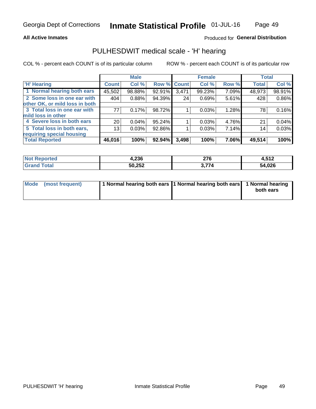### **All Active Inmates**

### Produced for General Distribution

## PULHESDWIT medical scale - 'H' hearing

COL % - percent each COUNT is of its particular column

|                                |                 | <b>Male</b> |             |       | <b>Female</b> |       | <b>Total</b> |          |
|--------------------------------|-----------------|-------------|-------------|-------|---------------|-------|--------------|----------|
| <b>'H' Hearing</b>             | <b>Count</b>    | Col %       | Row % Count |       | Col %         | Row % | <b>Total</b> | Col %    |
| 1 Normal hearing both ears     | 45,502          | 98.88%      | 92.91%      | 3,471 | 99.23%        | 7.09% | 48,973       | 98.91%   |
| 2 Some loss in one ear with    | 404             | 0.88%       | 94.39%      | 24    | 0.69%         | 5.61% | 428          | 0.86%    |
| other OK, or mild loss in both |                 |             |             |       |               |       |              |          |
| 3 Total loss in one ear with   | 77              | 0.17%       | 98.72%      |       | 0.03%         | 1.28% | 78           | 0.16%    |
| mild loss in other             |                 |             |             |       |               |       |              |          |
| 4 Severe loss in both ears     | 20 <sub>1</sub> | 0.04%       | 95.24%      |       | 0.03%         | 4.76% | 21           | $0.04\%$ |
| 5 Total loss in both ears,     | 13 <sub>1</sub> | 0.03%       | 92.86%      |       | 0.03%         | 7.14% | 14           | 0.03%    |
| requiring special housing      |                 |             |             |       |               |       |              |          |
| <b>Total Reported</b>          | 46,016          | 100%        | 92.94%      | 3,498 | 100%          | 7.06% | 49,514       | 100%     |

| <b>Not Reno</b> | nne.   | $\sim$ | 512     |
|-----------------|--------|--------|---------|
| <b>orted</b>    | 4.ZJO  | 21 V   | 1.J I Z |
| Total           | 50,252 | 771    | 54,026  |

| Mode (most frequent) | 1 Normal hearing both ears 11 Normal hearing both ears 1 Normal hearing | both ears |
|----------------------|-------------------------------------------------------------------------|-----------|
|                      |                                                                         |           |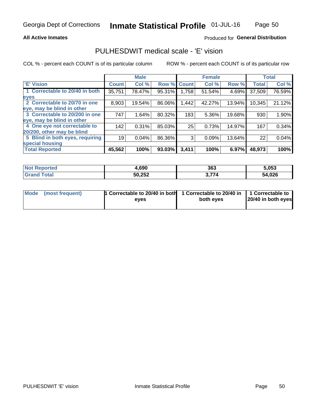### **All Active Inmates**

### Produced for General Distribution

## PULHESDWIT medical scale - 'E' vision

COL % - percent each COUNT is of its particular column

|                                 |              | <b>Male</b> |        |              | <b>Female</b> |        |              | <b>Total</b> |
|---------------------------------|--------------|-------------|--------|--------------|---------------|--------|--------------|--------------|
| <b>E' Vision</b>                | <b>Count</b> | Col %       | Row %  | <b>Count</b> | Col %         | Row %  | <b>Total</b> | Col %        |
| 1 Correctable to 20/40 in both  | 35,751       | 78.47%      | 95.31% | ا 758. ا     | 51.54%        | 4.69%  | 37,509       | 76.59%       |
| eyes                            |              |             |        |              |               |        |              |              |
| 2 Correctable to 20/70 in one   | 8,903        | 19.54%      | 86.06% | 1,442        | 42.27%        | 13.94% | 10,345       | 21.12%       |
| eye, may be blind in other      |              |             |        |              |               |        |              |              |
| 3 Correctable to 20/200 in one  | 747          | 1.64%       | 80.32% | 183          | 5.36%         | 19.68% | 930          | 1.90%        |
| eye, may be blind in other      |              |             |        |              |               |        |              |              |
| 4 One eye not correctable to    | 142          | 0.31%       | 85.03% | 25           | 0.73%         | 14.97% | 167          | 0.34%        |
| 20/200, other may be blind      |              |             |        |              |               |        |              |              |
| 5 Blind in both eyes, requiring | 19           | 0.04%       | 86.36% | 3            | 0.09%         | 13.64% | 22           | 0.04%        |
| special housing                 |              |             |        |              |               |        |              |              |
| <b>Total Reported</b>           | 45,562       | 100%        | 93.03% | 3,411        | 100%          | 6.97%  | 48,973       | 100%         |

| <b>Not Reported</b> | 1.690  | 363         | 5,053  |
|---------------------|--------|-------------|--------|
| Гоtа                | 50,252 | , ,,,<br>74 | 54,026 |

| Mode (most frequent) | 1 Correctable to 20/40 in both<br>eves | 1 Correctable to 20/40 in   1 Correctable to  <br>both eves | 20/40 in both eyes |
|----------------------|----------------------------------------|-------------------------------------------------------------|--------------------|
|                      |                                        |                                                             |                    |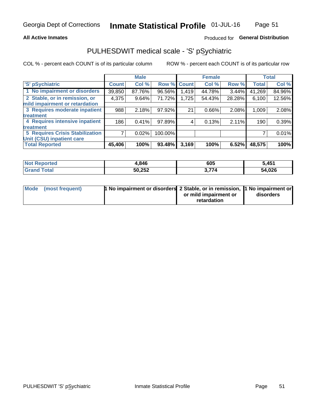### **All Active Inmates**

### Produced for General Distribution

## PULHESDWIT medical scale - 'S' pSychiatric

COL % - percent each COUNT is of its particular column

|                                        |              | <b>Male</b> |         |             | <b>Female</b> |        |              | <b>Total</b> |
|----------------------------------------|--------------|-------------|---------|-------------|---------------|--------|--------------|--------------|
| 'S' pSychiatric                        | <b>Count</b> | Col %       |         | Row % Count | Col %         | Row %  | <b>Total</b> | Col %        |
| 1 No impairment or disorders           | 39,850       | 87.76%      | 96.56%  | 1,419       | 44.78%        | 3.44%  | 41,269       | 84.96%       |
| 2 Stable, or in remission, or          | 4,375        | 9.64%       | 71.72%  | 1,725       | 54.43%        | 28.28% | 6,100        | 12.56%       |
| mild impairment or retardation         |              |             |         |             |               |        |              |              |
| 3 Requires moderate inpatient          | 988          | 2.18%       | 97.92%  | 21          | 0.66%         | 2.08%  | 1,009        | 2.08%        |
| treatment                              |              |             |         |             |               |        |              |              |
| 4 Requires intensive inpatient         | 186          | 0.41%       | 97.89%  |             | 0.13%         | 2.11%  | 190          | 0.39%        |
| treatment                              |              |             |         |             |               |        |              |              |
| <b>5 Requires Crisis Stabilization</b> |              | 0.02%       | 100.00% |             |               |        |              | 0.01%        |
| Unit (CSU) inpatient care              |              |             |         |             |               |        |              |              |
| <b>Total Reported</b>                  | 45,406       | 100%        | 93.48%  | 3,169       | 100%          | 6.52%  | 48,575       | 100%         |

| <b>Not Reported</b> | 4,846  | 605   | 5,451  |
|---------------------|--------|-------|--------|
| Grar<br>™otal       | 50,252 | 3,774 | 54,026 |

| Mode (most frequent) | <b>1 No impairment or disorders 2 Stable, or in remission, 1 No impairment or</b> |                       |           |
|----------------------|-----------------------------------------------------------------------------------|-----------------------|-----------|
|                      |                                                                                   | or mild impairment or | disorders |
|                      |                                                                                   | retardation           |           |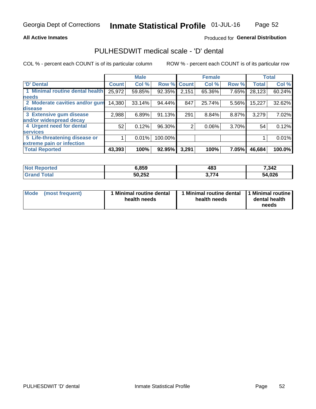### **All Active Inmates**

### Produced for General Distribution

## PULHESDWIT medical scale - 'D' dental

COL % - percent each COUNT is of its particular column

|                                 |              | <b>Male</b> |         |              | <b>Female</b> |       |              | <b>Total</b> |
|---------------------------------|--------------|-------------|---------|--------------|---------------|-------|--------------|--------------|
| <b>D'</b> Dental                | <b>Count</b> | Col %       | Row %   | <b>Count</b> | Col %         | Row % | <b>Total</b> | Col %        |
| 1 Minimal routine dental health | 25,972       | 59.85%      | 92.35%  | 2,151        | 65.36%        | 7.65% | 28,123       | 60.24%       |
| <b>needs</b>                    |              |             |         |              |               |       |              |              |
| 2 Moderate cavities and/or gum  | 14,380       | 33.14%      | 94.44%  | 847          | 25.74%        | 5.56% | 15,227       | 32.62%       |
| disease                         |              |             |         |              |               |       |              |              |
| 3 Extensive gum disease         | 2,988        | 6.89%       | 91.13%  | 291          | 8.84%         | 8.87% | 3,279        | 7.02%        |
| and/or widespread decay         |              |             |         |              |               |       |              |              |
| 4 Urgent need for dental        | 52           | 0.12%       | 96.30%  | 2            | 0.06%         | 3.70% | 54           | 0.12%        |
| <b>services</b>                 |              |             |         |              |               |       |              |              |
| 5 Life-threatening disease or   |              | 0.01%       | 100.00% |              |               |       |              | 0.01%        |
| extreme pain or infection       |              |             |         |              |               |       |              |              |
| <b>Total Reported</b>           | 43,393       | 100%        | 92.95%  | 3,291        | 100%          | 7.05% | 46,684       | 100.0%       |

| <b>Not Reported</b> | 6,859  | 483   | 7,342  |
|---------------------|--------|-------|--------|
| Total<br>Grand      | 50,252 | 3,774 | 54,026 |

| 1 Minimal routine dental<br>Mode<br>(most frequent)<br>health needs | 1 Minimal routine dental 1 Minimal routine<br>health needs | dental health<br>needs |
|---------------------------------------------------------------------|------------------------------------------------------------|------------------------|
|---------------------------------------------------------------------|------------------------------------------------------------|------------------------|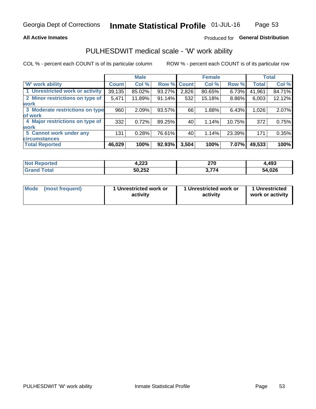### **All Active Inmates**

### Produced for General Distribution

## PULHESDWIT medical scale - 'W' work ability

COL % - percent each COUNT is of its particular column

|                                 |              | <b>Male</b> |        |             | <b>Female</b> |          |              | <b>Total</b> |
|---------------------------------|--------------|-------------|--------|-------------|---------------|----------|--------------|--------------|
| <b>W' work ability</b>          | <b>Count</b> | Col %       |        | Row % Count | Col %         | Row %    | <b>Total</b> | Col %        |
| 1 Unrestricted work or activity | 39,135       | 85.02%      | 93.27% | 2,826       | 80.65%        | $6.73\%$ | 41,961       | 84.71%       |
| 2 Minor restrictions on type of | 5,471        | 11.89%      | 91.14% | 532         | 15.18%        | 8.86%    | 6,003        | 12.12%       |
| <b>work</b>                     |              |             |        |             |               |          |              |              |
| 3 Moderate restrictions on type | 960          | 2.09%       | 93.57% | 66          | 1.88%         | 6.43%    | 1,026        | 2.07%        |
| lof work                        |              |             |        |             |               |          |              |              |
| 4 Major restrictions on type of | 332          | 0.72%       | 89.25% | 40          | 1.14%         | 10.75%   | 372          | 0.75%        |
| <b>work</b>                     |              |             |        |             |               |          |              |              |
| 5 Cannot work under any         | 131          | 0.28%       | 76.61% | 40          | 1.14%         | 23.39%   | 171          | 0.35%        |
| <b>circumstances</b>            |              |             |        |             |               |          |              |              |
| <b>Total Reported</b>           | 46,029       | 100%        | 92.93% | 3,504       | 100%          | 7.07%    | 49,533       | 100%         |

| <b>Not Reported</b> | 000<br>4.ZZJ | 270<br>21 V | 493,ا  |
|---------------------|--------------|-------------|--------|
| Total               | 50,252       | – 77 A      | 54,026 |

| Mode            | 1 Unrestricted work or | 1 Unrestricted work or | 1 Unrestricted   |
|-----------------|------------------------|------------------------|------------------|
| (most frequent) | activity               | activity               | work or activity |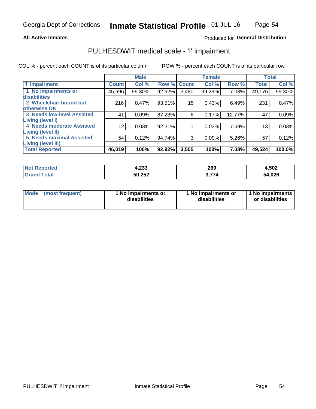### **All Active Inmates**

### Produced for General Distribution

## PULHESDWIT medical scale - 'I' impairment

COL % - percent each COUNT is of its particular column

|                                                       |                 | <b>Male</b> |        |             | <b>Female</b> |        |              | <b>Total</b> |
|-------------------------------------------------------|-----------------|-------------|--------|-------------|---------------|--------|--------------|--------------|
| <b>T' Impairment</b>                                  | <b>Count</b>    | Col %       |        | Row % Count | Col %         | Row %  | <b>Total</b> | Col %        |
| 1 No impairments or<br>disabilities                   | 45,696          | 99.30%      | 92.92% | 3,480       | 99.29%        | 7.08%  | 49,176       | 99.30%       |
| 2 Wheelchair-bound but<br>otherwise OK                | 216             | 0.47%       | 93.51% | 15          | 0.43%         | 6.49%  | 231          | 0.47%        |
| <b>3 Needs low-level Assisted</b><br>Living (level I) | 41              | 0.09%       | 87.23% | 6           | 0.17%         | 12.77% | 47           | 0.09%        |
| 4 Needs moderate Assisted<br>Living (level II)        | 12 <sup>2</sup> | 0.03%       | 92.31% |             | 0.03%         | 7.69%  | 13           | 0.03%        |
| <b>5 Needs maximal Assisted</b><br>Living (level III) | 54              | 0.12%       | 94.74% | 3           | 0.09%         | 5.26%  | 57           | 0.12%        |
| <b>Total Reported</b>                                 | 46,019          | 100%        | 92.92% | 3,505       | 100%          | 7.08%  | 49,524       | 100.0%       |

| <b>Not</b><br><b>Reported</b> | 4,233  | 269 | 4,502  |
|-------------------------------|--------|-----|--------|
| īota.                         | 50,252 |     | 54,026 |

| Mode | (most frequent) | 1 No impairments or<br>disabilities | 1 No impairments or<br>disabilities | 1 No impairments<br>or disabilities |
|------|-----------------|-------------------------------------|-------------------------------------|-------------------------------------|
|------|-----------------|-------------------------------------|-------------------------------------|-------------------------------------|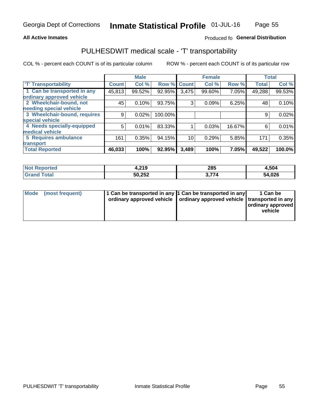### **All Active Inmates**

### Produced fo General Distribution

## PULHESDWIT medical scale - 'T' transportability

COL % - percent each COUNT is of its particular column

|                              |                    | <b>Male</b> |         |              | <b>Female</b> |        |              | <b>Total</b> |
|------------------------------|--------------------|-------------|---------|--------------|---------------|--------|--------------|--------------|
| <b>T' Transportability</b>   | Count <sup>!</sup> | Col %       | Row %   | <b>Count</b> | Col %         | Row %  | <b>Total</b> | Col %        |
| 1 Can be transported in any  | 45,813             | 99.52%      | 92.95%  | 3,475        | 99.60%        | 7.05%  | 49,288       | 99.53%       |
| ordinary approved vehicle    |                    |             |         |              |               |        |              |              |
| 2 Wheelchair-bound, not      | 45                 | 0.10%       | 93.75%  | 3            | 0.09%         | 6.25%  | 48           | 0.10%        |
| needing special vehicle      |                    |             |         |              |               |        |              |              |
| 3 Wheelchair-bound, requires | 9                  | 0.02%       | 100.00% |              |               |        | 9            | 0.02%        |
| special vehicle              |                    |             |         |              |               |        |              |              |
| 4 Needs specially-equipped   | 5                  | 0.01%       | 83.33%  |              | 0.03%         | 16.67% | 6            | 0.01%        |
| medical vehicle              |                    |             |         |              |               |        |              |              |
| <b>5 Requires ambulance</b>  | 161                | 0.35%       | 94.15%  | 10           | 0.29%         | 5.85%  | 171          | 0.35%        |
| transport                    |                    |             |         |              |               |        |              |              |
| <b>Total Reported</b>        | 46,033             | 100%        | 92.95%  | 3,489        | 100%          | 7.05%  | 49,522       | 100.0%       |

| <b>eported</b><br>NOT | .219،  | 285 | 4,504  |
|-----------------------|--------|-----|--------|
| <b>otal</b>           | 50,252 | 74  | 54,026 |

|  | Mode (most frequent) | 1 Can be transported in any 1 Can be transported in any<br>ordinary approved vehicle   ordinary approved vehicle   transported in any |  | 1 Can be<br>  ordinary approved  <br>vehicle |
|--|----------------------|---------------------------------------------------------------------------------------------------------------------------------------|--|----------------------------------------------|
|--|----------------------|---------------------------------------------------------------------------------------------------------------------------------------|--|----------------------------------------------|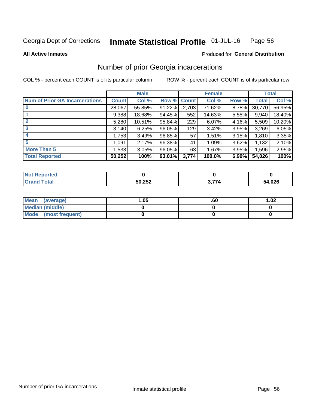#### Inmate Statistical Profile 01-JUL-16 Page 56

**All Active Inmates** 

### Produced for General Distribution

## Number of prior Georgia incarcerations

COL % - percent each COUNT is of its particular column

|                                       |              | <b>Male</b> |                    |       | <b>Female</b> |       |        | <b>Total</b> |
|---------------------------------------|--------------|-------------|--------------------|-------|---------------|-------|--------|--------------|
| <b>Num of Prior GA Incarcerations</b> | <b>Count</b> | Col %       | <b>Row % Count</b> |       | Col %         | Row % | Total  | Col %        |
| $\bf{0}$                              | 28,067       | 55.85%      | 91.22%             | 2,703 | 71.62%        | 8.78% | 30,770 | 56.95%       |
|                                       | 9,388        | 18.68%      | 94.45%             | 552   | 14.63%        | 5.55% | 9,940  | 18.40%       |
| $\mathbf{2}$                          | 5,280        | 10.51%      | 95.84%             | 229   | 6.07%         | 4.16% | 5,509  | 10.20%       |
| 3                                     | 3,140        | 6.25%       | 96.05%             | 129   | 3.42%         | 3.95% | 3,269  | 6.05%        |
| 4                                     | 1,753        | 3.49%       | 96.85%             | 57    | 1.51%         | 3.15% | 1,810  | 3.35%        |
| 5                                     | 1,091        | 2.17%       | 96.38%             | 41    | 1.09%         | 3.62% | 1,132  | 2.10%        |
| <b>More Than 5</b>                    | 1,533        | 3.05%       | 96.05%             | 63    | 1.67%         | 3.95% | 1,596  | 2.95%        |
| <b>Total Reported</b>                 | 50,252       | 100%        | 93.01%             | 3,774 | 100.0%        | 6.99% | 54,026 | 100%         |

| <b>Not</b><br>Reported  |        |            |        |
|-------------------------|--------|------------|--------|
| Total<br><b>'</b> Gran∟ | 50,252 | <b>77^</b> | 54,026 |

| Mean (average)         | 1.05 | .ou | 1.02 |
|------------------------|------|-----|------|
| <b>Median (middle)</b> |      |     |      |
| Mode (most frequent)   |      |     |      |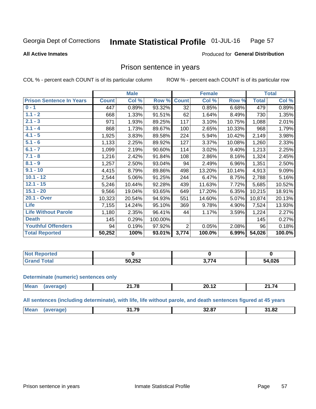#### Inmate Statistical Profile 01-JUL-16 Page 57

**All Active Inmates** 

### Produced for General Distribution

### Prison sentence in years

COL % - percent each COUNT is of its particular column

ROW % - percent each COUNT is of its particular row

|                                 |              | <b>Male</b> |         |                 | <b>Female</b> |        |              | <b>Total</b> |
|---------------------------------|--------------|-------------|---------|-----------------|---------------|--------|--------------|--------------|
| <b>Prison Sentence In Years</b> | <b>Count</b> | Col %       | Row %   | <b>Count</b>    | Col %         | Row %  | <b>Total</b> | Col %        |
| $0 - 1$                         | 447          | 0.89%       | 93.32%  | $\overline{32}$ | 0.85%         | 6.68%  | 479          | 0.89%        |
| $1.1 - 2$                       | 668          | 1.33%       | 91.51%  | 62              | 1.64%         | 8.49%  | 730          | 1.35%        |
| $2.1 - 3$                       | 971          | 1.93%       | 89.25%  | 117             | 3.10%         | 10.75% | 1,088        | 2.01%        |
| $3.1 - 4$                       | 868          | 1.73%       | 89.67%  | 100             | 2.65%         | 10.33% | 968          | 1.79%        |
| $4.1 - 5$                       | 1,925        | 3.83%       | 89.58%  | 224             | 5.94%         | 10.42% | 2,149        | 3.98%        |
| $5.1 - 6$                       | 1,133        | 2.25%       | 89.92%  | 127             | 3.37%         | 10.08% | 1,260        | 2.33%        |
| $6.1 - 7$                       | 1,099        | 2.19%       | 90.60%  | 114             | 3.02%         | 9.40%  | 1,213        | 2.25%        |
| $7.1 - 8$                       | 1,216        | 2.42%       | 91.84%  | 108             | 2.86%         | 8.16%  | 1,324        | 2.45%        |
| $8.1 - 9$                       | 1,257        | 2.50%       | 93.04%  | 94              | 2.49%         | 6.96%  | 1,351        | 2.50%        |
| $9.1 - 10$                      | 4,415        | 8.79%       | 89.86%  | 498             | 13.20%        | 10.14% | 4,913        | 9.09%        |
| $10.1 - 12$                     | 2,544        | 5.06%       | 91.25%  | 244             | 6.47%         | 8.75%  | 2,788        | 5.16%        |
| $12.1 - 15$                     | 5,246        | 10.44%      | 92.28%  | 439             | 11.63%        | 7.72%  | 5,685        | 10.52%       |
| $15.1 - 20$                     | 9,566        | 19.04%      | 93.65%  | 649             | 17.20%        | 6.35%  | 10,215       | 18.91%       |
| 20.1 - Over                     | 10,323       | 20.54%      | 94.93%  | 551             | 14.60%        | 5.07%  | 10,874       | 20.13%       |
| <b>Life</b>                     | 7,155        | 14.24%      | 95.10%  | 369             | 9.78%         | 4.90%  | 7,524        | 13.93%       |
| <b>Life Without Parole</b>      | 1,180        | 2.35%       | 96.41%  | 44              | 1.17%         | 3.59%  | 1,224        | 2.27%        |
| <b>Death</b>                    | 145          | 0.29%       | 100.00% |                 |               |        | 145          | 0.27%        |
| <b>Youthful Offenders</b>       | 94           | 0.19%       | 97.92%  | $\overline{2}$  | 0.05%         | 2.08%  | 96           | 0.18%        |
| <b>Total Reported</b>           | 50,252       | 100%        | 93.01%  | 3,774           | 100.0%        | 6.99%  | 54,026       | 100.0%       |

| Reported<br>⊤NOT K |        |               |        |
|--------------------|--------|---------------|--------|
|                    | 50,252 | $\rightarrow$ | 54,026 |

#### **Determinate (numeric) sentences only**

| <b>Mea</b><br>1100 | 14 70<br>.<br>---- | <br>ົ<br>ZV. IZ | - 74<br>Z1.74 |
|--------------------|--------------------|-----------------|---------------|
|                    |                    |                 |               |

All sentences (including determinate), with life, life without parole, and death sentences figured at 45 years

| $M_{\odot}$<br>-- --<br>170<br>31.82<br>______<br>$ -$ |  |  |  |
|--------------------------------------------------------|--|--|--|
|                                                        |  |  |  |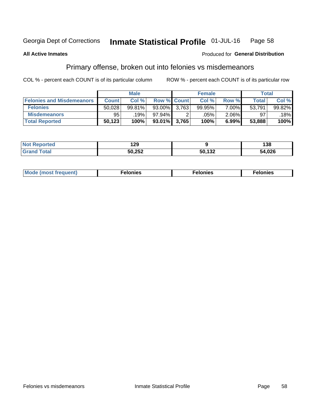#### Inmate Statistical Profile 01-JUL-16 Page 58

### **All Active Inmates**

### **Produced for General Distribution**

## Primary offense, broken out into felonies vs misdemeanors

COL % - percent each COUNT is of its particular column

|                                  |              | <b>Male</b> |                 | <b>Female</b> |          |        | Total  |
|----------------------------------|--------------|-------------|-----------------|---------------|----------|--------|--------|
| <b>Felonies and Misdemeanors</b> | <b>Count</b> | Col %       | Row % Count     | Col %         | Row %    | Total  | Col %  |
| <b>Felonies</b>                  | 50,028       | 99.81%      | 93.00% 3.763    | 99.95%        | 7.00%    | 53,791 | 99.82% |
| <b>Misdemeanors</b>              | 95           | .19%        | 97.94%          | .05%          | $2.06\%$ | 97     | 18%    |
| <b>Total Reported</b>            | 50,123       | 100%        | $93.01\%$ 3,765 | 100%          | 6.99%    | 53,888 | 100%   |

| <b>Not</b><br><b>Reported</b> | חה ו<br>16J |        | 38     |
|-------------------------------|-------------|--------|--------|
| <b>Grand</b><br>™otal         | 50,252      | 50,132 | 54,026 |

| Mo | ____ | 11 C.S<br>. | onies<br>. |
|----|------|-------------|------------|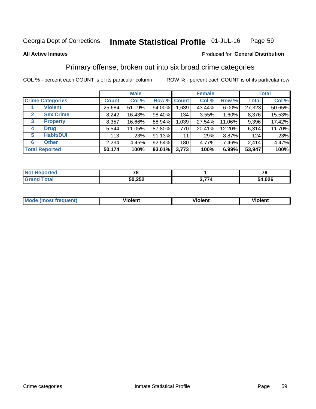#### Inmate Statistical Profile 01-JUL-16 Page 59

#### **All Active Inmates**

### **Produced for General Distribution**

## Primary offense, broken out into six broad crime categories

COL % - percent each COUNT is of its particular column

|              |                         |              | <b>Male</b> |           |             | <b>Female</b> |          |              | <b>Total</b> |
|--------------|-------------------------|--------------|-------------|-----------|-------------|---------------|----------|--------------|--------------|
|              | <b>Crime Categories</b> | <b>Count</b> | Col %       |           | Row % Count | Col %         | Row %    | <b>Total</b> | Col %        |
|              | <b>Violent</b>          | 25,684       | 51.19%      | 94.00%    | 1,639       | 43.44%        | $6.00\%$ | 27,323       | 50.65%       |
| $\mathbf{2}$ | <b>Sex Crime</b>        | 8,242        | 16.43%      | 98.40%    | 134         | 3.55%         | 1.60%    | 8,376        | 15.53%       |
| 3            | <b>Property</b>         | 8,357        | 16.66%      | 88.94%    | 1,039       | 27.54%        | 11.06%   | 9,396        | 17.42%       |
| 4            | <b>Drug</b>             | 5,544        | 11.05%      | 87.80%    | 770         | 20.41%        | 12.20%   | 6,314        | 11.70%       |
| 5            | <b>Habit/DUI</b>        | 113          | .23%        | 91.13%    | 11          | .29%          | 8.87%    | 124          | .23%         |
| 6            | <b>Other</b>            | 2,234        | 4.45%       | 92.54%    | 180         | 4.77%         | 7.46%    | 2,414        | 4.47%        |
|              | <b>Total Reported</b>   | 50,174       | 100%        | $93.01\%$ | 3,773       | 100%          | 6.99%    | 53,947       | 100%         |

| rted<br><b>NOT</b> |        |    | - -<br>- 3   |
|--------------------|--------|----|--------------|
| Eata               | 50,252 | -- | 54,026<br>54 |

| Mo<br>uent)<br>nos | .<br>/iolent | <br>Violent | - --<br><b>Tiolent</b> |
|--------------------|--------------|-------------|------------------------|
|                    |              |             |                        |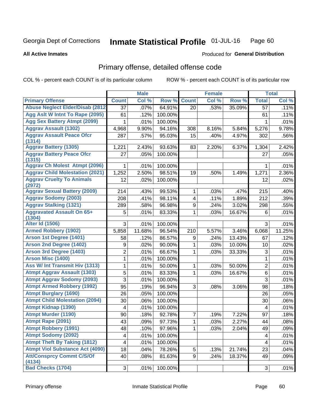#### Inmate Statistical Profile 01-JUL-16 Page 60

**All Active Inmates** 

### **Produced for General Distribution**

## Primary offense, detailed offense code

COL % - percent each COUNT is of its particular column

|                                            |                 | <b>Male</b> |         |                         | <b>Female</b> |        |                | <b>Total</b> |
|--------------------------------------------|-----------------|-------------|---------|-------------------------|---------------|--------|----------------|--------------|
| <b>Primary Offense</b>                     | <b>Count</b>    | Col %       | Row %   | <b>Count</b>            | Col %         | Row %  | <b>Total</b>   | Col %        |
| <b>Abuse Neglect Elder/Disab (2812)</b>    | $\overline{37}$ | .07%        | 64.91%  | 20                      | .53%          | 35.09% | 57             | .11%         |
| Agg Aslt W Intnt To Rape (2095)            | 61              | .12%        | 100.00% |                         |               |        | 61             | .11%         |
| <b>Agg Sex Battery Atmpt (2099)</b>        | 1               | .01%        | 100.00% |                         |               |        | 1              | .01%         |
| <b>Aggrav Assault (1302)</b>               | 4,968           | 9.90%       | 94.16%  | 308                     | 8.16%         | 5.84%  | 5,276          | 9.78%        |
| <b>Aggrav Assault Peace Ofcr</b>           | 287             | .57%        | 95.03%  | 15                      | .40%          | 4.97%  | 302            | .56%         |
| (1314)                                     |                 |             |         |                         |               |        |                |              |
| <b>Aggrav Battery (1305)</b>               | 1,221           | 2.43%       | 93.63%  | 83                      | 2.20%         | 6.37%  | 1,304          | 2.42%        |
| <b>Aggrav Battery Peace Ofcr</b><br>(1315) | 27              | .05%        | 100.00% |                         |               |        | 27             | .05%         |
| <b>Aggrav Ch Molest Atmpt (2096)</b>       | 1               | .01%        | 100.00% |                         |               |        | 1              | .01%         |
| <b>Aggrav Child Molestation (2021)</b>     | 1,252           | 2.50%       | 98.51%  | 19                      | .50%          | 1.49%  | 1,271          | 2.36%        |
| <b>Aggrav Cruelty To Animals</b>           | 12              | .02%        | 100.00% |                         |               |        | 12             | .02%         |
| (2972)                                     |                 |             |         |                         |               |        |                |              |
| <b>Aggrav Sexual Battery (2009)</b>        | 214             | .43%        | 99.53%  | $\mathbf{1}$            | .03%          | .47%   | 215            | .40%         |
| <b>Aggrav Sodomy (2003)</b>                | 208             | .41%        | 98.11%  | $\overline{\mathbf{4}}$ | .11%          | 1.89%  | 212            | .39%         |
| <b>Aggrav Stalking (1321)</b>              | 289             | .58%        | 96.98%  | 9                       | .24%          | 3.02%  | 298            | .55%         |
| <b>Aggravated Assault On 65+</b><br>(1304) | 5               | .01%        | 83.33%  | 1                       | .03%          | 16.67% | 6              | .01%         |
| <b>Alter Id (1506)</b>                     | 3               | .01%        | 100.00% |                         |               |        | 3              | .01%         |
| <b>Armed Robbery (1902)</b>                | 5,858           | 11.68%      | 96.54%  | 210                     | 5.57%         | 3.46%  | 6,068          | 11.25%       |
| Arson 1st Degree (1401)                    | 58              | .12%        | 86.57%  | 9                       | .24%          | 13.43% | 67             | .12%         |
| <b>Arson 2nd Degree (1402)</b>             | 9               | .02%        | 90.00%  | 1                       | .03%          | 10.00% | 10             | .02%         |
| <b>Arson 3rd Degree (1403)</b>             | $\overline{2}$  | .01%        | 66.67%  | 1                       | .03%          | 33.33% | 3              | .01%         |
| <b>Arson Misc (1400)</b>                   | 1               | .01%        | 100.00% |                         |               |        | $\mathbf{1}$   | .01%         |
| Ass W/ Int Transmit Hiv (1313)             | 1               | .01%        | 50.00%  | 1                       | .03%          | 50.00% | $\overline{2}$ | .01%         |
| <b>Atmpt Aggrav Assault (1303)</b>         | 5               | .01%        | 83.33%  | 1                       | .03%          | 16.67% | 6              | .01%         |
| <b>Atmpt Aggrav Sodomy (2093)</b>          | 3               | .01%        | 100.00% |                         |               |        | 3              | .01%         |
| <b>Atmpt Armed Robbery (1992)</b>          | 95              | .19%        | 96.94%  | 3                       | .08%          | 3.06%  | 98             | .18%         |
| <b>Atmpt Burglary (1690)</b>               | 26              | .05%        | 100.00% |                         |               |        | 26             | .05%         |
| <b>Atmpt Child Molestation (2094)</b>      | 30              | .06%        | 100.00% |                         |               |        | 30             | .06%         |
| <b>Atmpt Kidnap (1390)</b>                 | 4               | .01%        | 100.00% |                         |               |        | 4              | .01%         |
| <b>Atmpt Murder (1190)</b>                 | 90              | .18%        | 92.78%  | $\overline{7}$          | .19%          | 7.22%  | 97             | .18%         |
| Atmpt Rape (2091)                          | 43              | .09%        | 97.73%  | $\overline{1}$          | .03%          | 2.27%  | 44             | .08%         |
| <b>Atmpt Robbery (1991)</b>                | 48              | .10%        | 97.96%  | 1                       | .03%          | 2.04%  | 49             | .09%         |
| <b>Atmpt Sodomy (2092)</b>                 | 4               | .01%        | 100.00% |                         |               |        | 4              | .01%         |
| <b>Atmpt Theft By Taking (1812)</b>        | 4               | .01%        | 100.00% |                         |               |        | 4              | .01%         |
| <b>Atmpt Viol Substance Act (4090)</b>     | 18              | .04%        | 78.26%  | 5                       | .13%          | 21.74% | 23             | .04%         |
| <b>Att/Consprcy Commt C/S/Of</b><br>(4134) | 40              | .08%        | 81.63%  | 9                       | .24%          | 18.37% | 49             | .09%         |
| <b>Bad Checks (1704)</b>                   | 3               | .01%        | 100.00% |                         |               |        | $\mathfrak{S}$ | .01%         |
|                                            |                 |             |         |                         |               |        |                |              |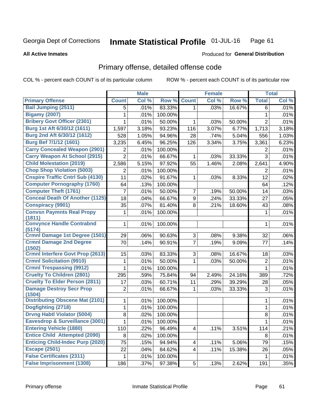#### Inmate Statistical Profile 01-JUL-16 Page 61

**All Active Inmates** 

### **Produced for General Distribution**

## Primary offense, detailed offense code

COL % - percent each COUNT is of its particular column

|                                            |                | <b>Male</b> |         |                         | <b>Female</b> |        |                | <b>Total</b> |
|--------------------------------------------|----------------|-------------|---------|-------------------------|---------------|--------|----------------|--------------|
| <b>Primary Offense</b>                     | <b>Count</b>   | Col %       | Row %   | <b>Count</b>            | Col %         | Row %  | <b>Total</b>   | Col %        |
| <b>Bail Jumping (2511)</b>                 | 5              | .01%        | 83.33%  | $\mathbf{1}$            | .03%          | 16.67% | 6              | .01%         |
| <b>Bigamy (2007)</b>                       | 1              | .01%        | 100.00% |                         |               |        | 1              | .01%         |
| <b>Bribery Govt Officer (2301)</b>         | 1              | .01%        | 50.00%  | 1                       | .03%          | 50.00% | $\overline{2}$ | .01%         |
| Burg 1st Aft 6/30/12 (1611)                | 1,597          | 3.18%       | 93.23%  | 116                     | 3.07%         | 6.77%  | 1,713          | 3.18%        |
| Burg 2nd Aft 6/30/12 (1612)                | 528            | 1.05%       | 94.96%  | 28                      | .74%          | 5.04%  | 556            | 1.03%        |
| <b>Burg Bef 7/1/12 (1601)</b>              | 3,235          | 6.45%       | 96.25%  | 126                     | 3.34%         | 3.75%  | 3,361          | 6.23%        |
| <b>Carry Concealed Weapon (2901)</b>       | 2              | .01%        | 100.00% |                         |               |        | 2              | .01%         |
| <b>Carry Weapon At School (2915)</b>       | $\overline{2}$ | .01%        | 66.67%  | 1                       | .03%          | 33.33% | 3              | .01%         |
| <b>Child Molestation (2019)</b>            | 2,586          | 5.15%       | 97.92%  | 55                      | 1.46%         | 2.08%  | 2,641          | 4.90%        |
| <b>Chop Shop Violation (5003)</b>          | 2              | .01%        | 100.00% |                         |               |        | 2              | .01%         |
| <b>Cnspire Traffic Cntrl Sub (4130)</b>    | 11             | .02%        | 91.67%  | 1                       | .03%          | 8.33%  | 12             | .02%         |
| <b>Computer Pornography (1760)</b>         | 64             | .13%        | 100.00% |                         |               |        | 64             | .12%         |
| <b>Computer Theft (1761)</b>               | 7              | .01%        | 50.00%  | 7                       | .19%          | 50.00% | 14             | .03%         |
| <b>Conceal Death Of Another (1125)</b>     | 18             | .04%        | 66.67%  | 9                       | .24%          | 33.33% | 27             | .05%         |
| <b>Conspiracy (9901)</b>                   | 35             | .07%        | 81.40%  | 8                       | .21%          | 18.60% | 43             | .08%         |
| <b>Convsn Paymnts Real Propy</b><br>(1811) | 1              | .01%        | 100.00% |                         |               |        | $\mathbf{1}$   | .01%         |
| <b>Convynce Handle Contrabnd</b><br>(5174) | 1              | .01%        | 100.00% |                         |               |        | 1              | .01%         |
| Crmnl Damage 1st Degree (1501)             | 29             | .06%        | 90.63%  | 3                       | .08%          | 9.38%  | 32             | .06%         |
| <b>Crmnl Damage 2nd Degree</b><br>(1502)   | 70             | .14%        | 90.91%  | $\overline{7}$          | .19%          | 9.09%  | 77             | .14%         |
| <b>Crmnl Interfere Govt Prop (2613)</b>    | 15             | .03%        | 83.33%  | 3                       | .08%          | 16.67% | 18             | .03%         |
| <b>Crmnl Solicitation (9910)</b>           | 1              | .01%        | 50.00%  | 1                       | .03%          | 50.00% | $\mathbf 2$    | .01%         |
| <b>Crmnl Trespassing (9912)</b>            | $\mathbf{1}$   | .01%        | 100.00% |                         |               |        | $\mathbf{1}$   | .01%         |
| <b>Cruelty To Children (2801)</b>          | 295            | .59%        | 75.84%  | 94                      | 2.49%         | 24.16% | 389            | .72%         |
| <b>Cruelty To Elder Person (2811)</b>      | 17             | .03%        | 60.71%  | 11                      | .29%          | 39.29% | 28             | .05%         |
| <b>Damage Destroy Secr Prop</b><br>(1504)  | $\overline{2}$ | .01%        | 66.67%  | 1                       | .03%          | 33.33% | 3              | .01%         |
| <b>Distributing Obscene Mat (2101)</b>     | 1              | .01%        | 100.00% |                         |               |        | 1              | .01%         |
| Dogfighting (2718)                         | 1              | .01%        | 100.00% |                         |               |        | 1              | .01%         |
| <b>Drvng Habtl Violator (5004)</b>         | 8              | .02%        | 100.00% |                         |               |        | 8              | .01%         |
| Eavesdrop & Surveillance (3001)            | 1              | .01%        | 100.00% |                         |               |        | $\overline{1}$ | .01%         |
| <b>Entering Vehicle (1880)</b>             | 110            | .22%        | 96.49%  | 4                       | .11%          | 3.51%  | 114            | .21%         |
| <b>Entice Child Attempted (2090)</b>       | 8              | .02%        | 100.00% |                         |               |        | 8              | .01%         |
| <b>Enticing Child-Indec Purp (2020)</b>    | 75             | .15%        | 94.94%  | 4                       | .11%          | 5.06%  | 79             | .15%         |
| <b>Escape (2501)</b>                       | 22             | .04%        | 84.62%  | $\overline{\mathbf{4}}$ | .11%          | 15.38% | 26             | .05%         |
| <b>False Certificates (2311)</b>           | 1              | .01%        | 100.00% |                         |               |        | 1              | .01%         |
| <b>False Imprisonment (1308)</b>           | 186            | .37%        | 97.38%  | 5 <sup>1</sup>          | .13%          | 2.62%  | 191            | .35%         |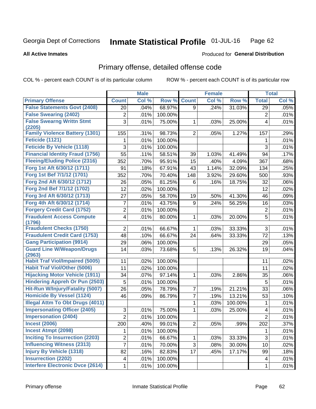#### **Inmate Statistical Profile 01-JUL-16** Page 62

**All Active Inmates** 

### **Produced for General Distribution**

## Primary offense, detailed offense code

COL % - percent each COUNT is of its particular column

|                                            |                | <b>Male</b> |         |                | <b>Female</b> |         |                | <b>Total</b> |
|--------------------------------------------|----------------|-------------|---------|----------------|---------------|---------|----------------|--------------|
| <b>Primary Offense</b>                     | <b>Count</b>   | Col %       | Row %   | <b>Count</b>   | Col %         | Row %   | <b>Total</b>   | Col %        |
| <b>False Statements Govt (2408)</b>        | 20             | .04%        | 68.97%  | 9              | .24%          | 31.03%  | 29             | .05%         |
| <b>False Swearing (2402)</b>               | 2              | .01%        | 100.00% |                |               |         | 2              | .01%         |
| <b>False Swearng Writtn Stmt</b>           | 3              | .01%        | 75.00%  | 1              | .03%          | 25.00%  | 4              | .01%         |
| (2205)                                     |                |             |         |                |               |         |                |              |
| <b>Family Violence Battery (1301)</b>      | 155            | .31%        | 98.73%  | $\overline{2}$ | .05%          | 1.27%   | 157            | .29%         |
| Feticide (1121)                            | 1              | .01%        | 100.00% |                |               |         | 1              | .01%         |
| <b>Feticide By Vehicle (1118)</b>          | 3              | .01%        | 100.00% |                |               |         | 3              | .01%         |
| <b>Financial Identity Fraud (1756)</b>     | 55             | .11%        | 58.51%  | 39             | 1.03%         | 41.49%  | 94             | .17%         |
| <b>Fleeing/Eluding Police (2316)</b>       | 352            | .70%        | 95.91%  | 15             | .40%          | 4.09%   | 367            | .68%         |
| Forg 1st Aft 6/30/12 (1711)                | 91             | .18%        | 67.91%  | 43             | 1.14%         | 32.09%  | 134            | .25%         |
| Forg 1st Bef 7/1/12 (1701)                 | 352            | .70%        | 70.40%  | 148            | 3.92%         | 29.60%  | 500            | .93%         |
| Forg 2nd Aft 6/30/12 (1712)                | 26             | .05%        | 81.25%  | 6              | .16%          | 18.75%  | 32             | .06%         |
| Forg 2nd Bef 7/1/12 (1702)                 | 12             | .02%        | 100.00% |                |               |         | 12             | .02%         |
| Forg 3rd Aft 6/30/12 (1713)                | 27             | .05%        | 58.70%  | 19             | .50%          | 41.30%  | 46             | .09%         |
| Forg 4th Aft 6/30/12 (1714)                | 7              | .01%        | 43.75%  | 9              | .24%          | 56.25%  | 16             | .03%         |
| <b>Forgery Credit Card (1752)</b>          | $\overline{2}$ | .01%        | 100.00% |                |               |         | $\overline{2}$ | .01%         |
| <b>Fraudulent Access Compute</b>           | 4              | .01%        | 80.00%  | 1              | .03%          | 20.00%  | 5              | .01%         |
| (1796)                                     |                |             |         |                |               |         |                |              |
| <b>Fraudulent Checks (1750)</b>            | $\overline{2}$ | .01%        | 66.67%  | 1              | .03%          | 33.33%  | 3              | .01%         |
| <b>Fraudulent Credit Card (1753)</b>       | 48             | .10%        | 66.67%  | 24             | .64%          | 33.33%  | 72             | .13%         |
| <b>Gang Participation (9914)</b>           | 29             | .06%        | 100.00% |                |               |         | 29             | .05%         |
| <b>Guard Line W/Weapon/Drugs</b><br>(2963) | 14             | .03%        | 73.68%  | 5              | .13%          | 26.32%  | 19             | .04%         |
| <b>Habit Traf Viol/Impaired (5005)</b>     | 11             | .02%        | 100.00% |                |               |         | 11             | .02%         |
| <b>Habit Traf Viol/Other (5006)</b>        | 11             | .02%        | 100.00% |                |               |         | 11             | .02%         |
| <b>Hijacking Motor Vehicle (1911)</b>      | 34             | .07%        | 97.14%  | 1              | .03%          | 2.86%   | 35             | .06%         |
| <b>Hindering Appreh Or Pun (2503)</b>      | 5              | .01%        | 100.00% |                |               |         | $\overline{5}$ | .01%         |
| Hit-Run W/Injury/Fatality (5007)           | 26             | .05%        | 78.79%  | $\overline{7}$ | .19%          | 21.21%  | 33             | .06%         |
| <b>Homicide By Vessel (1124)</b>           | 46             | .09%        | 86.79%  | $\overline{7}$ | .19%          | 13.21%  | 53             | .10%         |
| <b>Illegal Attm To Obt Drugs (4011)</b>    |                |             |         | 1              | .03%          | 100.00% | 1              | .01%         |
| <b>Impersonating Officer (2405)</b>        | 3              | .01%        | 75.00%  | 1              | .03%          | 25.00%  | 4              | .01%         |
| <b>Impersonation (2404)</b>                | $\overline{2}$ | .01%        | 100.00% |                |               |         | $\overline{2}$ | .01%         |
| <b>Incest (2006)</b>                       | 200            | .40%        | 99.01%  | $\overline{2}$ | .05%          | .99%    | 202            | .37%         |
| <b>Incest Atmpt (2098)</b>                 | 1.             | .01%        | 100.00% |                |               |         |                | .01%         |
| <b>Inciting To Insurrection (2203)</b>     | $\overline{c}$ | .01%        | 66.67%  | 1              | .03%          | 33.33%  | 3              | .01%         |
| <b>Influencing Witness (2313)</b>          | 7              | .01%        | 70.00%  | 3              | .08%          | 30.00%  | 10             | .02%         |
| <b>Injury By Vehicle (1318)</b>            | 82             | .16%        | 82.83%  | 17             | .45%          | 17.17%  | 99             | .18%         |
| <b>Insurrection (2202)</b>                 | 4              | .01%        | 100.00% |                |               |         | 4              | .01%         |
| <b>Interfere Electronic Dvce (2614)</b>    | 1              | .01%        | 100.00% |                |               |         | 1              | .01%         |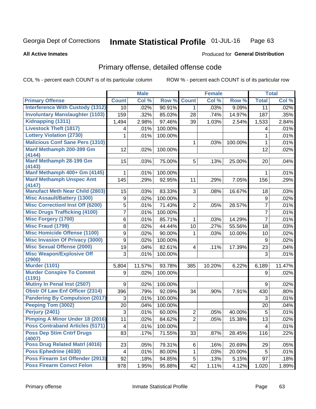#### Inmate Statistical Profile 01-JUL-16 Page 63

#### **All Active Inmates**

### Produced for General Distribution

## Primary offense, detailed offense code

COL % - percent each COUNT is of its particular column

|                                            |              | <b>Male</b> |         |                | <b>Female</b> |         |                | <b>Total</b> |
|--------------------------------------------|--------------|-------------|---------|----------------|---------------|---------|----------------|--------------|
| <b>Primary Offense</b>                     | <b>Count</b> | Col %       | Row %   | <b>Count</b>   | Col %         | Row %   | <b>Total</b>   | Col %        |
| <b>Interference With Custody (1312)</b>    | 10           | .02%        | 90.91%  | $\mathbf{1}$   | .03%          | 9.09%   | 11             | .02%         |
| <b>Involuntary Manslaughter (1103)</b>     | 159          | .32%        | 85.03%  | 28             | .74%          | 14.97%  | 187            | .35%         |
| Kidnapping (1311)                          | 1,494        | 2.98%       | 97.46%  | 39             | 1.03%         | 2.54%   | 1,533          | 2.84%        |
| <b>Livestock Theft (1817)</b>              | 4            | .01%        | 100.00% |                |               |         | 4              | .01%         |
| <b>Lottery Violation (2730)</b>            | 1            | .01%        | 100.00% |                |               |         | 1              | .01%         |
| <b>Malicious Conf Sane Pers (1310)</b>     |              |             |         | 1              | .03%          | 100.00% | $\mathbf{1}$   | .01%         |
| Manf Methamph 200-399 Gm<br>(4144)         | 12           | .02%        | 100.00% |                |               |         | 12             | .02%         |
| <b>Manf Methamph 28-199 Gm</b><br>(4143)   | 15           | .03%        | 75.00%  | 5              | .13%          | 25.00%  | 20             | .04%         |
| Manf Methamph 400+ Gm (4145)               | 1            | .01%        | 100.00% |                |               |         | 1              | .01%         |
| <b>Manf Methamph Unspec Amt</b><br>(4147)  | 145          | .29%        | 92.95%  | 11             | .29%          | 7.05%   | 156            | .29%         |
| <b>Manufact Meth Near Child (2803)</b>     | 15           | .03%        | 83.33%  | 3              | .08%          | 16.67%  | 18             | .03%         |
| <b>Misc Assault/Battery (1300)</b>         | 9            | .02%        | 100.00% |                |               |         | 9              | .02%         |
| <b>Misc Correctionl Inst Off (6200)</b>    | 5            | .01%        | 71.43%  | $\overline{2}$ | .05%          | 28.57%  | $\overline{7}$ | .01%         |
| <b>Misc Drugs Trafficking (4100)</b>       | 7            | .01%        | 100.00% |                |               |         | $\overline{7}$ | .01%         |
| <b>Misc Forgery (1700)</b>                 | 6            | .01%        | 85.71%  | $\mathbf 1$    | .03%          | 14.29%  | $\overline{7}$ | .01%         |
| <b>Misc Fraud (1799)</b>                   | 8            | .02%        | 44.44%  | 10             | .27%          | 55.56%  | 18             | .03%         |
| <b>Misc Homicide Offense (1100)</b>        | 9            | .02%        | 90.00%  | 1              | .03%          | 10.00%  | 10             | .02%         |
| <b>Misc Invasion Of Privacy (3000)</b>     | 9            | .02%        | 100.00% |                |               |         | 9              | .02%         |
| <b>Misc Sexual Offense (2000)</b>          | 19           | .04%        | 82.61%  | 4              | .11%          | 17.39%  | 23             | .04%         |
| <b>Misc Weapon/Explosive Off</b>           | 3            | .01%        | 100.00% |                |               |         | 3              | .01%         |
| (2900)                                     |              |             |         |                |               |         |                |              |
| <b>Murder (1101)</b>                       | 5,804        | 11.57%      | 93.78%  | 385            | 10.20%        | 6.22%   | 6,189          | 11.47%       |
| <b>Murder Conspire To Commit</b><br>(1191) | 9            | .02%        | 100.00% |                |               |         | 9              | .02%         |
| Mutiny In Penal Inst (2507)                | 9            | .02%        | 100.00% |                |               |         | 9              | .02%         |
| <b>Obstr Of Law Enf Officer (2314)</b>     | 396          | .79%        | 92.09%  | 34             | .90%          | 7.91%   | 430            | .80%         |
| <b>Pandering By Compulsion (2017)</b>      | 3            | .01%        | 100.00% |                |               |         | 3              | .01%         |
| Peeping Tom (3002)                         | 20           | .04%        | 100.00% |                |               |         | 20             | .04%         |
| Perjury (2401)                             | 3            | .01%        | 60.00%  | $\overline{c}$ | .05%          | 40.00%  | 5              | .01%         |
| Pimping A Minor Under 18 (2016)            | 11           | .02%        | 84.62%  | $\overline{2}$ | .05%          | 15.38%  | 13             | .02%         |
| <b>Poss Contraband Articles (5171)</b>     | 4            | .01%        | 100.00% |                |               |         | 4              | .01%         |
| <b>Poss Dep Stim Cntrf Drugs</b><br>(4007) | 83           | .17%        | 71.55%  | 33             | .87%          | 28.45%  | 116            | .22%         |
| Poss Drug Related Matrl (4016)             | 23           | .05%        | 79.31%  | 6              | .16%          | 20.69%  | 29             | .05%         |
| Poss Ephedrine (4030)                      | 4            | .01%        | 80.00%  | 1              | .03%          | 20.00%  | 5              | .01%         |
| Poss Firearm 1st Offender (2913)           | 92           | .18%        | 94.85%  | 5              | .13%          | 5.15%   | 97             | .18%         |
| <b>Poss Firearm Convct Felon</b>           | 978          | 1.95%       | 95.88%  | 42             | 1.11%         | 4.12%   | 1,020          | 1.89%        |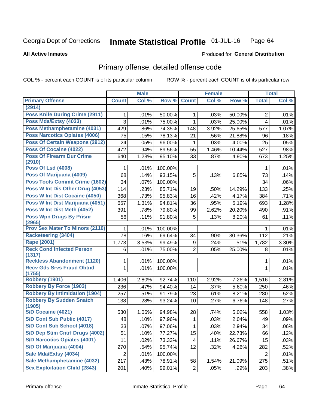#### Inmate Statistical Profile 01-JUL-16 Page 64

#### **All Active Inmates**

### **Produced for General Distribution**

## Primary offense, detailed offense code

COL % - percent each COUNT is of its particular column

|                                            |                | <b>Male</b> |         |                | <b>Female</b> |        |                | <b>Total</b> |
|--------------------------------------------|----------------|-------------|---------|----------------|---------------|--------|----------------|--------------|
| <b>Primary Offense</b>                     | <b>Count</b>   | Col %       | Row %   | <b>Count</b>   | Col %         | Row %  | <b>Total</b>   | Col %        |
| (2914)                                     |                |             |         |                |               |        |                |              |
| <b>Poss Knife During Crime (2911)</b>      | 1.             | .01%        | 50.00%  | 1              | .03%          | 50.00% | $\overline{2}$ | .01%         |
| Poss Mda/Extsy (4033)                      | 3              | .01%        | 75.00%  | 1              | .03%          | 25.00% | 4              | .01%         |
| Poss Methamphetamine (4031)                | 429            | .86%        | 74.35%  | 148            | 3.92%         | 25.65% | 577            | 1.07%        |
| <b>Poss Narcotics Opiates (4006)</b>       | 75             | .15%        | 78.13%  | 21             | .56%          | 21.88% | 96             | .18%         |
| <b>Poss Of Certain Weapons (2912)</b>      | 24             | .05%        | 96.00%  | 1              | .03%          | 4.00%  | 25             | .05%         |
| Poss Of Cocaine (4022)                     | 472            | .94%        | 89.56%  | 55             | 1.46%         | 10.44% | 527            | .98%         |
| <b>Poss Of Firearm Dur Crime</b><br>(2910) | 640            | 1.28%       | 95.10%  | 33             | .87%          | 4.90%  | 673            | 1.25%        |
| <b>Poss Of Lsd (4008)</b>                  | 1              | .01%        | 100.00% |                |               |        | 1              | .01%         |
| Poss Of Marijuana (4009)                   | 68             | .14%        | 93.15%  | 5              | .13%          | 6.85%  | 73             | .14%         |
| Poss Tools Commit Crime (1602)             | 34             | .07%        | 100.00% |                |               |        | 34             | .06%         |
| Poss W Int Dis Other Drug (4053)           | 114            | .23%        | 85.71%  | 19             | .50%          | 14.29% | 133            | .25%         |
| <b>Poss W Int Dist Cocaine (4050)</b>      | 368            | .73%        | 95.83%  | 16             | .42%          | 4.17%  | 384            | .71%         |
| Poss W Int Dist Marijuana (4051)           | 657            | 1.31%       | 94.81%  | 36             | .95%          | 5.19%  | 693            | 1.28%        |
| Poss W Int Dist Meth (4052)                | 391            | .78%        | 79.80%  | 99             | 2.62%         | 20.20% | 490            | .91%         |
| <b>Poss Wpn Drugs By Prisnr</b><br>(2965)  | 56             | .11%        | 91.80%  | 5              | .13%          | 8.20%  | 61             | .11%         |
| <b>Prov Sex Mater To Minors (2110)</b>     | 1              | .01%        | 100.00% |                |               |        | 1              | .01%         |
| <b>Racketeering (3404)</b>                 | 78             | .16%        | 69.64%  | 34             | .90%          | 30.36% | 112            | .21%         |
| <b>Rape (2001)</b>                         | 1,773          | 3.53%       | 99.49%  | 9              | .24%          | .51%   | 1,782          | 3.30%        |
| <b>Reck Cond Infected Person</b><br>(1317) | 6              | .01%        | 75.00%  | $\overline{2}$ | .05%          | 25.00% | 8              | .01%         |
| <b>Reckless Abandonment (1120)</b>         | 1              | .01%        | 100.00% |                |               |        | 1              | .01%         |
| <b>Recv Gds Srvs Fraud Obtnd</b><br>(1755) | $\mathbf{1}$   | .01%        | 100.00% |                |               |        | 1              | .01%         |
| <b>Robbery (1901)</b>                      | 1,406          | 2.80%       | 92.74%  | 110            | 2.92%         | 7.26%  | 1,516          | 2.81%        |
| <b>Robbery By Force (1903)</b>             | 236            | .47%        | 94.40%  | 14             | .37%          | 5.60%  | 250            | .46%         |
| <b>Robbery By Intimidation (1904)</b>      | 257            | .51%        | 91.79%  | 23             | .61%          | 8.21%  | 280            | .52%         |
| <b>Robbery By Sudden Snatch</b><br>(1905)  | 138            | .28%        | 93.24%  | 10             | .27%          | 6.76%  | 148            | .27%         |
| <b>S/D Cocaine (4021)</b>                  | 530            | 1.06%       | 94.98%  | 28             | .74%          | 5.02%  | 558            | 1.03%        |
| S/D Cont Sub Public (4017)                 | 48             | .10%        | 97.96%  | 1              | .03%          | 2.04%  | 49             | .09%         |
| S/D Cont Sub School (4018)                 | 33             | .07%        | 97.06%  | $\mathbf{1}$   | .03%          | 2.94%  | 34             | .06%         |
| S/D Dep Stim Cntrf Drugs (4002)            | 51             | .10%        | 77.27%  | 15             | .40%          | 22.73% | 66             | .12%         |
| <b>S/D Narcotics Opiates (4001)</b>        | 11             | .02%        | 73.33%  | 4              | .11%          | 26.67% | 15             | .03%         |
| S/D Of Marijuana (4004)                    | 270            | .54%        | 95.74%  | 12             | .32%          | 4.26%  | 282            | .52%         |
| Sale Mda/Extsy (4034)                      | $\overline{c}$ | .01%        | 100.00% |                |               |        | $\overline{c}$ | .01%         |
| Sale Methamphetamine (4032)                | 217            | .43%        | 78.91%  | 58             | 1.54%         | 21.09% | 275            | .51%         |
| <b>Sex Exploitation Child (2843)</b>       | 201            | .40%        | 99.01%  | $\overline{2}$ | .05%          | .99%   | 203            | .38%         |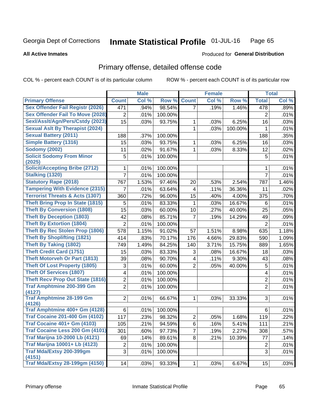#### Inmate Statistical Profile 01-JUL-16 Page 65

#### **All Active Inmates**

### Produced for General Distribution

## Primary offense, detailed offense code

COL % - percent each COUNT is of its particular column

|                                            |                | <b>Male</b> |         |                         | <b>Female</b> |         |                         | <b>Total</b> |
|--------------------------------------------|----------------|-------------|---------|-------------------------|---------------|---------|-------------------------|--------------|
| <b>Primary Offense</b>                     | <b>Count</b>   | Col %       | Row %   | <b>Count</b>            | Col %         | Row %   | <b>Total</b>            | Col %        |
| <b>Sex Offender Fail Registr (2026)</b>    | 471            | .94%        | 98.54%  | $\overline{7}$          | .19%          | 1.46%   | 478                     | .89%         |
| <b>Sex Offender Fail To Move (2028)</b>    | 2              | .01%        | 100.00% |                         |               |         | $\overline{2}$          | .01%         |
| Sexl/Asslt/Agn/Pers/Cstdy (2023)           | 15             | .03%        | 93.75%  | 1                       | .03%          | 6.25%   | 16                      | .03%         |
| <b>Sexual Aslt By Therapist (2024)</b>     |                |             |         | 1                       | .03%          | 100.00% | $\mathbf{1}$            | .01%         |
| <b>Sexual Battery (2011)</b>               | 188            | .37%        | 100.00% |                         |               |         | 188                     | .35%         |
| <b>Simple Battery (1316)</b>               | 15             | .03%        | 93.75%  | 1                       | .03%          | 6.25%   | 16                      | .03%         |
| <b>Sodomy (2002)</b>                       | 11             | .02%        | 91.67%  | 1                       | .03%          | 8.33%   | 12                      | .02%         |
| <b>Solicit Sodomy From Minor</b><br>(2025) | 5              | .01%        | 100.00% |                         |               |         | 5                       | .01%         |
| <b>Solicit/Accepting Bribe (2712)</b>      | 1              | .01%        | 100.00% |                         |               |         | 1                       | .01%         |
| <b>Stalking (1320)</b>                     | 7              | .01%        | 100.00% |                         |               |         | $\overline{7}$          | .01%         |
| <b>Statutory Rape (2018)</b>               | 767            | 1.53%       | 97.46%  | 20                      | .53%          | 2.54%   | 787                     | 1.46%        |
| <b>Tampering With Evidence (2315)</b>      | 7              | .01%        | 63.64%  | 4                       | .11%          | 36.36%  | 11                      | .02%         |
| <b>Terrorist Threats &amp; Acts (1307)</b> | 360            | .72%        | 96.00%  | 15                      | .40%          | 4.00%   | 375                     | .70%         |
| <b>Theft Bring Prop In State (1815)</b>    | 5              | .01%        | 83.33%  | $\mathbf{1}$            | .03%          | 16.67%  | 6                       | .01%         |
| <b>Theft By Conversion (1808)</b>          | 15             | .03%        | 60.00%  | 10                      | .27%          | 40.00%  | 25                      | .05%         |
| <b>Theft By Deception (1803)</b>           | 42             | .08%        | 85.71%  | $\overline{7}$          | .19%          | 14.29%  | 49                      | .09%         |
| <b>Theft By Extortion (1804)</b>           | $\overline{2}$ | .01%        | 100.00% |                         |               |         | $\overline{2}$          | .01%         |
| <b>Theft By Rec Stolen Prop (1806)</b>     | 578            | 1.15%       | 91.02%  | 57                      | 1.51%         | 8.98%   | 635                     | 1.18%        |
| <b>Theft By Shoplifting (1821)</b>         | 414            | .83%        | 70.17%  | 176                     | 4.66%         | 29.83%  | 590                     | 1.09%        |
| <b>Theft By Taking (1802)</b>              | 749            | 1.49%       | 84.25%  | 140                     | 3.71%         | 15.75%  | 889                     | 1.65%        |
| <b>Theft Credit Card (1751)</b>            | 15             | .03%        | 83.33%  | 3                       | .08%          | 16.67%  | 18                      | .03%         |
| <b>Theft Motorveh Or Part (1813)</b>       | 39             | .08%        | 90.70%  | $\overline{\mathbf{4}}$ | .11%          | 9.30%   | 43                      | .08%         |
| <b>Theft Of Lost Property (1805)</b>       | 3              | .01%        | 60.00%  | $\overline{2}$          | .05%          | 40.00%  | 5                       | .01%         |
| <b>Theft Of Services (1807)</b>            | 4              | .01%        | 100.00% |                         |               |         | 4                       | .01%         |
| <b>Theft Recv Prop Out State (1816)</b>    | $\overline{2}$ | .01%        | 100.00% |                         |               |         | 2                       | .01%         |
| <b>Traf Amphtmine 200-399 Gm</b>           | $\overline{2}$ | .01%        | 100.00% |                         |               |         | $\overline{2}$          | .01%         |
| (4127)<br><b>Traf Amphtmine 28-199 Gm</b>  | $\overline{2}$ |             |         | $\mathbf{1}$            |               | 33.33%  | 3                       | .01%         |
| (4126)                                     |                | .01%        | 66.67%  |                         | .03%          |         |                         |              |
| Traf Amphtmine 400+ Gm (4128)              | 6              | .01%        | 100.00% |                         |               |         | 6                       | .01%         |
| <b>Traf Cocaine 201-400 Gm (4102)</b>      | 117            | .23%        | 98.32%  | $\overline{2}$          | .05%          | 1.68%   | 119                     | .22%         |
| <b>Traf Cocaine 401+ Gm (4103)</b>         | 105            | .21%        | 94.59%  | 6                       | .16%          | 5.41%   | 111                     | .21%         |
| Traf Cocaine Less 200 Gm (4101)            | 301            | .60%        | 97.73%  | $\overline{7}$          | .19%          | 2.27%   | 308                     | .57%         |
| <b>Traf Marijna 10-2000 Lb (4121)</b>      | 69             | .14%        | 89.61%  | 8                       | .21%          | 10.39%  | 77                      | .14%         |
| <b>Traf Marijna 10001+ Lb (4123)</b>       | $\overline{c}$ | .01%        | 100.00% |                         |               |         | $\overline{\mathbf{c}}$ | .01%         |
| Traf Mda/Extsy 200-399gm                   | 3              | .01%        | 100.00% |                         |               |         | 3                       | .01%         |
| (4151)                                     |                |             |         |                         |               |         |                         |              |
| <b>Traf Mda/Extsy 28-199gm (4150)</b>      | 14             | .03%        | 93.33%  | 1                       | .03%          | 6.67%   | 15                      | .03%         |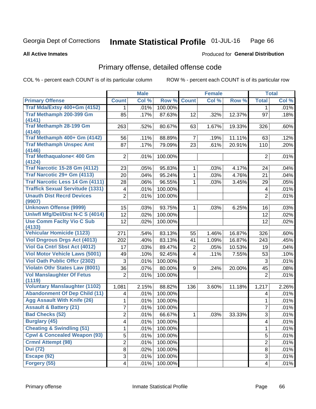#### Inmate Statistical Profile 01-JUL-16 Page 66

#### **All Active Inmates**

### Produced for General Distribution

## Primary offense, detailed offense code

COL % - percent each COUNT is of its particular column

|                                                                            |                         | <b>Male</b> |         |                | <b>Female</b> |        |                         | <b>Total</b> |
|----------------------------------------------------------------------------|-------------------------|-------------|---------|----------------|---------------|--------|-------------------------|--------------|
| <b>Primary Offense</b>                                                     | <b>Count</b>            | Col %       | Row %   | <b>Count</b>   | Col %         | Row %  | <b>Total</b>            | Col %        |
| Traf Mda/Extsy 400+Gm (4152)                                               | 1.                      | .01%        | 100.00% |                |               |        | 1                       | .01%         |
| Traf Methamph 200-399 Gm                                                   | 85                      | .17%        | 87.63%  | 12             | .32%          | 12.37% | 97                      | .18%         |
| (4141)                                                                     |                         |             |         |                |               |        |                         |              |
| <b>Traf Methamph 28-199 Gm</b><br>(4140)                                   | 263                     | .52%        | 80.67%  | 63             | 1.67%         | 19.33% | 326                     | .60%         |
| Traf Methamph 400+ Gm (4142)                                               | 56                      | .11%        | 88.89%  | 7              | .19%          | 11.11% | 63                      | .12%         |
| <b>Traf Methamph Unspec Amt</b>                                            | 87                      | .17%        | 79.09%  | 23             | .61%          | 20.91% | 110                     | .20%         |
| (4146)                                                                     |                         |             |         |                |               |        |                         |              |
| <b>Traf Methaqualone&lt; 400 Gm</b><br>(4124)                              | $\overline{2}$          | .01%        | 100.00% |                |               |        | $\overline{2}$          | .01%         |
| <b>Traf Narcotic 15-28 Gm (4112)</b>                                       | 23                      | .05%        | 95.83%  | 1              | .03%          | 4.17%  | 24                      | .04%         |
| Traf Narcotic 29+ Gm (4113)                                                | 20                      | .04%        | 95.24%  | $\mathbf{1}$   | .03%          | 4.76%  | 21                      | .04%         |
| Traf Narcotic Less 14 Gm (4111)                                            | 28                      | .06%        | 96.55%  | 1              | .03%          | 3.45%  | 29                      | .05%         |
| <b>Traffick Sexual Servitude (1331)</b>                                    | $\overline{\mathbf{4}}$ | .01%        | 100.00% |                |               |        | $\overline{\mathbf{4}}$ | .01%         |
| <b>Unauth Dist Recrd Devices</b><br>(9907)                                 | $\overline{2}$          | .01%        | 100.00% |                |               |        | $\overline{2}$          | .01%         |
| <b>Unknown Offense (9999)</b>                                              | 15                      | .03%        | 93.75%  | 1              | .03%          | 6.25%  | 16                      | .03%         |
| Uniwfl Mfg/Del/Dist N-C S (4014)                                           | 12                      | .02%        | 100.00% |                |               |        | 12                      | .02%         |
| <b>Use Comm Facity Vio C Sub</b>                                           | 12                      | .02%        | 100.00% |                |               |        | 12                      | .02%         |
| (4133)                                                                     |                         |             |         |                |               |        |                         |              |
| Vehicular Homicide (1123)                                                  | 271                     | .54%        | 83.13%  | 55             | 1.46%         | 16.87% | 326                     | .60%         |
| <b>Viol Dngrous Drgs Act (4013)</b>                                        | 202                     | .40%        | 83.13%  | 41             | 1.09%         | 16.87% | 243                     | .45%         |
| <b>Viol Ga Cntrl Sbst Act (4012)</b>                                       | 17                      | .03%        | 89.47%  | $\overline{2}$ | .05%          | 10.53% | 19                      | .04%         |
| <b>Viol Motor Vehicle Laws (5001)</b>                                      | 49                      | .10%        | 92.45%  | $\overline{4}$ | .11%          | 7.55%  | 53                      | .10%         |
| <b>Viol Oath Public Offcr (2302)</b>                                       | 3                       | .01%        | 100.00% |                |               |        | 3                       | .01%         |
| <b>Violatn Othr States Law (8001)</b>                                      | 36                      | .07%        | 80.00%  | 9              | .24%          | 20.00% | 45                      | .08%         |
| <b>Vol Manslaughter Of Fetus</b>                                           | $\overline{2}$          | .01%        | 100.00% |                |               |        | $\overline{2}$          | .01%         |
| (1119)                                                                     |                         |             |         |                |               |        |                         |              |
| <b>Voluntary Manslaughter (1102)</b>                                       | 1,081                   | 2.15%       | 88.82%  | 136            | 3.60%         | 11.18% | 1,217                   | 2.26%        |
| <b>Abandonment Of Dep Child (11)</b><br><b>Agg Assault With Knife (26)</b> | $\overline{\mathbf{4}}$ | .01%        | 100.00% |                |               |        | 4                       | .01%         |
| <b>Assault &amp; Battery (21)</b>                                          | 1                       | .01%        | 100.00% |                |               |        | $\mathbf{1}$            | .01%         |
|                                                                            | $\overline{7}$          | .01%        | 100.00% |                |               |        | $\overline{7}$          | .01%         |
| <b>Bad Checks (52)</b>                                                     | $\overline{2}$          | .01%        | 66.67%  | 1              | .03%          | 33.33% | $\sqrt{3}$              | .01%         |
| <b>Burglary (45)</b>                                                       | $\overline{4}$          | .01%        | 100.00% |                |               |        | $\overline{\mathbf{4}}$ | .01%         |
| <b>Cheating &amp; Swindling (51)</b>                                       | $\mathbf{1}$            | .01%        | 100.00% |                |               |        | 1                       | .01%         |
| <b>Cpwl &amp; Concealed Weapon (93)</b>                                    | 5                       | .01%        | 100.00% |                |               |        | 5                       | .01%         |
| <b>Crmnl Attempt (98)</b>                                                  | $\overline{2}$          | .01%        | 100.00% |                |               |        | $\overline{2}$          | .01%         |
| <b>Dui (72)</b>                                                            | 8                       | .02%        | 100.00% |                |               |        | 8                       | .01%         |
| Escape (92)                                                                | 3                       | .01%        | 100.00% |                |               |        | 3                       | .01%         |
| Forgery (55)                                                               | $\overline{4}$          | .01%        | 100.00% |                |               |        | $\overline{4}$          | .01%         |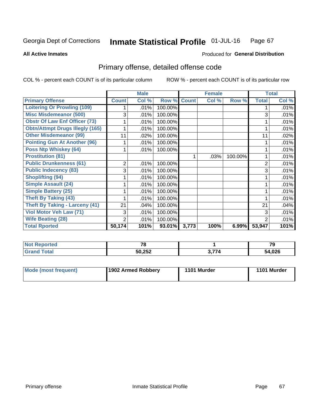#### Inmate Statistical Profile 01-JUL-16 Page 67

Produced for General Distribution

#### **All Active Inmates**

# Primary offense, detailed offense code

COL % - percent each COUNT is of its particular column

|                                        |                | <b>Male</b> |         |              | <b>Female</b> |         |                | <b>Total</b> |
|----------------------------------------|----------------|-------------|---------|--------------|---------------|---------|----------------|--------------|
| <b>Primary Offense</b>                 | <b>Count</b>   | Col %       | Row %   | <b>Count</b> | Col %         | Row %   | <b>Total</b>   | Col %        |
| <b>Loitering Or Prowling (109)</b>     |                | .01%        | 100.00% |              |               |         |                | .01%         |
| <b>Misc Misdemeanor (500)</b>          | 3              | .01%        | 100.00% |              |               |         | 3              | .01%         |
| <b>Obstr Of Law Enf Officer (73)</b>   |                | .01%        | 100.00% |              |               |         |                | .01%         |
| <b>Obtn/Attmpt Drugs Illegly (165)</b> |                | .01%        | 100.00% |              |               |         |                | .01%         |
| <b>Other Misdemeanor (99)</b>          | 11             | .02%        | 100.00% |              |               |         | 11             | .02%         |
| <b>Pointing Gun At Another (96)</b>    |                | .01%        | 100.00% |              |               |         |                | .01%         |
| <b>Poss Ntp Whiskey (64)</b>           |                | .01%        | 100.00% |              |               |         |                | .01%         |
| <b>Prostitution (81)</b>               |                |             |         |              | .03%          | 100.00% |                | .01%         |
| <b>Public Drunkenness (61)</b>         | $\overline{2}$ | .01%        | 100.00% |              |               |         | $\overline{2}$ | .01%         |
| <b>Public Indecency (83)</b>           | 3              | .01%        | 100.00% |              |               |         | 3              | .01%         |
| <b>Shoplifting (94)</b>                |                | .01%        | 100.00% |              |               |         |                | .01%         |
| <b>Simple Assault (24)</b>             |                | .01%        | 100.00% |              |               |         |                | .01%         |
| <b>Simple Battery (25)</b>             |                | .01%        | 100.00% |              |               |         |                | .01%         |
| <b>Theft By Taking (43)</b>            |                | .01%        | 100.00% |              |               |         |                | .01%         |
| <b>Theft By Taking - Larceny (41)</b>  | 21             | .04%        | 100.00% |              |               |         | 21             | .04%         |
| <b>Viol Motor Veh Law (71)</b>         | 3              | .01%        | 100.00% |              |               |         | 3              | .01%         |
| <b>Wife Beating (28)</b>               | 2              | .01%        | 100.00% |              |               |         | $\overline{2}$ | .01%         |
| <b>Total Rported</b>                   | 50,174         | 101%        | 93.01%  | 3,773        | 100%          | 6.99%   | 53,947         | 101%         |

| <b>Not</b><br>Reported | $\mathbf{z}$ |      | 70<br>79 |
|------------------------|--------------|------|----------|
| Total                  | 50,252       | י לל | 54,026   |

| Mode (most frequent) | 1902 Armed Robbery | 1101 Murder | 1101 Murder |
|----------------------|--------------------|-------------|-------------|
|----------------------|--------------------|-------------|-------------|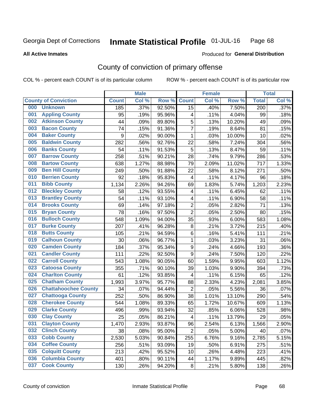#### Inmate Statistical Profile 01-JUL-16 Page 68

#### **All Active Inmates**

## Produced for General Distribution

## County of conviction of primary offense

COL % - percent each COUNT is of its particular column

|     |                             |              | <b>Male</b> |                  |                          | <b>Female</b> |        |                  | <b>Total</b> |
|-----|-----------------------------|--------------|-------------|------------------|--------------------------|---------------|--------|------------------|--------------|
|     | <b>County of Conviction</b> | <b>Count</b> | Col %       | Row <sub>%</sub> | <b>Count</b>             | Col %         | Row %  | <b>Total</b>     | Col %        |
| 000 | <b>Unknown</b>              | 185          | .37%        | 92.50%           | 15                       | .40%          | 7.50%  | $\overline{200}$ | .37%         |
| 001 | <b>Appling County</b>       | 95           | .19%        | 95.96%           | 4                        | .11%          | 4.04%  | 99               | .18%         |
| 002 | <b>Atkinson County</b>      | 44           | .09%        | 89.80%           | 5                        | .13%          | 10.20% | 49               | .09%         |
| 003 | <b>Bacon County</b>         | 74           | .15%        | 91.36%           | $\overline{7}$           | .19%          | 8.64%  | 81               | .15%         |
| 004 | <b>Baker County</b>         | 9            | .02%        | 90.00%           | 1                        | .03%          | 10.00% | 10               | .02%         |
| 005 | <b>Baldwin County</b>       | 282          | .56%        | 92.76%           | 22                       | .58%          | 7.24%  | 304              | .56%         |
| 006 | <b>Banks County</b>         | 54           | .11%        | 91.53%           | $\overline{5}$           | .13%          | 8.47%  | 59               | .11%         |
| 007 | <b>Barrow County</b>        | 258          | .51%        | 90.21%           | 28                       | .74%          | 9.79%  | 286              | .53%         |
| 008 | <b>Bartow County</b>        | 638          | 1.27%       | 88.98%           | 79                       | 2.09%         | 11.02% | 717              | 1.33%        |
| 009 | <b>Ben Hill County</b>      | 249          | .50%        | 91.88%           | 22                       | .58%          | 8.12%  | 271              | .50%         |
| 010 | <b>Berrien County</b>       | 92           | .18%        | 95.83%           | $\overline{\mathcal{A}}$ | .11%          | 4.17%  | 96               | .18%         |
| 011 | <b>Bibb County</b>          | 1,134        | 2.26%       | 94.26%           | 69                       | 1.83%         | 5.74%  | 1,203            | 2.23%        |
| 012 | <b>Bleckley County</b>      | 58           | .12%        | 93.55%           | 4                        | .11%          | 6.45%  | 62               | .11%         |
| 013 | <b>Brantley County</b>      | 54           | .11%        | 93.10%           | 4                        | .11%          | 6.90%  | 58               | .11%         |
| 014 | <b>Brooks County</b>        | 69           | .14%        | 97.18%           | $\overline{c}$           | .05%          | 2.82%  | 71               | .13%         |
| 015 | <b>Bryan County</b>         | 78           | .16%        | 97.50%           | $\overline{2}$           | .05%          | 2.50%  | 80               | .15%         |
| 016 | <b>Bulloch County</b>       | 548          | 1.09%       | 94.00%           | 35                       | .93%          | 6.00%  | 583              | 1.08%        |
| 017 | <b>Burke County</b>         | 207          | .41%        | 96.28%           | 8                        | .21%          | 3.72%  | 215              | .40%         |
| 018 | <b>Butts County</b>         | 105          | .21%        | 94.59%           | $\,6$                    | .16%          | 5.41%  | 111              | .21%         |
| 019 | <b>Calhoun County</b>       | 30           | .06%        | 96.77%           | 1                        | .03%          | 3.23%  | 31               | .06%         |
| 020 | <b>Camden County</b>        | 184          | .37%        | 95.34%           | $\mathsf g$              | .24%          | 4.66%  | 193              | .36%         |
| 021 | <b>Candler County</b>       | 111          | .22%        | 92.50%           | $\mathsf g$              | .24%          | 7.50%  | 120              | .22%         |
| 022 | <b>Carroll County</b>       | 543          | 1.08%       | 90.05%           | 60                       | 1.59%         | 9.95%  | 603              | 1.12%        |
| 023 | <b>Catoosa County</b>       | 355          | .71%        | 90.10%           | 39                       | 1.03%         | 9.90%  | 394              | .73%         |
| 024 | <b>Charlton County</b>      | 61           | .12%        | 93.85%           | $\overline{\mathcal{A}}$ | .11%          | 6.15%  | 65               | .12%         |
| 025 | <b>Chatham County</b>       | 1,993        | 3.97%       | 95.77%           | 88                       | 2.33%         | 4.23%  | 2,081            | 3.85%        |
| 026 | <b>Chattahoochee County</b> | 34           | .07%        | 94.44%           | $\overline{2}$           | .05%          | 5.56%  | 36               | .07%         |
| 027 | <b>Chattooga County</b>     | 252          | .50%        | 86.90%           | 38                       | 1.01%         | 13.10% | 290              | .54%         |
| 028 | <b>Cherokee County</b>      | 544          | 1.08%       | 89.33%           | 65                       | 1.72%         | 10.67% | 609              | 1.13%        |
| 029 | <b>Clarke County</b>        | 496          | .99%        | 93.94%           | 32                       | .85%          | 6.06%  | 528              | .98%         |
| 030 | <b>Clay County</b>          | 25           | .05%        | 86.21%           | $\overline{\mathbf{4}}$  | .11%          | 13.79% | 29               | .05%         |
| 031 | <b>Clayton County</b>       | 1,470        | 2.93%       | 93.87%           | 96                       | 2.54%         | 6.13%  | 1,566            | $2.90\%$     |
| 032 | <b>Clinch County</b>        | 38           | .08%        | 95.00%           | $\overline{2}$           | .05%          | 5.00%  | 40               | .07%         |
| 033 | <b>Cobb County</b>          | 2,530        | 5.03%       | 90.84%           | 255                      | 6.76%         | 9.16%  | 2,785            | 5.15%        |
| 034 | <b>Coffee County</b>        | 256          | .51%        | 93.09%           | 19                       | .50%          | 6.91%  | 275              | .51%         |
| 035 | <b>Colquitt County</b>      | 213          | .42%        | 95.52%           | 10                       | .26%          | 4.48%  | 223              | .41%         |
| 036 | <b>Columbia County</b>      | 401          | .80%        | 90.11%           | 44                       | 1.17%         | 9.89%  | 445              | .82%         |
| 037 | <b>Cook County</b>          | 130          | .26%        | 94.20%           | 8                        | .21%          | 5.80%  | 138              | .26%         |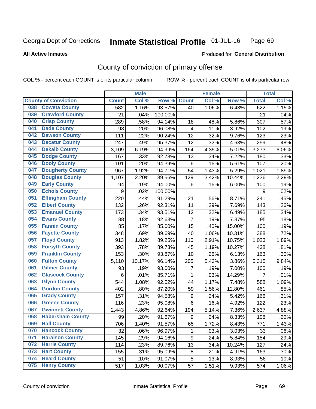#### Inmate Statistical Profile 01-JUL-16 Page 69

#### **All Active Inmates**

## Produced for General Distribution

## County of conviction of primary offense

COL % - percent each COUNT is of its particular column

|                                |              | <b>Male</b> |         |                  | <b>Female</b> |        |              | <b>Total</b> |
|--------------------------------|--------------|-------------|---------|------------------|---------------|--------|--------------|--------------|
| <b>County of Conviction</b>    | <b>Count</b> | Col %       | Row %   | <b>Count</b>     | Col %         | Row %  | <b>Total</b> | Col%         |
| <b>Coweta County</b><br>038    | 582          | 1.16%       | 93.57%  | 40               | 1.06%         | 6.43%  | 622          | 1.15%        |
| <b>Crawford County</b><br>039  | 21           | .04%        | 100.00% |                  |               |        | 21           | .04%         |
| <b>Crisp County</b><br>040     | 289          | .58%        | 94.14%  | 18               | .48%          | 5.86%  | 307          | .57%         |
| <b>Dade County</b><br>041      | 98           | .20%        | 96.08%  | 4                | .11%          | 3.92%  | 102          | .19%         |
| <b>Dawson County</b><br>042    | 111          | .22%        | 90.24%  | 12               | .32%          | 9.76%  | 123          | .23%         |
| 043<br><b>Decatur County</b>   | 247          | .49%        | 95.37%  | 12               | .32%          | 4.63%  | 259          | .48%         |
| <b>Dekalb County</b><br>044    | 3,109        | 6.19%       | 94.99%  | 164              | 4.35%         | 5.01%  | 3,273        | 6.06%        |
| <b>Dodge County</b><br>045     | 167          | .33%        | 92.78%  | 13               | .34%          | 7.22%  | 180          | .33%         |
| <b>Dooly County</b><br>046     | 101          | .20%        | 94.39%  | $\,6$            | .16%          | 5.61%  | 107          | .20%         |
| 047<br><b>Dougherty County</b> | 967          | 1.92%       | 94.71%  | 54               | 1.43%         | 5.29%  | 1,021        | 1.89%        |
| <b>Douglas County</b><br>048   | 1,107        | 2.20%       | 89.56%  | 129              | 3.42%         | 10.44% | 1,236        | 2.29%        |
| <b>Early County</b><br>049     | 94           | .19%        | 94.00%  | $6\phantom{1}6$  | .16%          | 6.00%  | 100          | .19%         |
| <b>Echols County</b><br>050    | 9            | .02%        | 100.00% |                  |               |        | 9            | .02%         |
| 051<br><b>Effingham County</b> | 220          | .44%        | 91.29%  | 21               | .56%          | 8.71%  | 241          | .45%         |
| 052<br><b>Elbert County</b>    | 132          | .26%        | 92.31%  | 11               | .29%          | 7.69%  | 143          | .26%         |
| <b>Emanuel County</b><br>053   | 173          | .34%        | 93.51%  | 12               | .32%          | 6.49%  | 185          | .34%         |
| <b>Evans County</b><br>054     | 88           | .18%        | 92.63%  | $\overline{7}$   | .19%          | 7.37%  | 95           | .18%         |
| <b>Fannin County</b><br>055    | 85           | .17%        | 85.00%  | 15               | .40%          | 15.00% | 100          | .19%         |
| <b>Fayette County</b><br>056   | 348          | .69%        | 89.69%  | 40               | 1.06%         | 10.31% | 388          | .72%         |
| <b>Floyd County</b><br>057     | 913          | 1.82%       | 89.25%  | 110              | 2.91%         | 10.75% | 1,023        | 1.89%        |
| <b>Forsyth County</b><br>058   | 393          | .78%        | 89.73%  | 45               | 1.19%         | 10.27% | 438          | .81%         |
| <b>Franklin County</b><br>059  | 153          | .30%        | 93.87%  | 10               | .26%          | 6.13%  | 163          | .30%         |
| <b>Fulton County</b><br>060    | 5,110        | 10.17%      | 96.14%  | 205              | 5.43%         | 3.86%  | 5,315        | 9.84%        |
| <b>Gilmer County</b><br>061    | 93           | .19%        | 93.00%  | 7                | .19%          | 7.00%  | 100          | .19%         |
| <b>Glascock County</b><br>062  | 6            | .01%        | 85.71%  | 1                | .03%          | 14.29% | 7            | .01%         |
| <b>Glynn County</b><br>063     | 544          | 1.08%       | 92.52%  | 44               | 1.17%         | 7.48%  | 588          | 1.09%        |
| <b>Gordon County</b><br>064    | 402          | .80%        | 87.20%  | 59               | 1.56%         | 12.80% | 461          | .85%         |
| <b>Grady County</b><br>065     | 157          | .31%        | 94.58%  | $\boldsymbol{9}$ | .24%          | 5.42%  | 166          | .31%         |
| <b>Greene County</b><br>066    | 116          | .23%        | 95.08%  | 6                | .16%          | 4.92%  | 122          | .23%         |
| <b>Gwinnett County</b><br>067  | 2,443        | 4.86%       | 92.64%  | 194              | 5.14%         | 7.36%  | 2,637        | 4.88%        |
| <b>Habersham County</b><br>068 | 99           | .20%        | 91.67%  | 9                | .24%          | 8.33%  | 108          | .20%         |
| 069<br><b>Hall County</b>      | 706          | 1.40%       | 91.57%  | 65               | 1.72%         | 8.43%  | 771          | 1.43%        |
| <b>Hancock County</b><br>070   | 32           | .06%        | 96.97%  | 1                | .03%          | 3.03%  | 33           | .06%         |
| <b>Haralson County</b><br>071  | 145          | .29%        | 94.16%  | 9                | .24%          | 5.84%  | 154          | .29%         |
| 072<br><b>Harris County</b>    | 114          | .23%        | 89.76%  | 13               | .34%          | 10.24% | 127          | .24%         |
| <b>Hart County</b><br>073      | 155          | .31%        | 95.09%  | 8                | .21%          | 4.91%  | 163          | .30%         |
| <b>Heard County</b><br>074     | 51           | .10%        | 91.07%  | 5                | .13%          | 8.93%  | 56           | .10%         |
| <b>Henry County</b><br>075     | 517          | 1.03%       | 90.07%  | 57               | 1.51%         | 9.93%  | 574          | 1.06%        |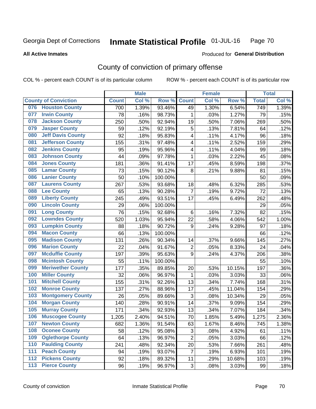#### Inmate Statistical Profile 01-JUL-16 Page 70

**All Active Inmates** 

#### Produced for General Distribution

## County of conviction of primary offense

COL % - percent each COUNT is of its particular column

|       |                             |              | <b>Male</b> |         |                           | <b>Female</b> |        |              | <b>Total</b> |
|-------|-----------------------------|--------------|-------------|---------|---------------------------|---------------|--------|--------------|--------------|
|       | <b>County of Conviction</b> | <b>Count</b> | Col %       | Row %   | <b>Count</b>              | Col%          | Row %  | <b>Total</b> | Col %        |
| 076   | <b>Houston County</b>       | 700          | 1.39%       | 93.46%  | 49                        | 1.30%         | 6.54%  | 749          | 1.39%        |
| 077   | <b>Irwin County</b>         | 78           | .16%        | 98.73%  | 1                         | .03%          | 1.27%  | 79           | .15%         |
| 078   | <b>Jackson County</b>       | 250          | .50%        | 92.94%  | 19                        | .50%          | 7.06%  | 269          | .50%         |
| 079   | <b>Jasper County</b>        | 59           | .12%        | 92.19%  | 5                         | .13%          | 7.81%  | 64           | .12%         |
| 080   | <b>Jeff Davis County</b>    | 92           | .18%        | 95.83%  | 4                         | .11%          | 4.17%  | 96           | .18%         |
| 081   | <b>Jefferson County</b>     | 155          | .31%        | 97.48%  | 4                         | .11%          | 2.52%  | 159          | .29%         |
| 082   | <b>Jenkins County</b>       | 95           | .19%        | 95.96%  | 4                         | .11%          | 4.04%  | 99           | .18%         |
| 083   | <b>Johnson County</b>       | 44           | .09%        | 97.78%  | $\mathbf 1$               | .03%          | 2.22%  | 45           | .08%         |
| 084   | <b>Jones County</b>         | 181          | .36%        | 91.41%  | 17                        | .45%          | 8.59%  | 198          | .37%         |
| 085   | <b>Lamar County</b>         | 73           | .15%        | 90.12%  | 8                         | .21%          | 9.88%  | 81           | .15%         |
| 086   | <b>Lanier County</b>        | 50           | .10%        | 100.00% |                           |               |        | 50           | .09%         |
| 087   | <b>Laurens County</b>       | 267          | .53%        | 93.68%  | 18                        | .48%          | 6.32%  | 285          | .53%         |
| 088   | <b>Lee County</b>           | 65           | .13%        | 90.28%  | $\overline{7}$            | .19%          | 9.72%  | 72           | .13%         |
| 089   | <b>Liberty County</b>       | 245          | .49%        | 93.51%  | 17                        | .45%          | 6.49%  | 262          | .48%         |
| 090   | <b>Lincoln County</b>       | 29           | .06%        | 100.00% |                           |               |        | 29           | .05%         |
| 091   | <b>Long County</b>          | 76           | .15%        | 92.68%  | 6                         | .16%          | 7.32%  | 82           | .15%         |
| 092   | <b>Lowndes County</b>       | 520          | 1.03%       | 95.94%  | 22                        | .58%          | 4.06%  | 542          | 1.00%        |
| 093   | <b>Lumpkin County</b>       | 88           | .18%        | 90.72%  | 9                         | .24%          | 9.28%  | 97           | .18%         |
| 094   | <b>Macon County</b>         | 66           | .13%        | 100.00% |                           |               |        | 66           | .12%         |
| 095   | <b>Madison County</b>       | 131          | .26%        | 90.34%  | 14                        | .37%          | 9.66%  | 145          | .27%         |
| 096   | <b>Marion County</b>        | 22           | .04%        | 91.67%  | $\boldsymbol{2}$          | .05%          | 8.33%  | 24           | .04%         |
| 097   | <b>Mcduffie County</b>      | 197          | .39%        | 95.63%  | 9                         | .24%          | 4.37%  | 206          | .38%         |
| 098   | <b>Mcintosh County</b>      | 55           | .11%        | 100.00% |                           |               |        | 55           | .10%         |
| 099   | <b>Meriwether County</b>    | 177          | .35%        | 89.85%  | 20                        | .53%          | 10.15% | 197          | .36%         |
| 100   | <b>Miller County</b>        | 32           | .06%        | 96.97%  | $\mathbf 1$               | .03%          | 3.03%  | 33           | .06%         |
| 101   | <b>Mitchell County</b>      | 155          | .31%        | 92.26%  | 13                        | .34%          | 7.74%  | 168          | .31%         |
| 102   | <b>Monroe County</b>        | 137          | .27%        | 88.96%  | 17                        | .45%          | 11.04% | 154          | .29%         |
| 103   | <b>Montgomery County</b>    | 26           | .05%        | 89.66%  | $\ensuremath{\mathsf{3}}$ | .08%          | 10.34% | 29           | .05%         |
| 104   | <b>Morgan County</b>        | 140          | .28%        | 90.91%  | 14                        | .37%          | 9.09%  | 154          | .29%         |
| 105   | <b>Murray County</b>        | 171          | .34%        | 92.93%  | 13                        | .34%          | 7.07%  | 184          | .34%         |
| 106   | <b>Muscogee County</b>      | 1,205        | 2.40%       | 94.51%  | 70                        | 1.85%         | 5.49%  | 1,275        | 2.36%        |
| 107   | <b>Newton County</b>        | 682          | 1.36%       | 91.54%  | 63                        | 1.67%         | 8.46%  | 745          | 1.38%        |
| 108   | <b>Oconee County</b>        | 58           | .12%        | 95.08%  | 3                         | .08%          | 4.92%  | 61           | .11%         |
| 109   | <b>Oglethorpe County</b>    | 64           | .13%        | 96.97%  | $\overline{2}$            | .05%          | 3.03%  | 66           | .12%         |
| 110   | <b>Paulding County</b>      | 241          | .48%        | 92.34%  | 20                        | .53%          | 7.66%  | 261          | .48%         |
| 111   | <b>Peach County</b>         | 94           | .19%        | 93.07%  | $\overline{7}$            | .19%          | 6.93%  | 101          | .19%         |
| 112   | <b>Pickens County</b>       | 92           | .18%        | 89.32%  | 11                        | .29%          | 10.68% | 103          | .19%         |
| $113$ | <b>Pierce County</b>        | 96           | .19%        | 96.97%  | 3                         | .08%          | 3.03%  | 99           | .18%         |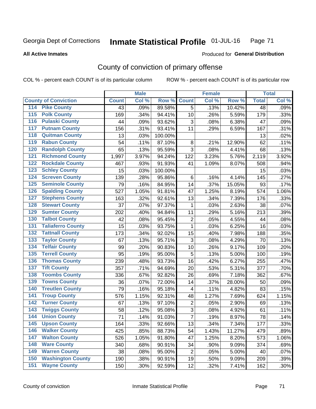#### Inmate Statistical Profile 01-JUL-16 Page 71

#### **All Active Inmates**

## Produced for General Distribution

## County of conviction of primary offense

COL % - percent each COUNT is of its particular column

|                                          |              | <b>Male</b> |         |                | <b>Female</b> |        |              | <b>Total</b> |
|------------------------------------------|--------------|-------------|---------|----------------|---------------|--------|--------------|--------------|
| <b>County of Conviction</b>              | <b>Count</b> | Col %       | Row %   | <b>Count</b>   | Col %         | Row %  | <b>Total</b> | Col %        |
| <b>Pike County</b><br>114                | 43           | .09%        | 89.58%  | $\overline{5}$ | .13%          | 10.42% | 48           | .09%         |
| <b>Polk County</b><br>115                | 169          | .34%        | 94.41%  | 10             | .26%          | 5.59%  | 179          | .33%         |
| <b>Pulaski County</b><br>116             | 44           | .09%        | 93.62%  | 3              | .08%          | 6.38%  | 47           | .09%         |
| 117<br><b>Putnam County</b>              | 156          | .31%        | 93.41%  | 11             | .29%          | 6.59%  | 167          | .31%         |
| <b>Quitman County</b><br>118             | 13           | .03%        | 100.00% |                |               |        | 13           | .02%         |
| <b>Rabun County</b><br>119               | 54           | .11%        | 87.10%  | 8              | .21%          | 12.90% | 62           | .11%         |
| <b>Randolph County</b><br>120            | 65           | .13%        | 95.59%  | 3              | .08%          | 4.41%  | 68           | .13%         |
| <b>Richmond County</b><br>121            | 1,997        | 3.97%       | 94.24%  | 122            | 3.23%         | 5.76%  | 2,119        | 3.92%        |
| <b>Rockdale County</b><br>122            | 467          | .93%        | 91.93%  | 41             | 1.09%         | 8.07%  | 508          | .94%         |
| <b>Schley County</b><br>123              | 15           | .03%        | 100.00% |                |               |        | 15           | .03%         |
| <b>Screven County</b><br>124             | 139          | .28%        | 95.86%  | 6              | .16%          | 4.14%  | 145          | .27%         |
| <b>Seminole County</b><br>125            | 79           | .16%        | 84.95%  | 14             | .37%          | 15.05% | 93           | .17%         |
| <b>Spalding County</b><br>126            | 527          | 1.05%       | 91.81%  | 47             | 1.25%         | 8.19%  | 574          | 1.06%        |
| <b>Stephens County</b><br>127            | 163          | .32%        | 92.61%  | 13             | .34%          | 7.39%  | 176          | .33%         |
| <b>Stewart County</b><br>128             | 37           | .07%        | 97.37%  | 1              | .03%          | 2.63%  | 38           | .07%         |
| <b>Sumter County</b><br>129              | 202          | .40%        | 94.84%  | 11             | .29%          | 5.16%  | 213          | .39%         |
| <b>Talbot County</b><br>130              | 42           | .08%        | 95.45%  | $\overline{2}$ | .05%          | 4.55%  | 44           | .08%         |
| 131<br><b>Taliaferro County</b>          | 15           | .03%        | 93.75%  | $\mathbf{1}$   | .03%          | 6.25%  | 16           | .03%         |
| <b>Tattnall County</b><br>132            | 173          | .34%        | 92.02%  | 15             | .40%          | 7.98%  | 188          | .35%         |
| <b>Taylor County</b><br>133              | 67           | .13%        | 95.71%  | 3              | .08%          | 4.29%  | 70           | .13%         |
| <b>Telfair County</b><br>134             | 99           | .20%        | 90.83%  | 10             | .26%          | 9.17%  | 109          | .20%         |
| <b>Terrell County</b><br>135             | 95           | .19%        | 95.00%  | 5              | .13%          | 5.00%  | 100          | .19%         |
| <b>Thomas County</b><br>136              | 239          | .48%        | 93.73%  | 16             | .42%          | 6.27%  | 255          | .47%         |
| <b>Tift County</b><br>137                | 357          | .71%        | 94.69%  | 20             | .53%          | 5.31%  | 377          | .70%         |
| <b>Toombs County</b><br>138              | 336          | .67%        | 92.82%  | 26             | .69%          | 7.18%  | 362          | .67%         |
| <b>Towns County</b><br>139               | 36           | .07%        | 72.00%  | 14             | .37%          | 28.00% | 50           | .09%         |
| <b>Treutlen County</b><br>140            | 79           | .16%        | 95.18%  | 4              | .11%          | 4.82%  | 83           | .15%         |
| <b>Troup County</b><br>141               | 576          | 1.15%       | 92.31%  | 48             | 1.27%         | 7.69%  | 624          | 1.15%        |
| <b>Turner County</b><br>142              | 67           | .13%        | 97.10%  | $\mathbf 2$    | .05%          | 2.90%  | 69           | .13%         |
| $\overline{143}$<br><b>Twiggs County</b> | 58           | .12%        | 95.08%  | $\sqrt{3}$     | .08%          | 4.92%  | 61           | .11%         |
| <b>Union County</b><br>144               | 71           | .14%        | 91.03%  | $\overline{7}$ | .19%          | 8.97%  | 78           | .14%         |
| 145<br><b>Upson County</b>               | 164          | .33%        | 92.66%  | 13             | .34%          | 7.34%  | 177          | .33%         |
| <b>Walker County</b><br>146              | 425          | .85%        | 88.73%  | 54             | 1.43%         | 11.27% | 479          | .89%         |
| <b>Walton County</b><br>147              | 526          | 1.05%       | 91.80%  | 47             | 1.25%         | 8.20%  | 573          | 1.06%        |
| <b>Ware County</b><br>148                | 340          | .68%        | 90.91%  | 34             | .90%          | 9.09%  | 374          | .69%         |
| <b>Warren County</b><br>149              | 38           | .08%        | 95.00%  | $\overline{2}$ | .05%          | 5.00%  | 40           | .07%         |
| <b>Washington County</b><br>150          | 190          | .38%        | 90.91%  | 19             | .50%          | 9.09%  | 209          | .39%         |
| <b>Wayne County</b><br>151               | 150          | .30%        | 92.59%  | 12             | .32%          | 7.41%  | 162          | .30%         |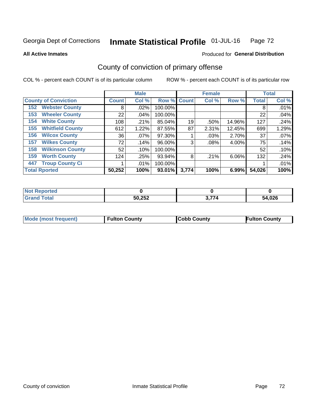#### Inmate Statistical Profile 01-JUL-16 Page 72

#### **All Active Inmates**

# Produced for General Distribution

## County of conviction of primary offense

COL % - percent each COUNT is of its particular column

|                                           |              | <b>Male</b> |           |             | <b>Female</b> |          |              | <b>Total</b> |
|-------------------------------------------|--------------|-------------|-----------|-------------|---------------|----------|--------------|--------------|
| <b>County of Conviction</b>               | <b>Count</b> | Col %       |           | Row % Count | Col %         | Row %    | <b>Total</b> | Col %        |
| <b>Webster County</b><br>152 <sub>1</sub> | 8            | .02%        | 100.00%   |             |               |          | 8            | .01%         |
| <b>Wheeler County</b><br>153              | 22           | $.04\%$     | 100.00%   |             |               |          | 22           | .04%         |
| <b>White County</b><br>154                | 108          | .21%        | 85.04%    | 19          | .50%          | 14.96%   | 127          | .24%         |
| <b>Whitfield County</b><br>155            | 612          | 1.22%       | 87.55%    | 87          | 2.31%         | 12.45%   | 699          | 1.29%        |
| <b>Wilcox County</b><br>156               | 36           | $.07\%$     | 97.30%    |             | $.03\%$       | 2.70%    | 37           | .07%         |
| <b>Wilkes County</b><br>157               | 72           | .14%        | 96.00%    | 3           | $.08\%$       | 4.00%    | 75           | .14%         |
| <b>Wilkinson County</b><br>158            | 52           | .10%        | 100.00%   |             |               |          | 52           | .10%         |
| <b>Worth County</b><br>159                | 124          | .25%        | 93.94%    | 8           | .21%          | 6.06%    | 132          | .24%         |
| <b>Troup County Ci</b><br>447             |              | $.01\%$     | 100.00%   |             |               |          |              | .01%         |
| <b>Total Rported</b>                      | 50,252       | 100%        | $93.01\%$ | 3,774       | 100%          | $6.99\%$ | 54,026       | 100%         |

| <b>Not Reported</b> |        |                           |        |
|---------------------|--------|---------------------------|--------|
| <b>Grand Total</b>  | 50,252 | . <del>.</del> .<br>3.774 | 54,026 |

|  | <b>Mode (most frequent)</b> | <b>Fulton County</b> | <b>Cobb County</b> | <b>Fulton County</b> |
|--|-----------------------------|----------------------|--------------------|----------------------|
|--|-----------------------------|----------------------|--------------------|----------------------|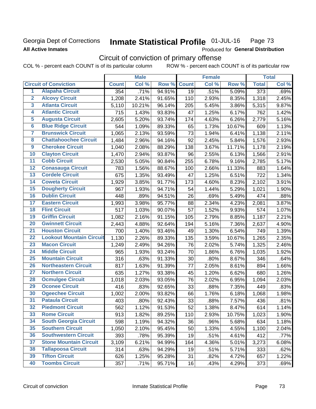## Georgia Dept of Corrections **All Active Inmates**

#### Inmate Statistical Profile 01-JUL-16 Page 73

Produced for General Distribution

# Circuit of conviction of primary offense

COL % - percent each COUNT is of its particular column ROW % - percent each COUNT is of its particular row

|                         |                                 |              | <b>Male</b> |        |              | <b>Female</b> |        |                  | <b>Total</b> |
|-------------------------|---------------------------------|--------------|-------------|--------|--------------|---------------|--------|------------------|--------------|
|                         | <b>Circuit of Conviction</b>    | <b>Count</b> | Col %       | Row %  | <b>Count</b> | Col %         | Row %  | <b>Total</b>     | Col %        |
| 1                       | <b>Alapaha Circuit</b>          | 354          | .71%        | 94.91% | 19           | .51%          | 5.09%  | $\overline{373}$ | .69%         |
| $\overline{2}$          | <b>Alcovy Circuit</b>           | 1,208        | 2.41%       | 91.65% | 110          | 2.93%         | 8.35%  | 1,318            | 2.45%        |
| $\overline{\mathbf{3}}$ | <b>Atlanta Circuit</b>          | 5,110        | 10.21%      | 96.14% | 205          | 5.45%         | 3.86%  | 5,315            | 9.87%        |
| 4                       | <b>Atlantic Circuit</b>         | 715          | 1.43%       | 93.83% | 47           | 1.25%         | 6.17%  | 762              | 1.42%        |
| $\overline{5}$          | <b>Augusta Circuit</b>          | 2,605        | 5.20%       | 93.74% | 174          | 4.63%         | 6.26%  | 2,779            | 5.16%        |
| $\overline{\bf{6}}$     | <b>Blue Ridge Circuit</b>       | 544          | 1.09%       | 89.33% | 65           | 1.73%         | 10.67% | 609              | 1.13%        |
| 7                       | <b>Brunswick Circuit</b>        | 1,065        | 2.13%       | 93.59% | 73           | 1.94%         | 6.41%  | 1,138            | 2.11%        |
| $\overline{\mathbf{8}}$ | <b>Chattahoochee Circuit</b>    | 1,484        | 2.96%       | 94.16% | 92           | 2.45%         | 5.84%  | 1,576            | 2.93%        |
| $\overline{9}$          | <b>Cherokee Circuit</b>         | 1,040        | 2.08%       | 88.29% | 138          | 3.67%         | 11.71% | 1,178            | 2.19%        |
| 10                      | <b>Clayton Circuit</b>          | 1,470        | 2.94%       | 93.87% | 96           | 2.55%         | 6.13%  | 1,566            | 2.91%        |
| $\overline{11}$         | <b>Cobb Circuit</b>             | 2,530        | 5.05%       | 90.84% | 255          | 6.78%         | 9.16%  | 2,785            | 5.17%        |
| $\overline{12}$         | <b>Conasauga Circuit</b>        | 783          | 1.56%       | 88.67% | 100          | 2.66%         | 11.33% | 883              | 1.64%        |
| 13                      | <b>Cordele Circuit</b>          | 675          | 1.35%       | 93.49% | 47           | 1.25%         | 6.51%  | 722              | 1.34%        |
| $\overline{14}$         | <b>Coweta Circuit</b>           | 1,929        | 3.85%       | 91.77% | 173          | 4.60%         | 8.23%  | 2,102            | 3.91%        |
| 15                      | <b>Dougherty Circuit</b>        | 967          | 1.93%       | 94.71% | 54           | 1.44%         | 5.29%  | 1,021            | 1.90%        |
| 16                      | <b>Dublin Circuit</b>           | 448          | .89%        | 94.51% | 26           | .69%          | 5.49%  | 474              | .88%         |
| 17                      | <b>Eastern Circuit</b>          | 1,993        | 3.98%       | 95.77% | 88           | 2.34%         | 4.23%  | 2,081            | 3.87%        |
| $\overline{18}$         | <b>Flint Circuit</b>            | 517          | 1.03%       | 90.07% | 57           | 1.52%         | 9.93%  | 574              | 1.07%        |
| 19                      | <b>Griffin Circuit</b>          | 1,082        | 2.16%       | 91.15% | 105          | 2.79%         | 8.85%  | 1,187            | 2.21%        |
| 20                      | <b>Gwinnett Circuit</b>         | 2,443        | 4.88%       | 92.64% | 194          | 5.16%         | 7.36%  | 2,637            | 4.90%        |
| $\overline{21}$         | <b>Houston Circuit</b>          | 700          | 1.40%       | 93.46% | 49           | 1.30%         | 6.54%  | 749              | 1.39%        |
| $\overline{22}$         | <b>Lookout Mountain Circuit</b> | 1,130        | 2.26%       | 89.33% | 135          | 3.59%         | 10.67% | 1,265            | 2.35%        |
| 23                      | <b>Macon Circuit</b>            | 1,249        | 2.49%       | 94.26% | 76           | 2.02%         | 5.74%  | 1,325            | 2.46%        |
| $\overline{24}$         | <b>Middle Circuit</b>           | 965          | 1.93%       | 93.24% | 70           | 1.86%         | 6.76%  | 1,035            | 1.92%        |
| $\overline{25}$         | <b>Mountain Circuit</b>         | 316          | .63%        | 91.33% | 30           | .80%          | 8.67%  | 346              | .64%         |
| 26                      | <b>Northeastern Circuit</b>     | 817          | 1.63%       | 91.39% | 77           | 2.05%         | 8.61%  | 894              | 1.66%        |
| $\overline{27}$         | <b>Northern Circuit</b>         | 635          | 1.27%       | 93.38% | 45           | 1.20%         | 6.62%  | 680              | 1.26%        |
| 28                      | <b>Ocmulgee Circuit</b>         | 1,018        | 2.03%       | 93.05% | 76           | 2.02%         | 6.95%  | 1,094            | 2.03%        |
| 29                      | <b>Oconee Circuit</b>           | 416          | .83%        | 92.65% | 33           | .88%          | 7.35%  | 449              | .83%         |
| 30                      | <b>Ogeechee Circuit</b>         | 1,002        | 2.00%       | 93.82% | 66           | 1.76%         | 6.18%  | 1,068            | 1.98%        |
| $\overline{31}$         | <b>Pataula Circuit</b>          | 403          | .80%        | 92.43% | 33           | .88%          | 7.57%  | 436              | .81%         |
| 32                      | <b>Piedmont Circuit</b>         | 562          | 1.12%       | 91.53% | 52           | 1.38%         | 8.47%  | 614              | 1.14%        |
| 33                      | <b>Rome Circuit</b>             | 913          | 1.82%       | 89.25% | 110          | 2.93%         | 10.75% | 1,023            | 1.90%        |
| 34                      | <b>South Georgia Circuit</b>    | 598          | 1.19%       | 94.32% | 36           | .96%          | 5.68%  | 634              | 1.18%        |
| 35                      | <b>Southern Circuit</b>         | 1,050        | 2.10%       | 95.45% | 50           | 1.33%         | 4.55%  | 1,100            | 2.04%        |
| 36                      | <b>Southwestern Circuit</b>     | 393          | .78%        | 95.39% | 19           | .51%          | 4.61%  | 412              | .77%         |
| 37                      | <b>Stone Mountain Circuit</b>   | 3,109        | 6.21%       | 94.99% | 164          | 4.36%         | 5.01%  | 3,273            | 6.08%        |
| 38                      | <b>Tallapoosa Circuit</b>       | 314          | .63%        | 94.29% | 19           | .51%          | 5.71%  | 333              | .62%         |
| 39                      | <b>Tifton Circuit</b>           | 626          | 1.25%       | 95.28% | 31           | .82%          | 4.72%  | 657              | 1.22%        |
| 40                      | <b>Toombs Circuit</b>           | 357          | .71%        | 95.71% | 16           | .43%          | 4.29%  | 373              | .69%         |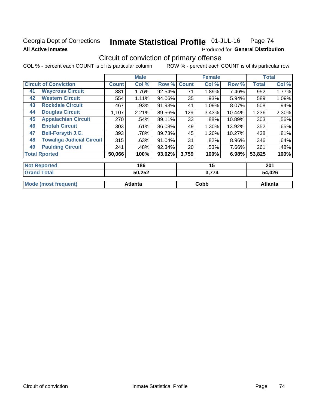## Georgia Dept of Corrections **All Active Inmates**

#### Inmate Statistical Profile 01-JUL-16 Page 74

Produced for General Distribution

# Circuit of conviction of primary offense

COL % - percent each COUNT is of its particular column ROW % - percent each COUNT is of its particular row

|    |                                  |              | <b>Male</b> |        |              | <b>Female</b> |        |              | <b>Total</b> |
|----|----------------------------------|--------------|-------------|--------|--------------|---------------|--------|--------------|--------------|
|    | <b>Circuit of Conviction</b>     | <b>Count</b> | Col %       | Row %  | <b>Count</b> | Col %         | Row %  | <b>Total</b> | Col %        |
| 41 | <b>Waycross Circuit</b>          | 881          | 1.76%       | 92.54% | 71           | 1.89%         | 7.46%  | 952          | 1.77%        |
| 42 | <b>Western Circuit</b>           | 554          | 1.11%       | 94.06% | 35           | .93%          | 5.94%  | 589          | 1.09%        |
| 43 | <b>Rockdale Circuit</b>          | 467          | .93%        | 91.93% | 41           | 1.09%         | 8.07%  | 508          | $.94\%$      |
| 44 | <b>Douglas Circuit</b>           | 1,107        | 2.21%       | 89.56% | 129          | 3.43%         | 10.44% | 1,236        | 2.30%        |
| 45 | <b>Appalachian Circuit</b>       | 270          | .54%        | 89.11% | 33           | .88%          | 10.89% | 303          | .56%         |
| 46 | <b>Enotah Circuit</b>            | 303          | .61%        | 86.08% | 49           | 1.30%         | 13.92% | 352          | .65%         |
| 47 | <b>Bell-Forsyth J.C.</b>         | 393          | .78%        | 89.73% | 45           | 1.20%         | 10.27% | 438          | .81%         |
| 48 | <b>Towaliga Judicial Circuit</b> | 315          | .63%        | 91.04% | 31           | .82%          | 8.96%  | 346          | .64%         |
| 49 | <b>Paulding Circuit</b>          | 241          | .48%        | 92.34% | 20           | .53%          | 7.66%  | 261          | .48%         |
|    | <b>Total Rported</b>             | 50,066       | 100%        | 93.02% | 3,759        | 100%          | 6.98%  | 53,825       | 100%         |
|    | <b>Not Reported</b>              |              | 186         |        |              | 15            |        |              | 201          |

| <b>Total</b><br>' Grand     | 50,252         | 3,774 | 54,026  |
|-----------------------------|----------------|-------|---------|
| <b>Mode (most frequent)</b> | <b>Atlanta</b> | Cobb  | Atlanta |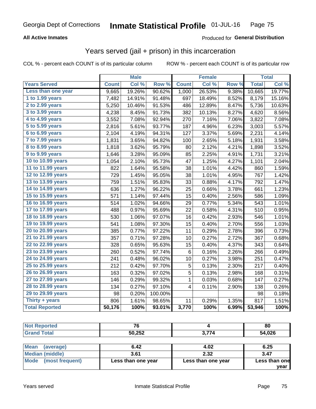## **All Active Inmates**

#### Produced for **General Distribution**

## Years served (jail + prison) in this incarceration

COL % - percent each COUNT is of its particular column ROW % - percent each COUNT is of its particular row

|                       |              | <b>Male</b> |         |                         | <b>Female</b> |                  |              | <b>Total</b> |
|-----------------------|--------------|-------------|---------|-------------------------|---------------|------------------|--------------|--------------|
| <b>Years Served</b>   | <b>Count</b> | Col %       | Row %   | <b>Count</b>            | Col %         | Row <sub>%</sub> | <b>Total</b> | Col %        |
| Less than one year    | 9,665        | 19.26%      | 90.62%  | 1,000                   | 26.53%        | 9.38%            | 10,665       | 19.77%       |
| 1 to 1.99 years       | 7,482        | 14.91%      | 91.48%  | 697                     | 18.49%        | 8.52%            | 8,179        | 15.16%       |
| 2 to 2.99 years       | 5,250        | 10.46%      | 91.53%  | 486                     | 12.89%        | 8.47%            | 5,736        | 10.63%       |
| 3 to 3.99 years       | 4,238        | 8.45%       | 91.73%  | 382                     | 10.13%        | 8.27%            | 4,620        | 8.56%        |
| 4 to 4.99 years       | 3,552        | 7.08%       | 92.94%  | 270                     | 7.16%         | 7.06%            | 3,822        | 7.08%        |
| 5 to 5.99 years       | 2,816        | 5.61%       | 93.77%  | 187                     | 4.96%         | 6.23%            | 3,003        | 5.57%        |
| 6 to 6.99 years       | 2,104        | 4.19%       | 94.31%  | 127                     | 3.37%         | 5.69%            | 2,231        | 4.14%        |
| 7 to 7.99 years       | 1,831        | 3.65%       | 94.82%  | 100                     | 2.65%         | 5.18%            | 1,931        | 3.58%        |
| 8 to 8.99 years       | 1,818        | 3.62%       | 95.79%  | 80                      | 2.12%         | 4.21%            | 1,898        | 3.52%        |
| 9 to 9.99 years       | 1,646        | 3.28%       | 95.09%  | 85                      | 2.25%         | 4.91%            | 1,731        | 3.21%        |
| 10 to 10.99 years     | 1,054        | 2.10%       | 95.73%  | 47                      | 1.25%         | 4.27%            | 1,101        | 2.04%        |
| 11 to 11.99 years     | 822          | 1.64%       | 95.58%  | 38                      | 1.01%         | 4.42%            | 860          | 1.59%        |
| 12 to 12.99 years     | 729          | 1.45%       | 95.05%  | 38                      | 1.01%         | 4.95%            | 767          | 1.42%        |
| 13 to 13.99 years     | 759          | 1.51%       | 95.83%  | 33                      | 0.88%         | 4.17%            | 792          | 1.47%        |
| 14 to 14.99 years     | 636          | 1.27%       | 96.22%  | 25                      | 0.66%         | 3.78%            | 661          | 1.23%        |
| 15 to 15.99 years     | 571          | 1.14%       | 97.44%  | 15                      | 0.40%         | 2.56%            | 586          | 1.09%        |
| 16 to 16.99 years     | 514          | 1.02%       | 94.66%  | 29                      | 0.77%         | 5.34%            | 543          | 1.01%        |
| 17 to 17.99 years     | 488          | 0.97%       | 95.69%  | 22                      | 0.58%         | 4.31%            | 510          | 0.95%        |
| 18 to 18.99 years     | 530          | 1.06%       | 97.07%  | 16                      | 0.42%         | 2.93%            | 546          | 1.01%        |
| 19 to 19.99 years     | 541          | 1.08%       | 97.30%  | 15                      | 0.40%         | 2.70%            | 556          | 1.03%        |
| 20 to 20.99 years     | 385          | 0.77%       | 97.22%  | 11                      | 0.29%         | 2.78%            | 396          | 0.73%        |
| 21 to 21.99 years     | 357          | 0.71%       | 97.28%  | 10                      | 0.27%         | 2.72%            | 367          | 0.68%        |
| 22 to 22.99 years     | 328          | 0.65%       | 95.63%  | 15                      | 0.40%         | 4.37%            | 343          | 0.64%        |
| 23 to 23.99 years     | 260          | 0.52%       | 97.74%  | 6                       | 0.16%         | 2.26%            | 266          | 0.49%        |
| 24 to 24.99 years     | 241          | 0.48%       | 96.02%  | 10                      | 0.27%         | 3.98%            | 251          | 0.47%        |
| 25 to 25.99 years     | 212          | 0.42%       | 97.70%  | 5                       | 0.13%         | 2.30%            | 217          | 0.40%        |
| 26 to 26.99 years     | 163          | 0.32%       | 97.02%  | 5                       | 0.13%         | 2.98%            | 168          | 0.31%        |
| 27 to 27.99 years     | 146          | 0.29%       | 99.32%  | $\mathbf{1}$            | 0.03%         | 0.68%            | 147          | 0.27%        |
| 28 to 28.99 years     | 134          | 0.27%       | 97.10%  | $\overline{\mathbf{4}}$ | 0.11%         | 2.90%            | 138          | 0.26%        |
| 29 to 29.99 years     | 98           | 0.20%       | 100.00% |                         |               |                  | 98           | 0.18%        |
| Thirty $+$ years      | 806          | 1.61%       | 98.65%  | 11                      | 0.29%         | 1.35%            | 817          | 1.51%        |
| <b>Total Reported</b> | 50,176       | 100%        | 93.01%  | 3,770                   | 100%          | 6.99%            | 53,946       | 100%         |

| <b>Not Reported</b>      | 76                 |                    | 80            |
|--------------------------|--------------------|--------------------|---------------|
| <b>Grand Total</b>       | 50,252             | 3.774              | 54,026        |
| <b>Mean</b><br>(average) | 6.42               | 4.02               | 6.25          |
| Median (middle)          | 3.61               | 2.32               | 3.47          |
| Mode<br>(most frequent)  | Less than one year | Less than one year | Less than one |

**year**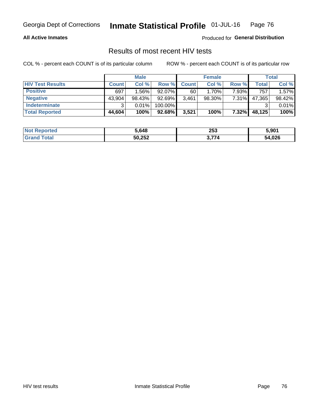### **All Active Inmates**

Produced for **General Distribution**

## Results of most recent HIV tests

|                         | <b>Male</b>  |          |           | <b>Female</b> |           |       | Total  |        |
|-------------------------|--------------|----------|-----------|---------------|-----------|-------|--------|--------|
| <b>HIV Test Results</b> | <b>Count</b> | Col%     | Row %I    | <b>Count</b>  | Col %     | Row % | Total  | Col %  |
| <b>Positive</b>         | 697          | $1.56\%$ | 92.07%    | 60            | 1.70%     | 7.93% | 757    | 1.57%  |
| <b>Negative</b>         | 43,904       | 98.43%   | 92.69%    | 3,461         | $98.30\%$ | 7.31% | 47,365 | 98.42% |
| Indeterminate           | າ            | 0.01%    | 100.00%   |               |           |       |        | 0.01%  |
| <b>Total Reported</b>   | 44,604       | 100%     | $92.68\%$ | 3,521         | 100%      | 7.32% | 48,125 | 100%   |

| <b>Not Reported</b> | 5,648  | 253   | 5,901  |
|---------------------|--------|-------|--------|
| Total               | 50,252 | : 774 | 54,026 |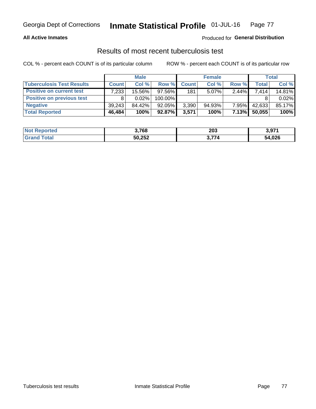### **All Active Inmates**

## Produced for **General Distribution**

## Results of most recent tuberculosis test

|                                  | <b>Male</b>  |          | <b>Female</b> |              |           | Total    |        |        |
|----------------------------------|--------------|----------|---------------|--------------|-----------|----------|--------|--------|
| <b>Tuberculosis Test Results</b> | <b>Count</b> | Col %    | Row %         | <b>Count</b> | Col %     | Row %    | Total  | Col %  |
| <b>Positive on current test</b>  | 7,233        | 15.56%   | $97.56\%$     | 181          | $5.07\%$  | $2.44\%$ | 7.414  | 14.81% |
| <b>Positive on previous test</b> | 8            | $0.02\%$ | 100.00%       |              |           |          |        | 0.02%  |
| <b>Negative</b>                  | 39.243       | 84.42%   | 92.05%        | 3,390        | $94.93\%$ | $7.95\%$ | 42,633 | 85.17% |
| <b>Total Reported</b>            | 46,484       | 100%     | 92.87%        | 3,571        | 100%      | 7.13%    | 50,055 | 100%   |

| <b>Not Reported</b> | 3,768  | 203   | 2.074<br><b>.</b> ა.ა. |
|---------------------|--------|-------|------------------------|
| Total               | 50,252 | 3.774 | 54,026                 |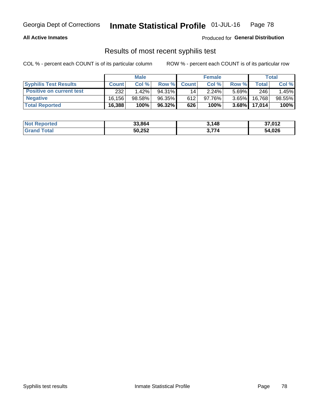### **All Active Inmates**

Produced for **General Distribution**

## Results of most recent syphilis test

|                                 | <b>Male</b>  |          |           | <b>Female</b> |           |          | Total   |        |
|---------------------------------|--------------|----------|-----------|---------------|-----------|----------|---------|--------|
| <b>Syphilis Test Results</b>    | <b>Count</b> | Col%     | Row %I    | <b>Count</b>  | Col %     | Row %    | Total I | Col %  |
| <b>Positive on current test</b> | 232          | $1.42\%$ | $94.31\%$ | 14            | 2.24%     | $5.69\%$ | 246     | 1.45%  |
| <b>Negative</b>                 | 16.156       | 98.58%   | 96.35%    | 612           | $97.76\%$ | $3.65\%$ | 16,768  | 98.55% |
| <b>Total Reported</b>           | 16,388       | 100%     | 96.32%    | 626           | 100%      | $3.68\%$ | 17,014  | 100%   |

| <b>Not Reported</b> | 33,864 | 3,148 | 37,012 |
|---------------------|--------|-------|--------|
| <b>Grand Total</b>  | 50,252 | 774   | 54,026 |